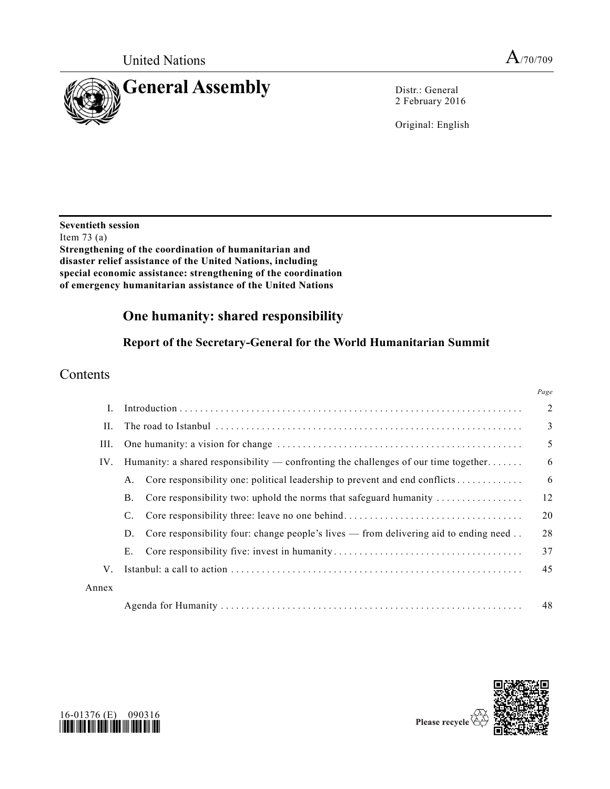

2 February 2016

Original: English

**Seventieth session** Item 73 (a) **Strengthening of the coordination of humanitarian and disaster relief assistance of the United Nations, including special economic assistance: strengthening of the coordination of emergency humanitarian assistance of the United Nations** 

# **One humanity: shared responsibility**

**Report of the Secretary-General for the World Humanitarian Summit** 

# **Contents**

|       |                                                                                                          | Page                    |
|-------|----------------------------------------------------------------------------------------------------------|-------------------------|
| Ι.    |                                                                                                          | $\overline{2}$          |
| II.   |                                                                                                          | $\overline{\mathbf{3}}$ |
| Ш.    |                                                                                                          | 5                       |
| IV.   | Humanity: a shared responsibility — confronting the challenges of our time together                      | 6                       |
|       | A. Core responsibility one: political leadership to prevent and end conflicts                            | 6                       |
|       | Core responsibility two: uphold the norms that safeguard humanity $\dots \dots \dots \dots$<br><b>B.</b> | 12                      |
|       | C.                                                                                                       | 20                      |
|       | Core responsibility four: change people's lives — from delivering aid to ending need<br>D.               | 28                      |
|       | E.                                                                                                       | 37                      |
| V.    |                                                                                                          | 45                      |
| Annex |                                                                                                          |                         |
|       |                                                                                                          | 48                      |



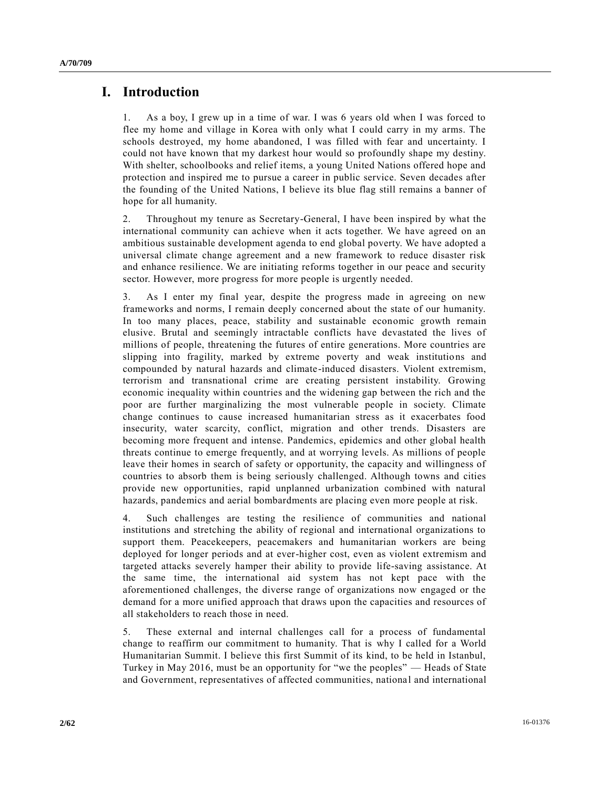# **I. Introduction**

1. As a boy, I grew up in a time of war. I was 6 years old when I was forced to flee my home and village in Korea with only what I could carry in my arms. The schools destroyed, my home abandoned, I was filled with fear and uncertainty. I could not have known that my darkest hour would so profoundly shape my destiny. With shelter, schoolbooks and relief items, a young United Nations offered hope and protection and inspired me to pursue a career in public service. Seven decades after the founding of the United Nations, I believe its blue flag still remains a banner of hope for all humanity.

2. Throughout my tenure as Secretary-General, I have been inspired by what the international community can achieve when it acts together. We have agreed on an ambitious sustainable development agenda to end global poverty. We have adopted a universal climate change agreement and a new framework to reduce disaster risk and enhance resilience. We are initiating reforms together in our peace and security sector. However, more progress for more people is urgently needed.

3. As I enter my final year, despite the progress made in agreeing on new frameworks and norms, I remain deeply concerned about the state of our humanity. In too many places, peace, stability and sustainable economic growth remain elusive. Brutal and seemingly intractable conflicts have devastated the lives of millions of people, threatening the futures of entire generations. More countries are slipping into fragility, marked by extreme poverty and weak institutions and compounded by natural hazards and climate-induced disasters. Violent extremism, terrorism and transnational crime are creating persistent instability. Growing economic inequality within countries and the widening gap between the rich and the poor are further marginalizing the most vulnerable people in society. Climate change continues to cause increased humanitarian stress as it exacerbates food insecurity, water scarcity, conflict, migration and other trends. Disasters are becoming more frequent and intense. Pandemics, epidemics and other global health threats continue to emerge frequently, and at worrying levels. As millions of people leave their homes in search of safety or opportunity, the capacity and willingness of countries to absorb them is being seriously challenged. Although towns and cities provide new opportunities, rapid unplanned urbanization combined with natural hazards, pandemics and aerial bombardments are placing even more people at risk.

4. Such challenges are testing the resilience of communities and national institutions and stretching the ability of regional and international organizations to support them. Peacekeepers, peacemakers and humanitarian workers are being deployed for longer periods and at ever-higher cost, even as violent extremism and targeted attacks severely hamper their ability to provide life-saving assistance. At the same time, the international aid system has not kept pace with the aforementioned challenges, the diverse range of organizations now engaged or the demand for a more unified approach that draws upon the capacities and resources of all stakeholders to reach those in need.

5. These external and internal challenges call for a process of fundamental change to reaffirm our commitment to humanity. That is why I called for a World Humanitarian Summit. I believe this first Summit of its kind, to be held in Istanbul, Turkey in May 2016, must be an opportunity for "we the peoples" — Heads of State and Government, representatives of affected communities, national and international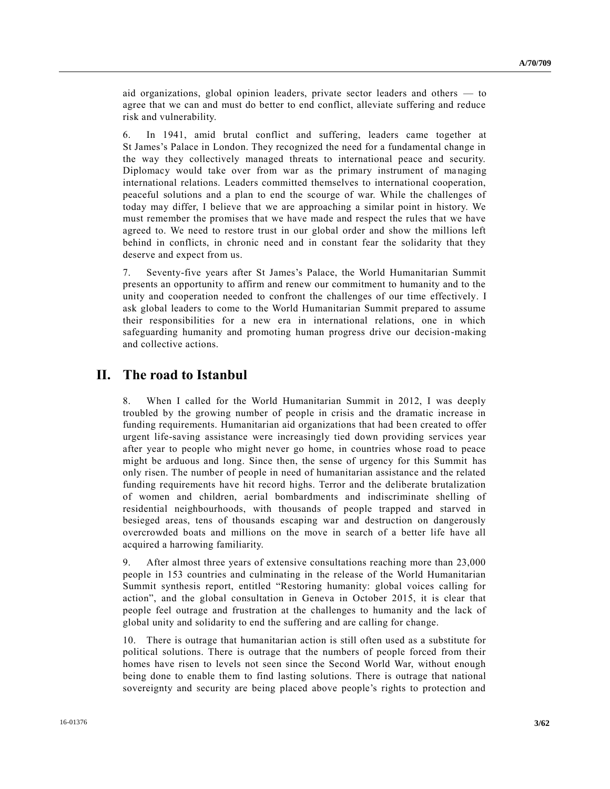aid organizations, global opinion leaders, private sector leaders and others — to agree that we can and must do better to end conflict, alleviate suffering and reduce risk and vulnerability.

6. In 1941, amid brutal conflict and suffering, leaders came together at St James's Palace in London. They recognized the need for a fundamental change in the way they collectively managed threats to international peace and security. Diplomacy would take over from war as the primary instrument of managing international relations. Leaders committed themselves to international cooperation, peaceful solutions and a plan to end the scourge of war. While the challenges of today may differ, I believe that we are approaching a similar point in history. We must remember the promises that we have made and respect the rules that we have agreed to. We need to restore trust in our global order and show the millions left behind in conflicts, in chronic need and in constant fear the solidarity that they deserve and expect from us.

7. Seventy-five years after St James's Palace, the World Humanitarian Summit presents an opportunity to affirm and renew our commitment to humanity and to the unity and cooperation needed to confront the challenges of our time effectively. I ask global leaders to come to the World Humanitarian Summit prepared to assume their responsibilities for a new era in international relations, one in which safeguarding humanity and promoting human progress drive our decision-making and collective actions.

# **II. The road to Istanbul**

8. When I called for the World Humanitarian Summit in 2012, I was deeply troubled by the growing number of people in crisis and the dramatic increase in funding requirements. Humanitarian aid organizations that had been created to offer urgent life-saving assistance were increasingly tied down providing services year after year to people who might never go home, in countries whose road to peace might be arduous and long. Since then, the sense of urgency for this Summit has only risen. The number of people in need of humanitarian assistance and the related funding requirements have hit record highs. Terror and the deliberate brutalization of women and children, aerial bombardments and indiscriminate shelling of residential neighbourhoods, with thousands of people trapped and starved in besieged areas, tens of thousands escaping war and destruction on dangerously overcrowded boats and millions on the move in search of a better life have all acquired a harrowing familiarity.

9. After almost three years of extensive consultations reaching more than 23,000 people in 153 countries and culminating in the release of the World Humanitarian Summit synthesis report, entitled "Restoring humanity: global voices calling for action", and the global consultation in Geneva in October 2015, it is clear that people feel outrage and frustration at the challenges to humanity and the lack of global unity and solidarity to end the suffering and are calling for change.

10. There is outrage that humanitarian action is still often used as a substitute for political solutions. There is outrage that the numbers of people forced from their homes have risen to levels not seen since the Second World War, without enough being done to enable them to find lasting solutions. There is outrage that national sovereignty and security are being placed above people's rights to protection and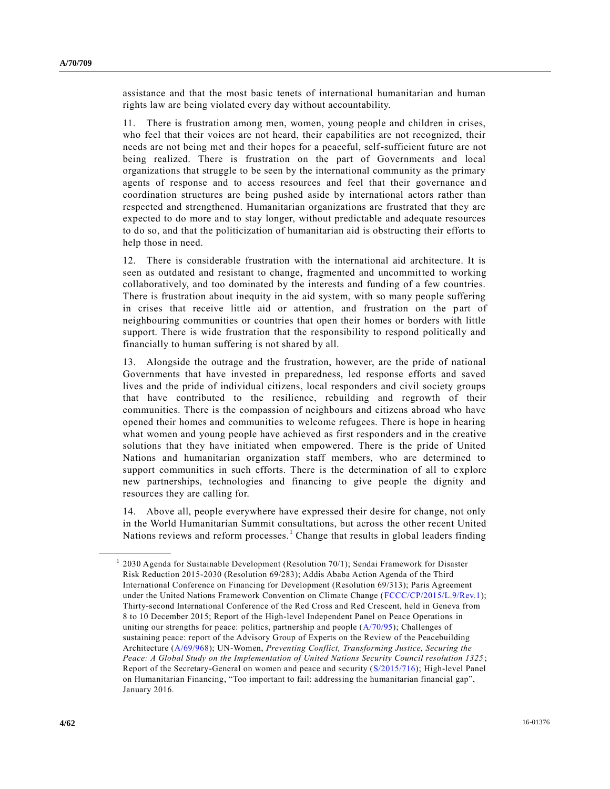assistance and that the most basic tenets of international humanitarian and human rights law are being violated every day without accountability.

11. There is frustration among men, women, young people and children in crises, who feel that their voices are not heard, their capabilities are not recognized, their needs are not being met and their hopes for a peaceful, self-sufficient future are not being realized. There is frustration on the part of Governments and local organizations that struggle to be seen by the international community as the primary agents of response and to access resources and feel that their governance an d coordination structures are being pushed aside by international actors rather than respected and strengthened. Humanitarian organizations are frustrated that they are expected to do more and to stay longer, without predictable and adequate resources to do so, and that the politicization of humanitarian aid is obstructing their efforts to help those in need.

12. There is considerable frustration with the international aid architecture. It is seen as outdated and resistant to change, fragmented and uncommitted to working collaboratively, and too dominated by the interests and funding of a few countries. There is frustration about inequity in the aid system, with so many people suffering in crises that receive little aid or attention, and frustration on the part of neighbouring communities or countries that open their homes or borders with little support. There is wide frustration that the responsibility to respond politically and financially to human suffering is not shared by all.

13. Alongside the outrage and the frustration, however, are the pride of national Governments that have invested in preparedness, led response efforts and saved lives and the pride of individual citizens, local responders and civil society groups that have contributed to the resilience, rebuilding and regrowth of their communities. There is the compassion of neighbours and citizens abroad who have opened their homes and communities to welcome refugees. There is hope in hearing what women and young people have achieved as first responders and in the creative solutions that they have initiated when empowered. There is the pride of United Nations and humanitarian organization staff members, who are determined to support communities in such efforts. There is the determination of all to explore new partnerships, technologies and financing to give people the dignity and resources they are calling for.

14. Above all, people everywhere have expressed their desire for change, not only in the World Humanitarian Summit consultations, but across the other recent United Nations reviews and reform processes.<sup>1</sup> Change that results in global leaders finding

 $1$  2030 Agenda for Sustainable Development (Resolution 70/1); Sendai Framework for Disaster Risk Reduction 2015-2030 (Resolution 69/283); Addis Ababa Action Agenda of the Third International Conference on Financing for Development (Resolution 69/313); Paris Agreement under the United Nations Framework Convention on Climate Change [\(FCCC/CP/2015/L.9/Rev.1\)](http://undocs.org/FCCC/CP/2015/L.9/Rev.1); Thirty-second International Conference of the Red Cross and Red Crescent, held in Geneva from 8 to 10 December 2015; Report of the High-level Independent Panel on Peace Operations in uniting our strengths for peace: politics, partnership and people  $(A/70/95)$ ; Challenges of sustaining peace: report of the Advisory Group of Experts on the Review of the Peacebuilding Architecture [\(A/69/968\)](http://undocs.org/A/69/968); UN-Women, *Preventing Conflict, Transforming Justice, Securing the Peace: A Global Study on the Implementation of United Nations Security Council resolution 1325* ; Report of the Secretary-General on women and peace and security [\(S/2015/716\)](http://undocs.org/S/2015/716); High-level Panel on Humanitarian Financing, "Too important to fail: addressing the humanitarian financial gap", January 2016.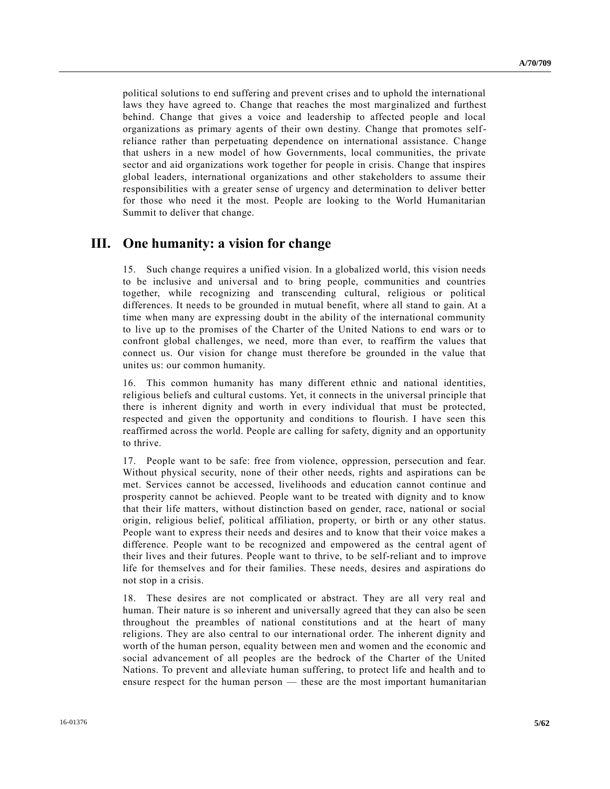political solutions to end suffering and prevent crises and to uphold the international laws they have agreed to. Change that reaches the most marginalized and furthest behind. Change that gives a voice and leadership to affected people and local organizations as primary agents of their own destiny. Change that promotes selfreliance rather than perpetuating dependence on international assistance. Change that ushers in a new model of how Governments, local communities, the private sector and aid organizations work together for people in crisis. Change that inspires global leaders, international organizations and other stakeholders to assume their responsibilities with a greater sense of urgency and determination to deliver better for those who need it the most. People are looking to the World Humanitarian Summit to deliver that change.

# **III. One humanity: a vision for change**

15. Such change requires a unified vision. In a globalized world, this vision needs to be inclusive and universal and to bring people, communities and countries together, while recognizing and transcending cultural, religious or political differences. It needs to be grounded in mutual benefit, where all stand to gain. At a time when many are expressing doubt in the ability of the international community to live up to the promises of the Charter of the United Nations to end wars or to confront global challenges, we need, more than ever, to reaffirm the values that connect us. Our vision for change must therefore be grounded in the value that unites us: our common humanity.

16. This common humanity has many different ethnic and national identities, religious beliefs and cultural customs. Yet, it connects in the universal principle that there is inherent dignity and worth in every individual that must be protected, respected and given the opportunity and conditions to flourish. I have seen this reaffirmed across the world. People are calling for safety, dignity and an opportunity to thrive.

17. People want to be safe: free from violence, oppression, persecution and fear. Without physical security, none of their other needs, rights and aspirations can be met. Services cannot be accessed, livelihoods and education cannot continue and prosperity cannot be achieved. People want to be treated with dignity and to know that their life matters, without distinction based on gender, race, national or social origin, religious belief, political affiliation, property, or birth or any other status. People want to express their needs and desires and to know that their voice makes a difference. People want to be recognized and empowered as the central agent of their lives and their futures. People want to thrive, to be self-reliant and to improve life for themselves and for their families. These needs, desires and aspirations do not stop in a crisis.

18. These desires are not complicated or abstract. They are all very real and human. Their nature is so inherent and universally agreed that they can also be seen throughout the preambles of national constitutions and at the heart of many religions. They are also central to our international order. The inherent dignity and worth of the human person, equality between men and women and the economic and social advancement of all peoples are the bedrock of the Charter of the United Nations. To prevent and alleviate human suffering, to protect life and health and to ensure respect for the human person — these are the most important humanitarian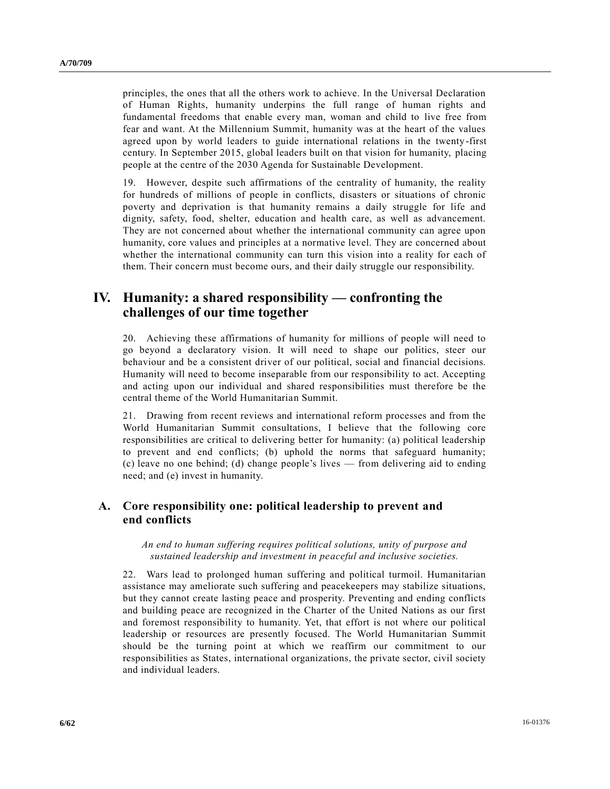principles, the ones that all the others work to achieve. In the Universal Declaration of Human Rights, humanity underpins the full range of human rights and fundamental freedoms that enable every man, woman and child to live free from fear and want. At the Millennium Summit, humanity was at the heart of the values agreed upon by world leaders to guide international relations in the twenty-first century. In September 2015, global leaders built on that vision for humanity, placing people at the centre of the 2030 Agenda for Sustainable Development.

19. However, despite such affirmations of the centrality of humanity, the reality for hundreds of millions of people in conflicts, disasters or situations of chronic poverty and deprivation is that humanity remains a daily struggle for life and dignity, safety, food, shelter, education and health care, as well as advancement. They are not concerned about whether the international community can agree upon humanity, core values and principles at a normative level. They are concerned about whether the international community can turn this vision into a reality for each of them. Their concern must become ours, and their daily struggle our responsibility.

# **IV. Humanity: a shared responsibility — confronting the challenges of our time together**

20. Achieving these affirmations of humanity for millions of people will need to go beyond a declaratory vision. It will need to shape our politics, steer our behaviour and be a consistent driver of our political, social and financial decisions. Humanity will need to become inseparable from our responsibility to act. Accepting and acting upon our individual and shared responsibilities must therefore be the central theme of the World Humanitarian Summit.

21. Drawing from recent reviews and international reform processes and from the World Humanitarian Summit consultations, I believe that the following core responsibilities are critical to delivering better for humanity: (a) political leadership to prevent and end conflicts; (b) uphold the norms that safeguard humanity; (c) leave no one behind; (d) change people's lives — from delivering aid to ending need; and (e) invest in humanity.

# **A. Core responsibility one: political leadership to prevent and end conflicts**

*An end to human suffering requires political solutions, unity of purpose and sustained leadership and investment in peaceful and inclusive societies.*

22. Wars lead to prolonged human suffering and political turmoil. Humanitarian assistance may ameliorate such suffering and peacekeepers may stabilize situations, but they cannot create lasting peace and prosperity. Preventing and ending conflicts and building peace are recognized in the Charter of the United Nations as our first and foremost responsibility to humanity. Yet, that effort is not where our political leadership or resources are presently focused. The World Humanitarian Summit should be the turning point at which we reaffirm our commitment to our responsibilities as States, international organizations, the private sector, civil society and individual leaders.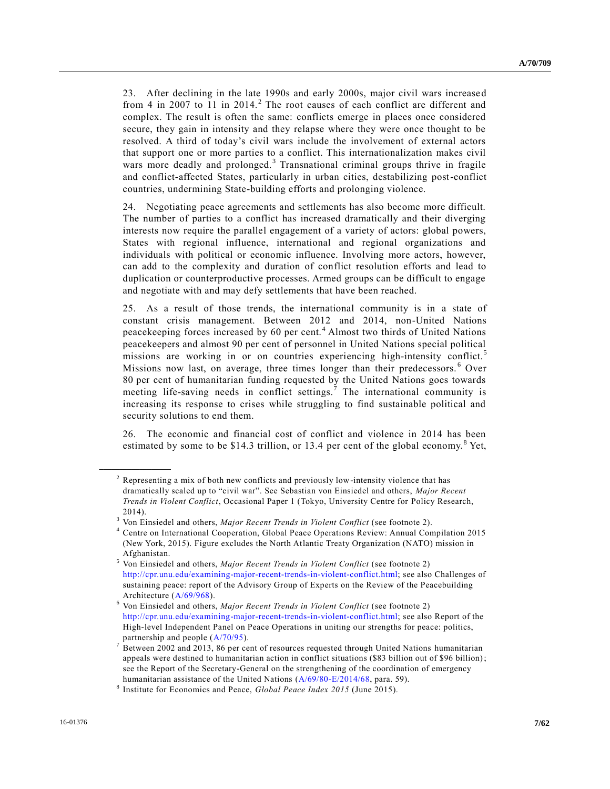23. After declining in the late 1990s and early 2000s, major civil wars increased from 4 in 2007 to 11 in 2014.<sup>2</sup> The root causes of each conflict are different and complex. The result is often the same: conflicts emerge in places once considered secure, they gain in intensity and they relapse where they were once thought to be resolved. A third of today's civil wars include the involvement of external actors that support one or more parties to a conflict. This internationalization makes civil wars more deadly and prolonged.<sup>3</sup> Transnational criminal groups thrive in fragile and conflict-affected States, particularly in urban cities, destabilizing post-conflict countries, undermining State-building efforts and prolonging violence.

24. Negotiating peace agreements and settlements has also become more difficult. The number of parties to a conflict has increased dramatically and their diverging interests now require the parallel engagement of a variety of actors: global powers, States with regional influence, international and regional organizations and individuals with political or economic influence. Involving more actors, however, can add to the complexity and duration of conflict resolution efforts and lead to duplication or counterproductive processes. Armed groups can be difficult to engage and negotiate with and may defy settlements that have been reached.

25. As a result of those trends, the international community is in a state of constant crisis management. Between 2012 and 2014, non-United Nations peacekeeping forces increased by 60 per cent.<sup>4</sup> Almost two thirds of United Nations peacekeepers and almost 90 per cent of personnel in United Nations special political missions are working in or on countries experiencing high-intensity conflict.<sup>5</sup> Missions now last, on average, three times longer than their predecessors. <sup>6</sup> Over 80 per cent of humanitarian funding requested by the United Nations goes towards meeting life-saving needs in conflict settings.<sup>7</sup> The international community is increasing its response to crises while struggling to find sustainable political and security solutions to end them.

26. The economic and financial cost of conflict and violence in 2014 has been estimated by some to be \$14.3 trillion, or 13.4 per cent of the global economy.<sup>8</sup> Yet,

<sup>&</sup>lt;sup>2</sup> Representing a mix of both new conflicts and previously low-intensity violence that has dramatically scaled up to "civil war". See Sebastian von Einsiedel and others, *Major Recent Trends in Violent Conflict*, Occasional Paper 1 (Tokyo, University Centre for Policy Research, 2014).

<sup>3</sup> Von Einsiedel and others, *Major Recent Trends in Violent Conflict* (see footnote 2).

<sup>4</sup> Centre on International Cooperation, Global Peace Operations Review: Annual Compilation 2015 (New York, 2015). Figure excludes the North Atlantic Treaty Organization (NATO) mission in Afghanistan.

<sup>5</sup> Von Einsiedel and others, *Major Recent Trends in Violent Conflict* (see footnote 2) [http://cpr.unu.edu/examining-major-recent-trends-in-violent-conflict.html;](http://cpr.unu.edu/examining-major-recent-trends-in-violent-conflict.html) see also Challenges of sustaining peace: report of the Advisory Group of Experts on the Review of the Peacebuilding Architecture [\(A/69/968\)](http://undocs.org/A/69/968).

<sup>6</sup> Von Einsiedel and others, *Major Recent Trends in Violent Conflict* (see footnote 2) [http://cpr.unu.edu/examining-major-recent-trends-in-violent-conflict.html;](http://cpr.unu.edu/examining-major-recent-trends-in-violent-conflict.html) see also Report of the High-level Independent Panel on Peace Operations in uniting our strengths for peace: politics, partnership and people [\(A/70/95\)](http://undocs.org/A/70/95).

<sup>7</sup> Between 2002 and 2013, 86 per cent of resources requested through United Nations humanitarian appeals were destined to humanitarian action in conflict situations (\$83 billion out of \$96 billion); see the Report of the Secretary-General on the strengthening of the coordination of emergency humanitarian assistance of the United Nations [\(A/69/80-E/2014/68,](http://undocs.org/A/69/80) para. 59).

<sup>8</sup> Institute for Economics and Peace, *Global Peace Index 2015* (June 2015).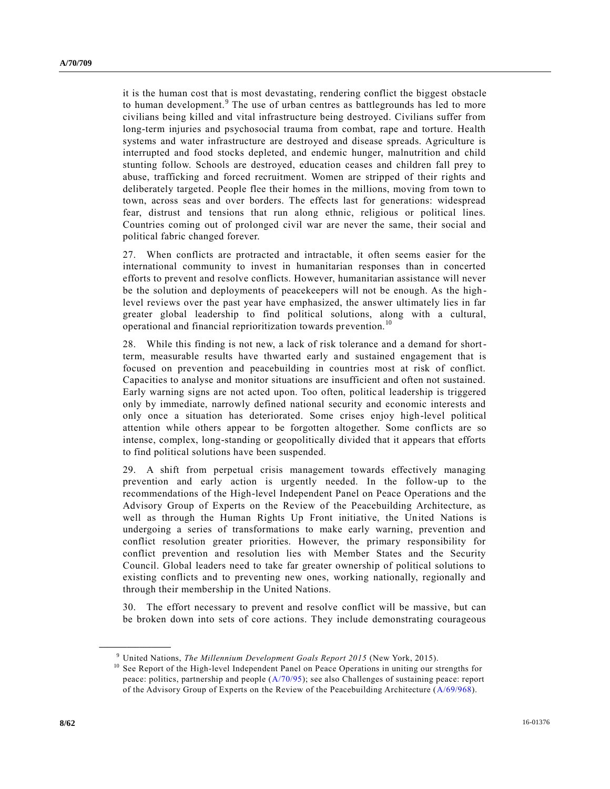it is the human cost that is most devastating, rendering conflict the biggest obstacle to human development.<sup>9</sup> The use of urban centres as battlegrounds has led to more civilians being killed and vital infrastructure being destroyed. Civilians suffer from long-term injuries and psychosocial trauma from combat, rape and torture. Health systems and water infrastructure are destroyed and disease spreads. Agriculture is interrupted and food stocks depleted, and endemic hunger, malnutrition and child stunting follow. Schools are destroyed, education ceases and children fall prey to abuse, trafficking and forced recruitment. Women are stripped of their rights and deliberately targeted. People flee their homes in the millions, moving from town to town, across seas and over borders. The effects last for generations: widespread fear, distrust and tensions that run along ethnic, religious or political lines. Countries coming out of prolonged civil war are never the same, their social and political fabric changed forever.

27. When conflicts are protracted and intractable, it often seems easier for the international community to invest in humanitarian responses than in concerted efforts to prevent and resolve conflicts. However, humanitarian assistance will never be the solution and deployments of peacekeepers will not be enough. As the high level reviews over the past year have emphasized, the answer ultimately lies in far greater global leadership to find political solutions, along with a cultural, operational and financial reprioritization towards prevention.<sup>10</sup>

28. While this finding is not new, a lack of risk tolerance and a demand for shortterm, measurable results have thwarted early and sustained engagement that is focused on prevention and peacebuilding in countries most at risk of conflict. Capacities to analyse and monitor situations are insufficient and often not sustained. Early warning signs are not acted upon. Too often, political leadership is triggered only by immediate, narrowly defined national security and economic interests and only once a situation has deteriorated. Some crises enjoy high-level political attention while others appear to be forgotten altogether. Some conflicts are so intense, complex, long-standing or geopolitically divided that it appears that efforts to find political solutions have been suspended.

29. A shift from perpetual crisis management towards effectively managing prevention and early action is urgently needed. In the follow-up to the recommendations of the High-level Independent Panel on Peace Operations and the Advisory Group of Experts on the Review of the Peacebuilding Architecture, as well as through the Human Rights Up Front initiative, the United Nations is undergoing a series of transformations to make early warning, prevention and conflict resolution greater priorities. However, the primary responsibility for conflict prevention and resolution lies with Member States and the Security Council. Global leaders need to take far greater ownership of political solutions to existing conflicts and to preventing new ones, working nationally, regionally and through their membership in the United Nations.

30. The effort necessary to prevent and resolve conflict will be massive, but can be broken down into sets of core actions. They include demonstrating courageous

<sup>9</sup> United Nations, *The Millennium Development Goals Report 2015* (New York, 2015).

<sup>&</sup>lt;sup>10</sup> See Report of the High-level Independent Panel on Peace Operations in uniting our strengths for peace: politics, partnership and people [\(A/70/95\)](http://undocs.org/A/70/95); see also Challenges of sustaining peace: report of the Advisory Group of Experts on the Review of the Peacebuilding Architecture [\(A/69/968\)](http://undocs.org/A/69/968).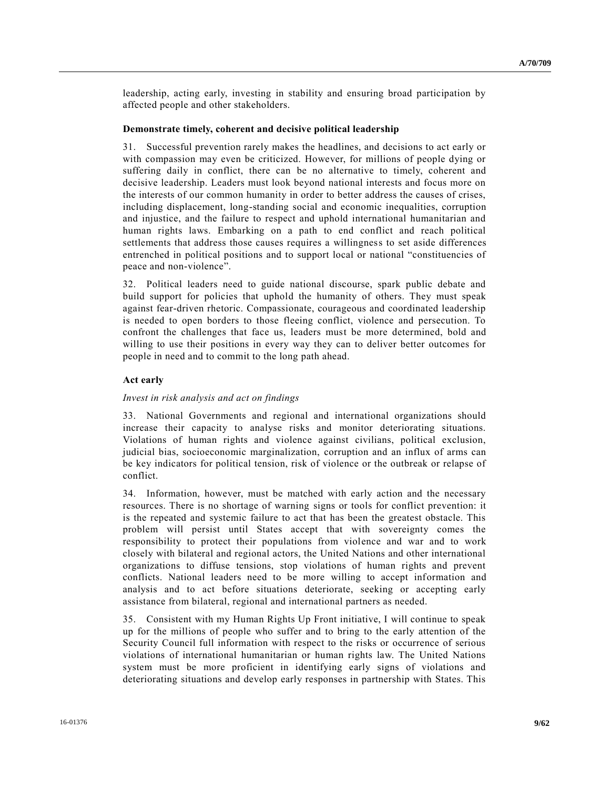leadership, acting early, investing in stability and ensuring broad participation by affected people and other stakeholders.

#### **Demonstrate timely, coherent and decisive political leadership**

31. Successful prevention rarely makes the headlines, and decisions to act early or with compassion may even be criticized. However, for millions of people dying or suffering daily in conflict, there can be no alternative to timely, coherent and decisive leadership. Leaders must look beyond national interests and focus more on the interests of our common humanity in order to better address the causes of crises, including displacement, long-standing social and economic inequalities, corruption and injustice, and the failure to respect and uphold international humanitarian and human rights laws. Embarking on a path to end conflict and reach political settlements that address those causes requires a willingness to set aside differences entrenched in political positions and to support local or national "constituencies of peace and non-violence".

32. Political leaders need to guide national discourse, spark public debate and build support for policies that uphold the humanity of others. They must speak against fear-driven rhetoric. Compassionate, courageous and coordinated leadership is needed to open borders to those fleeing conflict, violence and persecution. To confront the challenges that face us, leaders must be more determined, bold and willing to use their positions in every way they can to deliver better outcomes for people in need and to commit to the long path ahead.

#### **Act early**

#### *Invest in risk analysis and act on findings*

33. National Governments and regional and international organizations should increase their capacity to analyse risks and monitor deteriorating situations. Violations of human rights and violence against civilians, political exclusion, judicial bias, socioeconomic marginalization, corruption and an influx of arms can be key indicators for political tension, risk of violence or the outbreak or relapse of conflict.

34. Information, however, must be matched with early action and the necessary resources. There is no shortage of warning signs or tools for conflict prevention: it is the repeated and systemic failure to act that has been the greatest obstacle. This problem will persist until States accept that with sovereignty comes the responsibility to protect their populations from violence and war and to work closely with bilateral and regional actors, the United Nations and other international organizations to diffuse tensions, stop violations of human rights and prevent conflicts. National leaders need to be more willing to accept information and analysis and to act before situations deteriorate, seeking or accepting early assistance from bilateral, regional and international partners as needed.

35. Consistent with my Human Rights Up Front initiative, I will continue to speak up for the millions of people who suffer and to bring to the early attention of the Security Council full information with respect to the risks or occurrence of serious violations of international humanitarian or human rights law. The United Nations system must be more proficient in identifying early signs of violations and deteriorating situations and develop early responses in partnership with States. This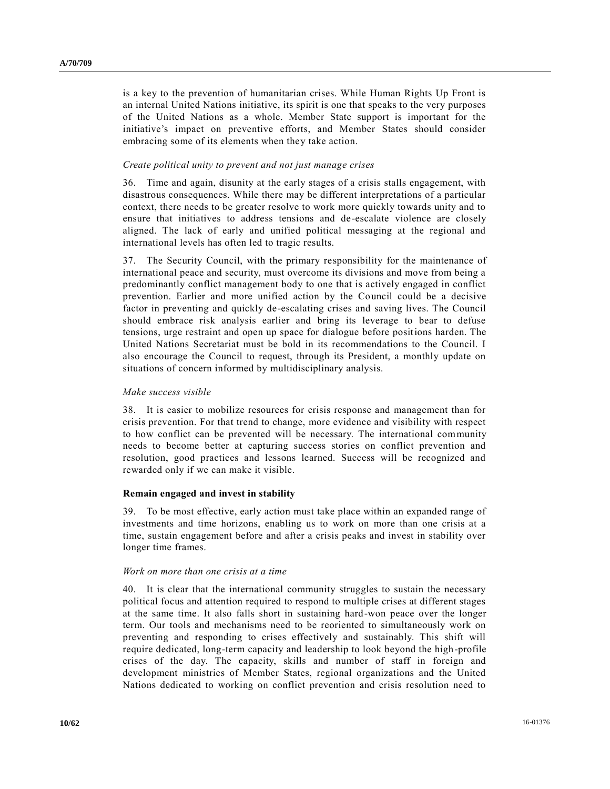is a key to the prevention of humanitarian crises. While Human Rights Up Front is an internal United Nations initiative, its spirit is one that speaks to the very purposes of the United Nations as a whole. Member State support is important for the initiative's impact on preventive efforts, and Member States should consider embracing some of its elements when they take action.

### *Create political unity to prevent and not just manage crises*

36. Time and again, disunity at the early stages of a crisis stalls engagement, with disastrous consequences. While there may be different interpretations of a particular context, there needs to be greater resolve to work more quickly towards unity and to ensure that initiatives to address tensions and de-escalate violence are closely aligned. The lack of early and unified political messaging at the regional and international levels has often led to tragic results.

37. The Security Council, with the primary responsibility for the maintenance of international peace and security, must overcome its divisions and move from being a predominantly conflict management body to one that is actively engaged in conflict prevention. Earlier and more unified action by the Council could be a decisive factor in preventing and quickly de-escalating crises and saving lives. The Council should embrace risk analysis earlier and bring its leverage to bear to defuse tensions, urge restraint and open up space for dialogue before positions harden. The United Nations Secretariat must be bold in its recommendations to the Council. I also encourage the Council to request, through its President, a monthly update on situations of concern informed by multidisciplinary analysis.

#### *Make success visible*

38. It is easier to mobilize resources for crisis response and management than for crisis prevention. For that trend to change, more evidence and visibility with respect to how conflict can be prevented will be necessary. The international community needs to become better at capturing success stories on conflict prevention and resolution, good practices and lessons learned. Success will be recognized and rewarded only if we can make it visible.

#### **Remain engaged and invest in stability**

39. To be most effective, early action must take place within an expanded range of investments and time horizons, enabling us to work on more than one crisis at a time, sustain engagement before and after a crisis peaks and invest in stability over longer time frames.

#### *Work on more than one crisis at a time*

40. It is clear that the international community struggles to sustain the necessary political focus and attention required to respond to multiple crises at different stages at the same time. It also falls short in sustaining hard-won peace over the longer term. Our tools and mechanisms need to be reoriented to simultaneously work on preventing and responding to crises effectively and sustainably. This shift will require dedicated, long-term capacity and leadership to look beyond the high-profile crises of the day. The capacity, skills and number of staff in foreign and development ministries of Member States, regional organizations and the United Nations dedicated to working on conflict prevention and crisis resolution need to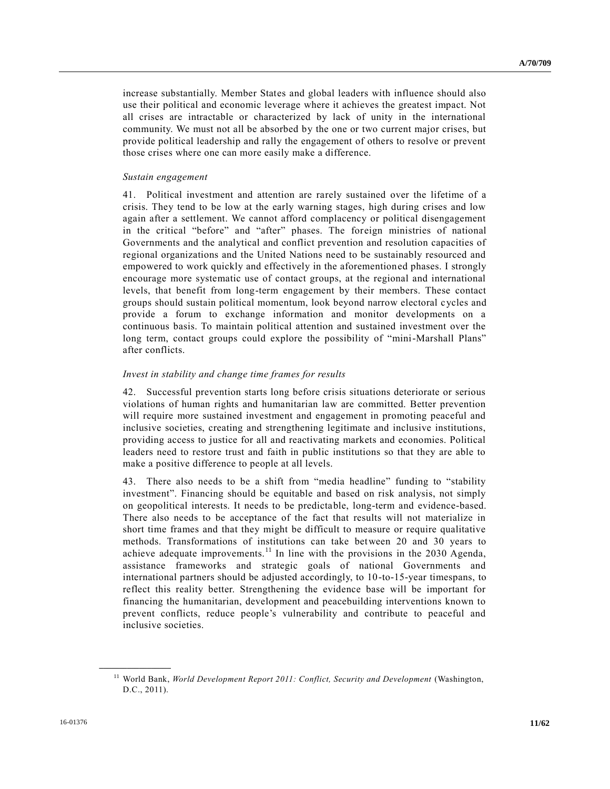increase substantially. Member States and global leaders with influence should also use their political and economic leverage where it achieves the greatest impact. Not all crises are intractable or characterized by lack of unity in the international community. We must not all be absorbed by the one or two current major crises, but provide political leadership and rally the engagement of others to resolve or prevent those crises where one can more easily make a difference.

## *Sustain engagement*

41. Political investment and attention are rarely sustained over the lifetime of a crisis. They tend to be low at the early warning stages, high during crises and low again after a settlement. We cannot afford complacency or political disengagement in the critical "before" and "after" phases. The foreign ministries of national Governments and the analytical and conflict prevention and resolution capacities of regional organizations and the United Nations need to be sustainably resourced and empowered to work quickly and effectively in the aforementioned phases. I strongly encourage more systematic use of contact groups, at the regional and international levels, that benefit from long-term engagement by their members. These contact groups should sustain political momentum, look beyond narrow electoral cycles and provide a forum to exchange information and monitor developments on a continuous basis. To maintain political attention and sustained investment over the long term, contact groups could explore the possibility of "mini-Marshall Plans" after conflicts.

## *Invest in stability and change time frames for results*

42. Successful prevention starts long before crisis situations deteriorate or serious violations of human rights and humanitarian law are committed. Better prevention will require more sustained investment and engagement in promoting peaceful and inclusive societies, creating and strengthening legitimate and inclusive institutions, providing access to justice for all and reactivating markets and economies. Political leaders need to restore trust and faith in public institutions so that they are able to make a positive difference to people at all levels.

43. There also needs to be a shift from "media headline" funding to "stability investment". Financing should be equitable and based on risk analysis, not simply on geopolitical interests. It needs to be predictable, long-term and evidence-based. There also needs to be acceptance of the fact that results will not materialize in short time frames and that they might be difficult to measure or require qualitative methods. Transformations of institutions can take between 20 and 30 years to achieve adequate improvements.<sup>11</sup> In line with the provisions in the  $2030$  Agenda, assistance frameworks and strategic goals of national Governments and international partners should be adjusted accordingly, to 10-to-15-year timespans, to reflect this reality better. Strengthening the evidence base will be important for financing the humanitarian, development and peacebuilding interventions known to prevent conflicts, reduce people's vulnerability and contribute to peaceful and inclusive societies.

<sup>11</sup> World Bank, *World Development Report 2011: Conflict, Security and Development* (Washington, D.C., 2011).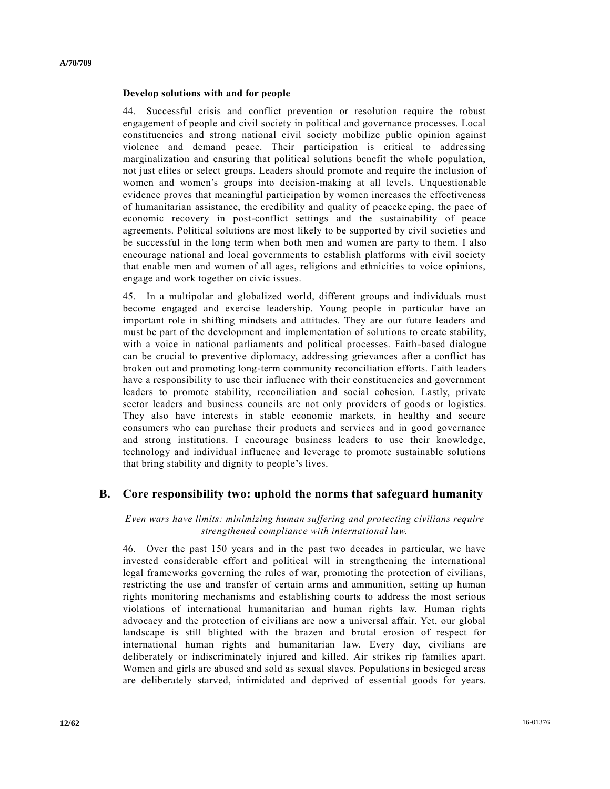#### **Develop solutions with and for people**

44. Successful crisis and conflict prevention or resolution require the robust engagement of people and civil society in political and governance processes. Local constituencies and strong national civil society mobilize public opinion against violence and demand peace. Their participation is critical to addressing marginalization and ensuring that political solutions benefit the whole population, not just elites or select groups. Leaders should promote and require the inclusion of women and women's groups into decision-making at all levels. Unquestionable evidence proves that meaningful participation by women increases the effectiveness of humanitarian assistance, the credibility and quality of peaceke eping, the pace of economic recovery in post-conflict settings and the sustainability of peace agreements. Political solutions are most likely to be supported by civil societies and be successful in the long term when both men and women are party to them. I also encourage national and local governments to establish platforms with civil society that enable men and women of all ages, religions and ethnicities to voice opinions, engage and work together on civic issues.

45. In a multipolar and globalized world, different groups and individuals must become engaged and exercise leadership. Young people in particular have an important role in shifting mindsets and attitudes. They are our future leaders and must be part of the development and implementation of solutions to create stability, with a voice in national parliaments and political processes. Faith-based dialogue can be crucial to preventive diplomacy, addressing grievances after a conflict has broken out and promoting long-term community reconciliation efforts. Faith leaders have a responsibility to use their influence with their constituencies and government leaders to promote stability, reconciliation and social cohesion. Lastly, private sector leaders and business councils are not only providers of goods or logistics. They also have interests in stable economic markets, in healthy and secure consumers who can purchase their products and services and in good governance and strong institutions. I encourage business leaders to use their knowledge, technology and individual influence and leverage to promote sustainable solutions that bring stability and dignity to people's lives.

## **B. Core responsibility two: uphold the norms that safeguard humanity**

*Even wars have limits: minimizing human suffering and protecting civilians require strengthened compliance with international law.*

46. Over the past 150 years and in the past two decades in particular, we have invested considerable effort and political will in strengthening the international legal frameworks governing the rules of war, promoting the protection of civilians, restricting the use and transfer of certain arms and ammunition, setting up human rights monitoring mechanisms and establishing courts to address the most serious violations of international humanitarian and human rights law. Human rights advocacy and the protection of civilians are now a universal affair. Yet, our global landscape is still blighted with the brazen and brutal erosion of respect for international human rights and humanitarian law. Every day, civilians are deliberately or indiscriminately injured and killed. Air strikes rip families apart. Women and girls are abused and sold as sexual slaves. Populations in besieged areas are deliberately starved, intimidated and deprived of essential goods for years.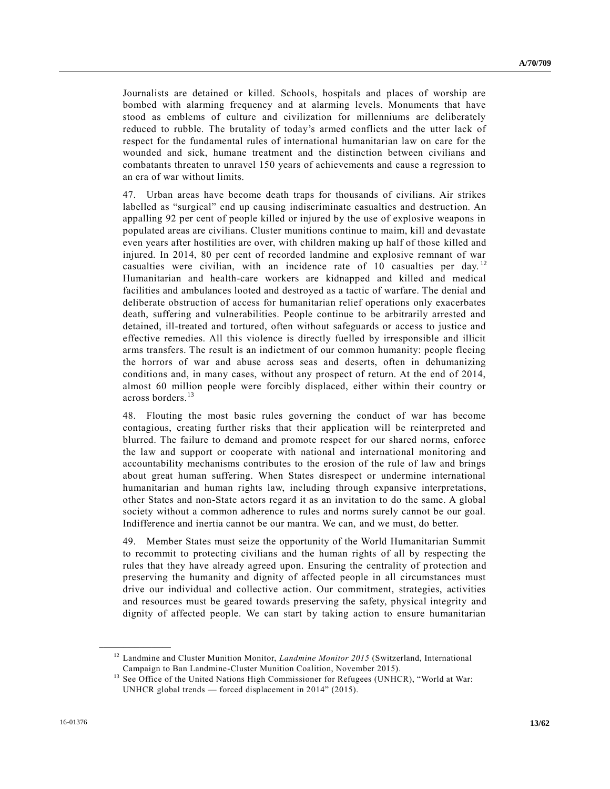Journalists are detained or killed. Schools, hospitals and places of worship are bombed with alarming frequency and at alarming levels. Monuments that have stood as emblems of culture and civilization for millenniums are deliberately reduced to rubble. The brutality of today's armed conflicts and the utter lack of respect for the fundamental rules of international humanitarian law on care for the wounded and sick, humane treatment and the distinction between civilians and combatants threaten to unravel 150 years of achievements and cause a regression to an era of war without limits.

47. Urban areas have become death traps for thousands of civilians. Air strikes labelled as "surgical" end up causing indiscriminate casualties and destruction. An appalling 92 per cent of people killed or injured by the use of explosive weapons in populated areas are civilians. Cluster munitions continue to maim, kill and devastate even years after hostilities are over, with children making up half of those killed and injured. In 2014, 80 per cent of recorded landmine and explosive remnant of war casualties were civilian, with an incidence rate of 10 casualties per day.<sup>12</sup> Humanitarian and health-care workers are kidnapped and killed and medical facilities and ambulances looted and destroyed as a tactic of warfare. The denial and deliberate obstruction of access for humanitarian relief operations only exacerbates death, suffering and vulnerabilities. People continue to be arbitrarily arrested and detained, ill-treated and tortured, often without safeguards or access to justice and effective remedies. All this violence is directly fuelled by irresponsible and illicit arms transfers. The result is an indictment of our common humanity: people fleeing the horrors of war and abuse across seas and deserts, often in dehumanizing conditions and, in many cases, without any prospect of return. At the end of 2014, almost 60 million people were forcibly displaced, either within their country or across borders<sup>13</sup>

48. Flouting the most basic rules governing the conduct of war has become contagious, creating further risks that their application will be reinterpreted and blurred. The failure to demand and promote respect for our shared norms, enforce the law and support or cooperate with national and international monitoring and accountability mechanisms contributes to the erosion of the rule of law and brings about great human suffering. When States disrespect or undermine international humanitarian and human rights law, including through expansive interpretations, other States and non-State actors regard it as an invitation to do the same. A global society without a common adherence to rules and norms surely cannot be our goal. Indifference and inertia cannot be our mantra. We can, and we must, do better.

49. Member States must seize the opportunity of the World Humanitarian Summit to recommit to protecting civilians and the human rights of all by respecting the rules that they have already agreed upon. Ensuring the centrality of p rotection and preserving the humanity and dignity of affected people in all circumstances must drive our individual and collective action. Our commitment, strategies, activities and resources must be geared towards preserving the safety, physical integrity and dignity of affected people. We can start by taking action to ensure humanitarian

<sup>&</sup>lt;sup>12</sup> Landmine and Cluster Munition Monitor, *Landmine Monitor 2015* (Switzerland, International Campaign to Ban Landmine-Cluster Munition Coalition, November 2015).

<sup>&</sup>lt;sup>13</sup> See Office of the United Nations High Commissioner for Refugees (UNHCR), "World at War: UNHCR global trends — forced displacement in 2014" (2015).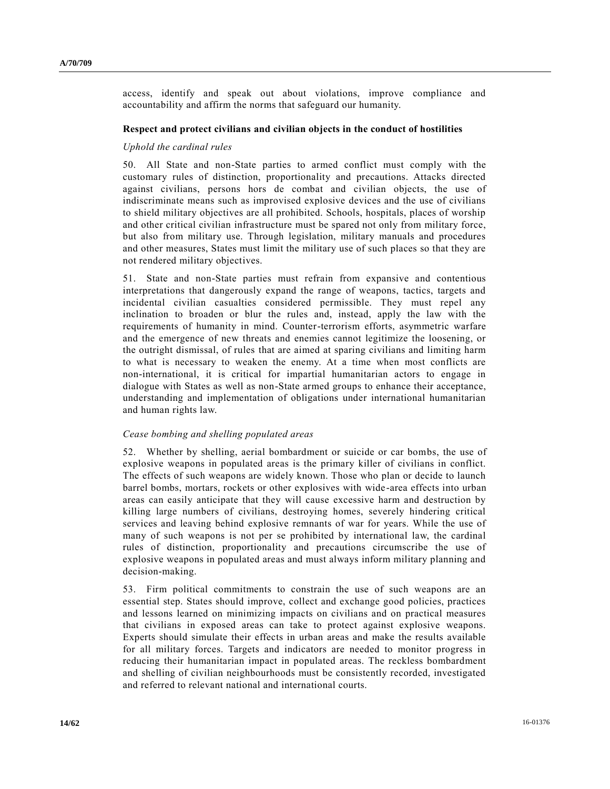access, identify and speak out about violations, improve compliance and accountability and affirm the norms that safeguard our humanity.

#### **Respect and protect civilians and civilian objects in the conduct of hostilities**

## *Uphold the cardinal rules*

50. All State and non-State parties to armed conflict must comply with the customary rules of distinction, proportionality and precautions. Attacks directed against civilians, persons hors de combat and civilian objects, the use of indiscriminate means such as improvised explosive devices and the use of civilians to shield military objectives are all prohibited. Schools, hospitals, places of worship and other critical civilian infrastructure must be spared not only from military force, but also from military use. Through legislation, military manuals and procedures and other measures, States must limit the military use of such places so that they are not rendered military objectives.

51. State and non-State parties must refrain from expansive and contentious interpretations that dangerously expand the range of weapons, tactics, targets and incidental civilian casualties considered permissible. They must repel any inclination to broaden or blur the rules and, instead, apply the law with the requirements of humanity in mind. Counter-terrorism efforts, asymmetric warfare and the emergence of new threats and enemies cannot legitimize the loosening, or the outright dismissal, of rules that are aimed at sparing civilians and limiting harm to what is necessary to weaken the enemy. At a time when most conflicts are non-international, it is critical for impartial humanitarian actors to engage in dialogue with States as well as non-State armed groups to enhance their acceptance, understanding and implementation of obligations under international humanitarian and human rights law.

#### *Cease bombing and shelling populated areas*

52. Whether by shelling, aerial bombardment or suicide or car bombs, the use of explosive weapons in populated areas is the primary killer of civilians in conflict. The effects of such weapons are widely known. Those who plan or decide to launch barrel bombs, mortars, rockets or other explosives with wide-area effects into urban areas can easily anticipate that they will cause excessive harm and destruction by killing large numbers of civilians, destroying homes, severely hindering critical services and leaving behind explosive remnants of war for years. While the use of many of such weapons is not per se prohibited by international law, the cardinal rules of distinction, proportionality and precautions circumscribe the use of explosive weapons in populated areas and must always inform military planning and decision-making.

53. Firm political commitments to constrain the use of such weapons are an essential step. States should improve, collect and exchange good policies, practices and lessons learned on minimizing impacts on civilians and on practical measures that civilians in exposed areas can take to protect against explosive weapons. Experts should simulate their effects in urban areas and make the results available for all military forces. Targets and indicators are needed to monitor progress in reducing their humanitarian impact in populated areas. The reckless bombardment and shelling of civilian neighbourhoods must be consistently recorded, investigated and referred to relevant national and international courts.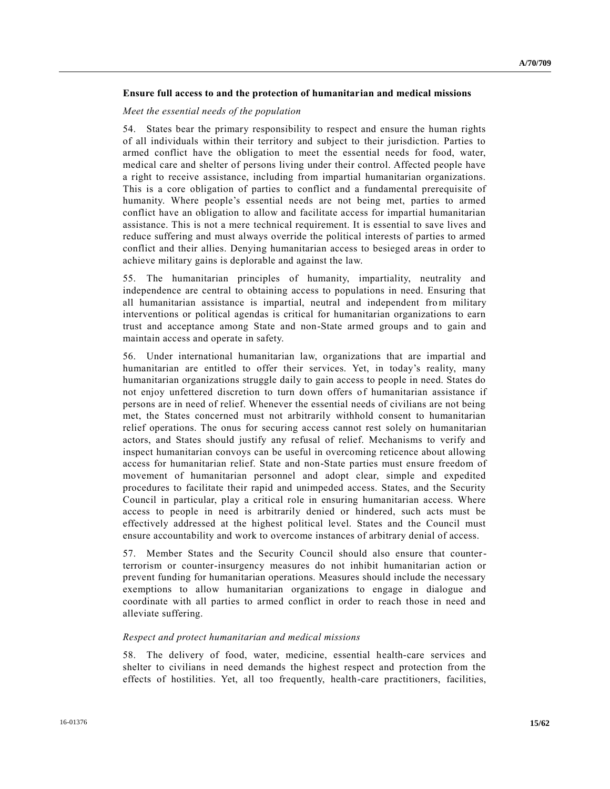## **Ensure full access to and the protection of humanitarian and medical missions**

#### *Meet the essential needs of the population*

54. States bear the primary responsibility to respect and ensure the human rights of all individuals within their territory and subject to their jurisdiction. Parties to armed conflict have the obligation to meet the essential needs for food, water, medical care and shelter of persons living under their control. Affected people have a right to receive assistance, including from impartial humanitarian organizations. This is a core obligation of parties to conflict and a fundamental prerequisite of humanity. Where people's essential needs are not being met, parties to armed conflict have an obligation to allow and facilitate access for impartial humanitarian assistance. This is not a mere technical requirement. It is essential to save lives and reduce suffering and must always override the political interests of parties to armed conflict and their allies. Denying humanitarian access to besieged areas in order to achieve military gains is deplorable and against the law.

55. The humanitarian principles of humanity, impartiality, neutrality and independence are central to obtaining access to populations in need. Ensuring that all humanitarian assistance is impartial, neutral and independent from military interventions or political agendas is critical for humanitarian organizations to earn trust and acceptance among State and non-State armed groups and to gain and maintain access and operate in safety.

56. Under international humanitarian law, organizations that are impartial and humanitarian are entitled to offer their services. Yet, in today's reality, many humanitarian organizations struggle daily to gain access to people in need. States do not enjoy unfettered discretion to turn down offers of humanitarian assistance if persons are in need of relief. Whenever the essential needs of civilians are not being met, the States concerned must not arbitrarily withhold consent to humanitarian relief operations. The onus for securing access cannot rest solely on humanitarian actors, and States should justify any refusal of relief. Mechanisms to verify and inspect humanitarian convoys can be useful in overcoming reticence about allowing access for humanitarian relief. State and non-State parties must ensure freedom of movement of humanitarian personnel and adopt clear, simple and expedited procedures to facilitate their rapid and unimpeded access. States, and the Security Council in particular, play a critical role in ensuring humanitarian access. Where access to people in need is arbitrarily denied or hindered, such acts must be effectively addressed at the highest political level. States and the Council must ensure accountability and work to overcome instances of arbitrary denial of access.

57. Member States and the Security Council should also ensure that counterterrorism or counter-insurgency measures do not inhibit humanitarian action or prevent funding for humanitarian operations. Measures should include the necessary exemptions to allow humanitarian organizations to engage in dialogue and coordinate with all parties to armed conflict in order to reach those in need and alleviate suffering.

### *Respect and protect humanitarian and medical missions*

58. The delivery of food, water, medicine, essential health-care services and shelter to civilians in need demands the highest respect and protection from the effects of hostilities. Yet, all too frequently, health-care practitioners, facilities,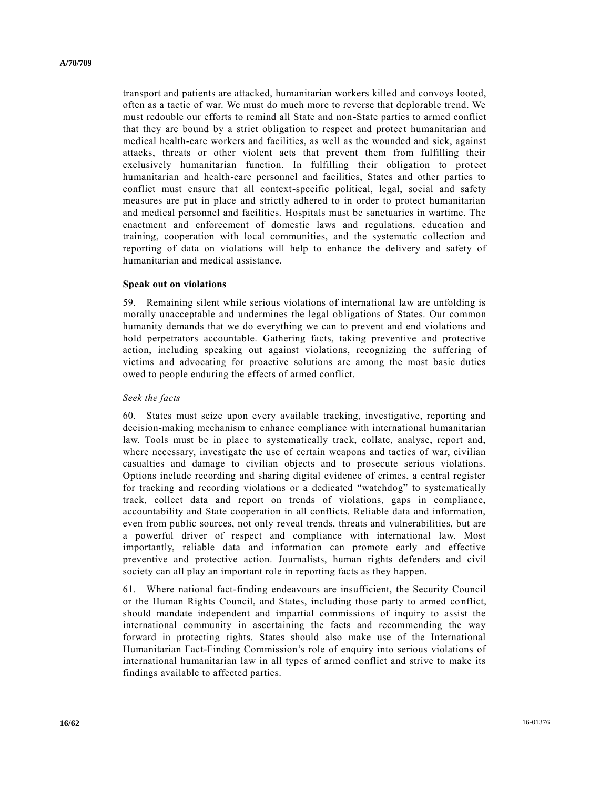transport and patients are attacked, humanitarian workers killed and convoys looted, often as a tactic of war. We must do much more to reverse that deplorable trend. We must redouble our efforts to remind all State and non-State parties to armed conflict that they are bound by a strict obligation to respect and protect humanitarian and medical health-care workers and facilities, as well as the wounded and sick, against attacks, threats or other violent acts that prevent them from fulfilling their exclusively humanitarian function. In fulfilling their obligation to protect humanitarian and health-care personnel and facilities, States and other parties to conflict must ensure that all context-specific political, legal, social and safety measures are put in place and strictly adhered to in order to protect humanitarian and medical personnel and facilities. Hospitals must be sanctuaries in wartime. The enactment and enforcement of domestic laws and regulations, education and training, cooperation with local communities, and the systematic collection and reporting of data on violations will help to enhance the delivery and safety of humanitarian and medical assistance.

## **Speak out on violations**

59. Remaining silent while serious violations of international law are unfolding is morally unacceptable and undermines the legal obligations of States. Our common humanity demands that we do everything we can to prevent and end violations and hold perpetrators accountable. Gathering facts, taking preventive and protective action, including speaking out against violations, recognizing the suffering of victims and advocating for proactive solutions are among the most basic duties owed to people enduring the effects of armed conflict.

#### *Seek the facts*

60. States must seize upon every available tracking, investigative, reporting and decision-making mechanism to enhance compliance with international humanitarian law. Tools must be in place to systematically track, collate, analyse, report and, where necessary, investigate the use of certain weapons and tactics of war, civilian casualties and damage to civilian objects and to prosecute serious violations. Options include recording and sharing digital evidence of crimes, a central register for tracking and recording violations or a dedicated "watchdog" to systematically track, collect data and report on trends of violations, gaps in compliance, accountability and State cooperation in all conflicts. Reliable data and information, even from public sources, not only reveal trends, threats and vulnerabilities, but are a powerful driver of respect and compliance with international law. Most importantly, reliable data and information can promote early and effective preventive and protective action. Journalists, human rights defenders and civil society can all play an important role in reporting facts as they happen.

61. Where national fact-finding endeavours are insufficient, the Security Council or the Human Rights Council, and States, including those party to armed conflict, should mandate independent and impartial commissions of inquiry to assist the international community in ascertaining the facts and recommending the way forward in protecting rights. States should also make use of the International Humanitarian Fact-Finding Commission's role of enquiry into serious violations of international humanitarian law in all types of armed conflict and strive to make its findings available to affected parties.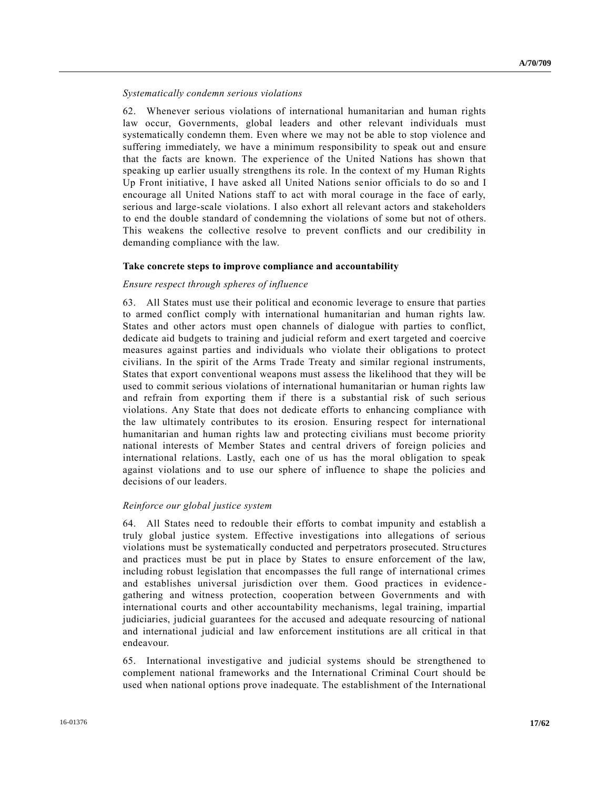### *Systematically condemn serious violations*

62. Whenever serious violations of international humanitarian and human rights law occur, Governments, global leaders and other relevant individuals must systematically condemn them. Even where we may not be able to stop violence and suffering immediately, we have a minimum responsibility to speak out and ensure that the facts are known. The experience of the United Nations has shown that speaking up earlier usually strengthens its role. In the context of my Human Rights Up Front initiative, I have asked all United Nations senior officials to do so and I encourage all United Nations staff to act with moral courage in the face of early, serious and large-scale violations. I also exhort all relevant actors and stakeholders to end the double standard of condemning the violations of some but not of others. This weakens the collective resolve to prevent conflicts and our credibility in demanding compliance with the law.

## **Take concrete steps to improve compliance and accountability**

#### *Ensure respect through spheres of influence*

63. All States must use their political and economic leverage to ensure that parties to armed conflict comply with international humanitarian and human rights law. States and other actors must open channels of dialogue with parties to conflict, dedicate aid budgets to training and judicial reform and exert targeted and coercive measures against parties and individuals who violate their obligations to protect civilians. In the spirit of the Arms Trade Treaty and similar regional instruments, States that export conventional weapons must assess the likelihood that they will be used to commit serious violations of international humanitarian or human rights law and refrain from exporting them if there is a substantial risk of such serious violations. Any State that does not dedicate efforts to enhancing compliance with the law ultimately contributes to its erosion. Ensuring respect for international humanitarian and human rights law and protecting civilians must become priority national interests of Member States and central drivers of foreign policies and international relations. Lastly, each one of us has the moral obligation to speak against violations and to use our sphere of influence to shape the policies and decisions of our leaders.

#### *Reinforce our global justice system*

64. All States need to redouble their efforts to combat impunity and establish a truly global justice system. Effective investigations into allegations of serious violations must be systematically conducted and perpetrators prosecuted. Structures and practices must be put in place by States to ensure enforcement of the law, including robust legislation that encompasses the full range of international crimes and establishes universal jurisdiction over them. Good practices in evidence gathering and witness protection, cooperation between Governments and with international courts and other accountability mechanisms, legal training, impartial judiciaries, judicial guarantees for the accused and adequate resourcing of national and international judicial and law enforcement institutions are all critical in that endeavour.

65. International investigative and judicial systems should be strengthened to complement national frameworks and the International Criminal Court should be used when national options prove inadequate. The establishment of the International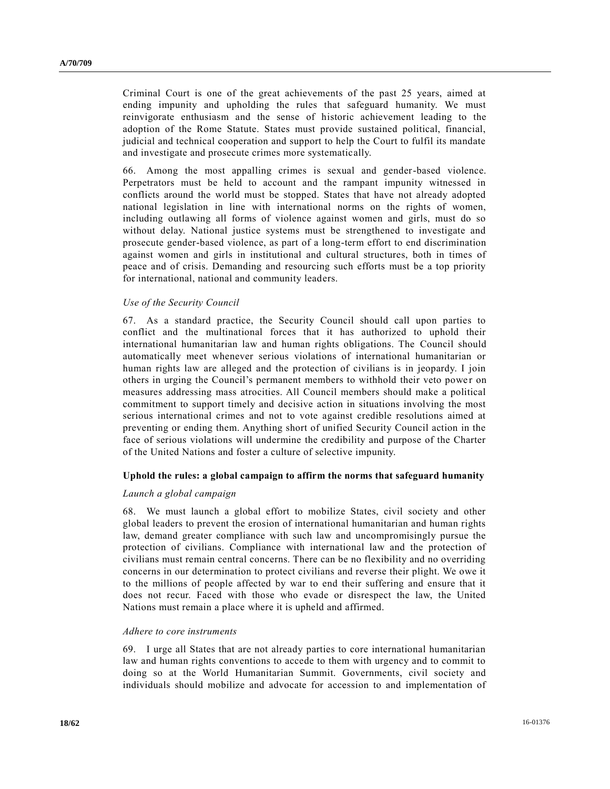Criminal Court is one of the great achievements of the past 25 years, aimed at ending impunity and upholding the rules that safeguard humanity. We must reinvigorate enthusiasm and the sense of historic achievement leading to the adoption of the Rome Statute. States must provide sustained political, financial, judicial and technical cooperation and support to help the Court to fulfil its mandate and investigate and prosecute crimes more systematically.

66. Among the most appalling crimes is sexual and gender-based violence. Perpetrators must be held to account and the rampant impunity witnessed in conflicts around the world must be stopped. States that have not already adopted national legislation in line with international norms on the rights of women, including outlawing all forms of violence against women and girls, must do so without delay. National justice systems must be strengthened to investigate and prosecute gender-based violence, as part of a long-term effort to end discrimination against women and girls in institutional and cultural structures, both in times of peace and of crisis. Demanding and resourcing such efforts must be a top priority for international, national and community leaders.

## *Use of the Security Council*

67. As a standard practice, the Security Council should call upon parties to conflict and the multinational forces that it has authorized to uphold their international humanitarian law and human rights obligations. The Council should automatically meet whenever serious violations of international humanitarian or human rights law are alleged and the protection of civilians is in jeopardy. I join others in urging the Council's permanent members to withhold their veto power on measures addressing mass atrocities. All Council members should make a political commitment to support timely and decisive action in situations involving the most serious international crimes and not to vote against credible resolutions aimed at preventing or ending them. Anything short of unified Security Council action in the face of serious violations will undermine the credibility and purpose of the Charter of the United Nations and foster a culture of selective impunity.

## **Uphold the rules: a global campaign to affirm the norms that safeguard humanity**

## *Launch a global campaign*

68. We must launch a global effort to mobilize States, civil society and other global leaders to prevent the erosion of international humanitarian and human rights law, demand greater compliance with such law and uncompromisingly pursue the protection of civilians. Compliance with international law and the protection of civilians must remain central concerns. There can be no flexibility and no overriding concerns in our determination to protect civilians and reverse their plight. We owe it to the millions of people affected by war to end their suffering and ensure that it does not recur. Faced with those who evade or disrespect the law, the United Nations must remain a place where it is upheld and affirmed.

## *Adhere to core instruments*

69. I urge all States that are not already parties to core international humanitarian law and human rights conventions to accede to them with urgency and to commit to doing so at the World Humanitarian Summit. Governments, civil society and individuals should mobilize and advocate for accession to and implementation of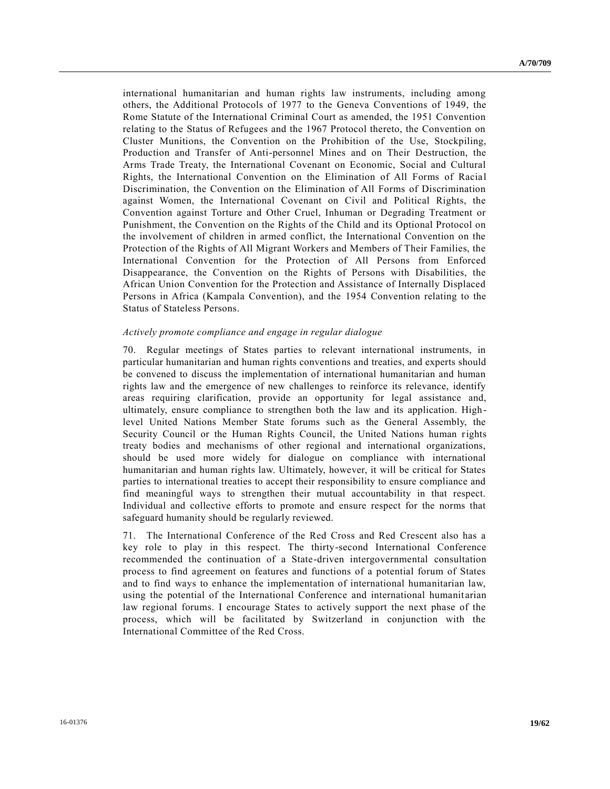international humanitarian and human rights law instruments, including among others, the Additional Protocols of 1977 to the Geneva Conventions of 1949, the Rome Statute of the International Criminal Court as amended, the 1951 Convention relating to the Status of Refugees and the 1967 Protocol thereto, the Convention on Cluster Munitions, the Convention on the Prohibition of the Use, Stockpiling, Production and Transfer of Anti-personnel Mines and on Their Destruction, the Arms Trade Treaty, the International Covenant on Economic, Social and Cultural Rights, the International Convention on the Elimination of All Forms of Racia l Discrimination, the Convention on the Elimination of All Forms of Discrimination against Women, the International Covenant on Civil and Political Rights, the Convention against Torture and Other Cruel, Inhuman or Degrading Treatment or Punishment, the Convention on the Rights of the Child and its Optional Protocol on the involvement of children in armed conflict, the International Convention on the Protection of the Rights of All Migrant Workers and Members of Their Families, the International Convention for the Protection of All Persons from Enforced Disappearance, the Convention on the Rights of Persons with Disabilities, the African Union Convention for the Protection and Assistance of Internally Displaced Persons in Africa (Kampala Convention), and the 1954 Convention relating to the Status of Stateless Persons.

## *Actively promote compliance and engage in regular dialogue*

70. Regular meetings of States parties to relevant international instruments, in particular humanitarian and human rights conventions and treaties, and experts should be convened to discuss the implementation of international humanitarian and human rights law and the emergence of new challenges to reinforce its relevance, identify areas requiring clarification, provide an opportunity for legal assistance and, ultimately, ensure compliance to strengthen both the law and its application. Highlevel United Nations Member State forums such as the General Assembly, the Security Council or the Human Rights Council, the United Nations human rights treaty bodies and mechanisms of other regional and international organizations, should be used more widely for dialogue on compliance with international humanitarian and human rights law. Ultimately, however, it will be critical for States parties to international treaties to accept their responsibility to ensure compliance and find meaningful ways to strengthen their mutual accountability in that respect. Individual and collective efforts to promote and ensure respect for the norms that safeguard humanity should be regularly reviewed.

71. The International Conference of the Red Cross and Red Crescent also has a key role to play in this respect. The thirty-second International Conference recommended the continuation of a State-driven intergovernmental consultation process to find agreement on features and functions of a potential forum of States and to find ways to enhance the implementation of international humanitarian law, using the potential of the International Conference and international humanitarian law regional forums. I encourage States to actively support the next phase of the process, which will be facilitated by Switzerland in conjunction with the International Committee of the Red Cross.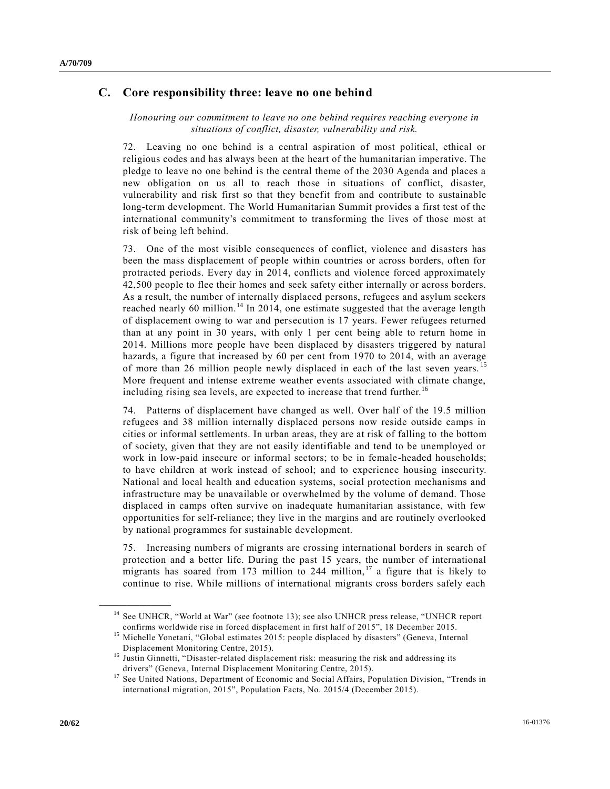# **C. Core responsibility three: leave no one behind**

## *Honouring our commitment to leave no one behind requires reaching everyone in situations of conflict, disaster, vulnerability and risk.*

72. Leaving no one behind is a central aspiration of most political, ethical or religious codes and has always been at the heart of the humanitarian imperative. The pledge to leave no one behind is the central theme of the 2030 Agenda and places a new obligation on us all to reach those in situations of conflict, disaster, vulnerability and risk first so that they benefit from and contribute to sustainable long-term development. The World Humanitarian Summit provides a first test of the international community's commitment to transforming the lives of those most at risk of being left behind.

73. One of the most visible consequences of conflict, violence and disasters has been the mass displacement of people within countries or across borders, often for protracted periods. Every day in 2014, conflicts and violence forced approximately 42,500 people to flee their homes and seek safety either internally or across borders. As a result, the number of internally displaced persons, refugees and asylum seekers reached nearly 60 million.<sup>14</sup> In 2014, one estimate suggested that the average length of displacement owing to war and persecution is 17 years. Fewer refugees returned than at any point in 30 years, with only 1 per cent being able to return home in 2014. Millions more people have been displaced by disasters triggered by natural hazards, a figure that increased by 60 per cent from 1970 to 2014, with an average of more than 26 million people newly displaced in each of the last seven years.<sup>15</sup> More frequent and intense extreme weather events associated with climate change, including rising sea levels, are expected to increase that trend further.<sup>16</sup>

74. Patterns of displacement have changed as well. Over half of the 19.5 million refugees and 38 million internally displaced persons now reside outside camps in cities or informal settlements. In urban areas, they are at risk of falling to the bottom of society, given that they are not easily identifiable and tend to be unemployed or work in low-paid insecure or informal sectors; to be in female-headed households; to have children at work instead of school; and to experience housing insecurity. National and local health and education systems, social protection mechanisms and infrastructure may be unavailable or overwhelmed by the volume of demand. Those displaced in camps often survive on inadequate humanitarian assistance, with few opportunities for self-reliance; they live in the margins and are routinely overlooked by national programmes for sustainable development.

75. Increasing numbers of migrants are crossing international borders in search of protection and a better life. During the past 15 years, the number of international migrants has soared from 173 million to 244 million,<sup>17</sup> a figure that is likely to continue to rise. While millions of international migrants cross borders safely each

<sup>&</sup>lt;sup>14</sup> See UNHCR, "World at War" (see footnote 13); see also UNHCR press release, "UNHCR report confirms worldwide rise in forced displacement in first half of 2015", 18 December 2015.

<sup>&</sup>lt;sup>15</sup> Michelle Yonetani, "Global estimates 2015: people displaced by disasters" (Geneva, Internal Displacement Monitoring Centre, 2015).

<sup>&</sup>lt;sup>16</sup> Justin Ginnetti, "Disaster-related displacement risk: measuring the risk and addressing its drivers" (Geneva, Internal Displacement Monitoring Centre, 2015).

<sup>&</sup>lt;sup>17</sup> See United Nations, Department of Economic and Social Affairs, Population Division, "Trends in international migration, 2015", Population Facts, No. 2015/4 (December 2015).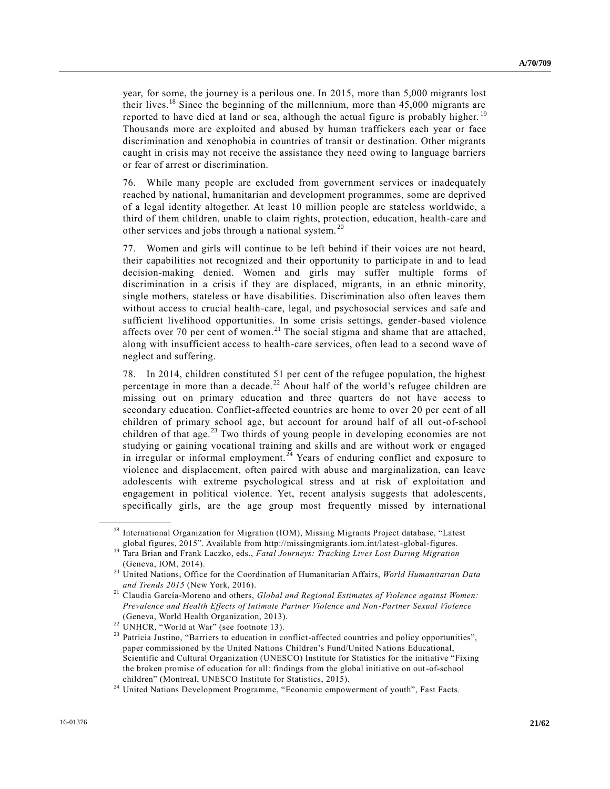year, for some, the journey is a perilous one. In 2015, more than 5,000 migrants lost their lives.<sup>18</sup> Since the beginning of the millennium, more than 45,000 migrants are reported to have died at land or sea, although the actual figure is probably higher.<sup>19</sup> Thousands more are exploited and abused by human traffickers each year or face discrimination and xenophobia in countries of transit or destination. Other migrants caught in crisis may not receive the assistance they need owing to language barriers or fear of arrest or discrimination.

76. While many people are excluded from government services or inadequately reached by national, humanitarian and development programmes, some are deprived of a legal identity altogether. At least 10 million people are stateless worldwide, a third of them children, unable to claim rights, protection, education, health-care and other services and jobs through a national system.<sup>20</sup>

77. Women and girls will continue to be left behind if their voices are not heard, their capabilities not recognized and their opportunity to participate in and to lead decision-making denied. Women and girls may suffer multiple forms of discrimination in a crisis if they are displaced, migrants, in an ethnic minority, single mothers, stateless or have disabilities. Discrimination also often leaves them without access to crucial health-care, legal, and psychosocial services and safe and sufficient livelihood opportunities. In some crisis settings, gender-based violence affects over 70 per cent of women.<sup>21</sup> The social stigma and shame that are attached, along with insufficient access to health-care services, often lead to a second wave of neglect and suffering.

78. In 2014, children constituted 51 per cent of the refugee population, the highest percentage in more than a decade.<sup>22</sup> About half of the world's refugee children are missing out on primary education and three quarters do not have access to secondary education. Conflict-affected countries are home to over 20 per cent of all children of primary school age, but account for around half of all out-of-school children of that age.<sup>23</sup> Two thirds of young people in developing economies are not studying or gaining vocational training and skills and are without work or engaged in irregular or informal employment.<sup>24</sup> Years of enduring conflict and exposure to violence and displacement, often paired with abuse and marginalization, can leave adolescents with extreme psychological stress and at risk of exploitation and engagement in political violence. Yet, recent analysis suggests that adolescents, specifically girls, are the age group most frequently missed by international

<sup>&</sup>lt;sup>18</sup> International Organization for Migration (IOM), Missing Migrants Project database, "Latest global figures, 2015". Available from http://missingmigrants.iom.int/latest-global-figures.

<sup>19</sup> Tara Brian and Frank Laczko, eds., *Fatal Journeys: Tracking Lives Lost During Migration* (Geneva, IOM, 2014).

<sup>20</sup> United Nations, Office for the Coordination of Humanitarian Affairs, *World Humanitarian Data and Trends 2015* (New York, 2016).

<sup>21</sup> Claudia García-Moreno and others, *Global and Regional Estimates of Violence against Women: Prevalence and Health Effects of Intimate Partner Violence and Non-Partner Sexual Violence* (Geneva, World Health Organization, 2013).

 $22$  UNHCR, "World at War" (see footnote 13).

<sup>&</sup>lt;sup>23</sup> Patricia Justino, "Barriers to education in conflict-affected countries and policy opportunities", paper commissioned by the United Nations Children's Fund/United Nations Educational, Scientific and Cultural Organization (UNESCO) Institute for Statistics for the initiative "Fixing the broken promise of education for all: findings from the global initiative on out-of-school children" (Montreal, UNESCO Institute for Statistics, 2015).

<sup>&</sup>lt;sup>24</sup> United Nations Development Programme, "Economic empowerment of youth", Fast Facts.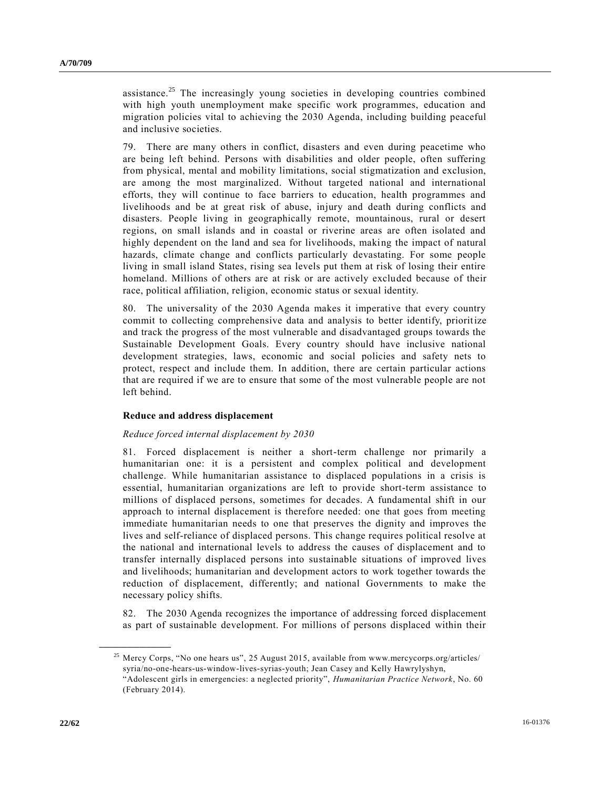assistance.<sup>25</sup> The increasingly young societies in developing countries combined with high youth unemployment make specific work programmes, education and migration policies vital to achieving the 2030 Agenda, including building peaceful and inclusive societies.

79. There are many others in conflict, disasters and even during peacetime who are being left behind. Persons with disabilities and older people, often suffering from physical, mental and mobility limitations, social stigmatization and exclusion, are among the most marginalized. Without targeted national and international efforts, they will continue to face barriers to education, health programmes and livelihoods and be at great risk of abuse, injury and death during conflicts and disasters. People living in geographically remote, mountainous, rural or desert regions, on small islands and in coastal or riverine areas are often isolated and highly dependent on the land and sea for livelihoods, making the impact of natural hazards, climate change and conflicts particularly devastating. For some people living in small island States, rising sea levels put them at risk of losing their entire homeland. Millions of others are at risk or are actively excluded because of their race, political affiliation, religion, economic status or sexual identity.

80. The universality of the 2030 Agenda makes it imperative that every country commit to collecting comprehensive data and analysis to better identify, prioritize and track the progress of the most vulnerable and disadvantaged groups towards the Sustainable Development Goals. Every country should have inclusive national development strategies, laws, economic and social policies and safety nets to protect, respect and include them. In addition, there are certain particular actions that are required if we are to ensure that some of the most vulnerable people are not left behind.

## **Reduce and address displacement**

#### *Reduce forced internal displacement by 2030*

81. Forced displacement is neither a short-term challenge nor primarily a humanitarian one: it is a persistent and complex political and development challenge. While humanitarian assistance to displaced populations in a crisis is essential, humanitarian organizations are left to provide short-term assistance to millions of displaced persons, sometimes for decades. A fundamental shift in our approach to internal displacement is therefore needed: one that goes from meeting immediate humanitarian needs to one that preserves the dignity and improves the lives and self-reliance of displaced persons. This change requires political resolve at the national and international levels to address the causes of displacement and to transfer internally displaced persons into sustainable situations of improved lives and livelihoods; humanitarian and development actors to work together towards the reduction of displacement, differently; and national Governments to make the necessary policy shifts.

82. The 2030 Agenda recognizes the importance of addressing forced displacement as part of sustainable development. For millions of persons displaced within their

<sup>&</sup>lt;sup>25</sup> Mercy Corps, "No one hears us", 25 August 2015, available from www.mercycorps.org/articles/ syria/no-one-hears-us-window-lives-syrias-youth; Jean Casey and Kelly Hawrylyshyn, "Adolescent girls in emergencies: a neglected priority", *Humanitarian Practice Network*, No. 60 (February 2014).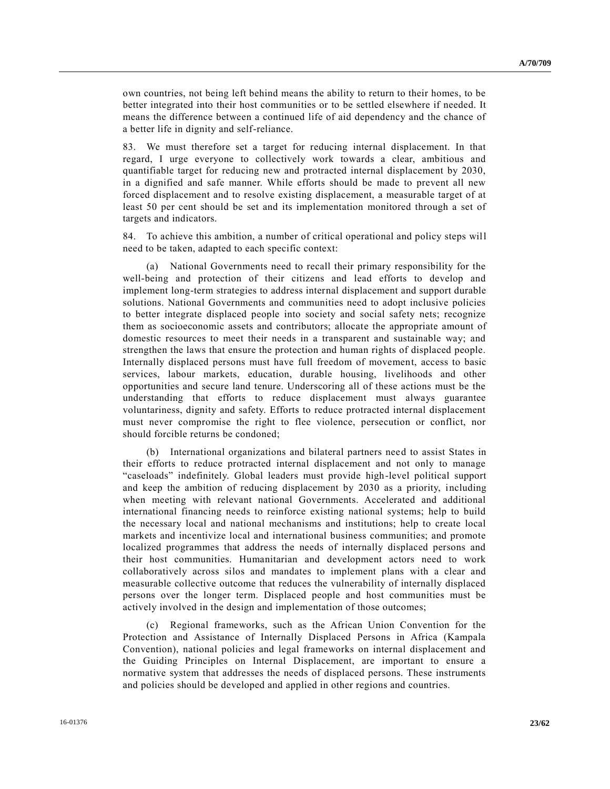own countries, not being left behind means the ability to return to their homes, to be better integrated into their host communities or to be settled elsewhere if needed. It means the difference between a continued life of aid dependency and the chance of a better life in dignity and self-reliance.

83. We must therefore set a target for reducing internal displacement. In that regard, I urge everyone to collectively work towards a clear, ambitious and quantifiable target for reducing new and protracted internal displacement by 2030, in a dignified and safe manner. While efforts should be made to prevent all new forced displacement and to resolve existing displacement, a measurable target of at least 50 per cent should be set and its implementation monitored through a set of targets and indicators.

84. To achieve this ambition, a number of critical operational and policy steps will need to be taken, adapted to each specific context:

(a) National Governments need to recall their primary responsibility for the well-being and protection of their citizens and lead efforts to develop and implement long-term strategies to address internal displacement and support durable solutions. National Governments and communities need to adopt inclusive policies to better integrate displaced people into society and social safety nets; recognize them as socioeconomic assets and contributors; allocate the appropriate amount of domestic resources to meet their needs in a transparent and sustainable way; and strengthen the laws that ensure the protection and human rights of displaced people. Internally displaced persons must have full freedom of movement, access to basic services, labour markets, education, durable housing, livelihoods and other opportunities and secure land tenure. Underscoring all of these actions must be the understanding that efforts to reduce displacement must always guarantee voluntariness, dignity and safety. Efforts to reduce protracted internal displacement must never compromise the right to flee violence, persecution or conflict, nor should forcible returns be condoned;

(b) International organizations and bilateral partners need to assist States in their efforts to reduce protracted internal displacement and not only to manage "caseloads" indefinitely. Global leaders must provide high-level political support and keep the ambition of reducing displacement by 2030 as a priority, including when meeting with relevant national Governments. Accelerated and additional international financing needs to reinforce existing national systems; help to build the necessary local and national mechanisms and institutions; help to create local markets and incentivize local and international business communities; and promote localized programmes that address the needs of internally displaced persons and their host communities. Humanitarian and development actors need to work collaboratively across silos and mandates to implement plans with a clear and measurable collective outcome that reduces the vulnerability of internally displaced persons over the longer term. Displaced people and host communities must be actively involved in the design and implementation of those outcomes;

(c) Regional frameworks, such as the African Union Convention for the Protection and Assistance of Internally Displaced Persons in Africa (Kampala Convention), national policies and legal frameworks on internal displacement and the Guiding Principles on Internal Displacement, are important to ensure a normative system that addresses the needs of displaced persons. These instruments and policies should be developed and applied in other regions and countries.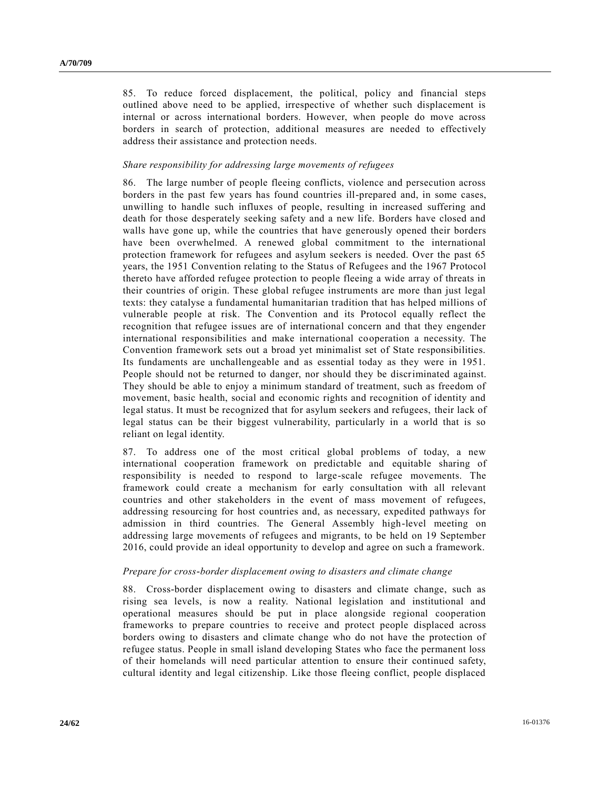85. To reduce forced displacement, the political, policy and financial steps outlined above need to be applied, irrespective of whether such displacement is internal or across international borders. However, when people do move across borders in search of protection, additional measures are needed to effectively address their assistance and protection needs.

### *Share responsibility for addressing large movements of refugees*

86. The large number of people fleeing conflicts, violence and persecution across borders in the past few years has found countries ill-prepared and, in some cases, unwilling to handle such influxes of people, resulting in increased suffering and death for those desperately seeking safety and a new life. Borders have closed and walls have gone up, while the countries that have generously opened their borders have been overwhelmed. A renewed global commitment to the international protection framework for refugees and asylum seekers is needed. Over the past 65 years, the 1951 Convention relating to the Status of Refugees and the 1967 Protocol thereto have afforded refugee protection to people fleeing a wide array of threats in their countries of origin. These global refugee instruments are more than just legal texts: they catalyse a fundamental humanitarian tradition that has helped millions of vulnerable people at risk. The Convention and its Protocol equally reflect the recognition that refugee issues are of international concern and that they engender international responsibilities and make international cooperation a necessity. The Convention framework sets out a broad yet minimalist set of State responsibilities. Its fundaments are unchallengeable and as essential today as they were in 1951. People should not be returned to danger, nor should they be discriminated against. They should be able to enjoy a minimum standard of treatment, such as freedom of movement, basic health, social and economic rights and recognition of identity and legal status. It must be recognized that for asylum seekers and refugees, their lack of legal status can be their biggest vulnerability, particularly in a world that is so reliant on legal identity.

87. To address one of the most critical global problems of today, a new international cooperation framework on predictable and equitable sharing of responsibility is needed to respond to large-scale refugee movements. The framework could create a mechanism for early consultation with all relevant countries and other stakeholders in the event of mass movement of refugees, addressing resourcing for host countries and, as necessary, expedited pathways for admission in third countries. The General Assembly high-level meeting on addressing large movements of refugees and migrants, to be held on 19 September 2016, could provide an ideal opportunity to develop and agree on such a framework.

#### *Prepare for cross-border displacement owing to disasters and climate change*

88. Cross-border displacement owing to disasters and climate change, such as rising sea levels, is now a reality. National legislation and institutional and operational measures should be put in place alongside regional cooperation frameworks to prepare countries to receive and protect people displaced across borders owing to disasters and climate change who do not have the protection of refugee status. People in small island developing States who face the permanent loss of their homelands will need particular attention to ensure their continued safety, cultural identity and legal citizenship. Like those fleeing conflict, people displaced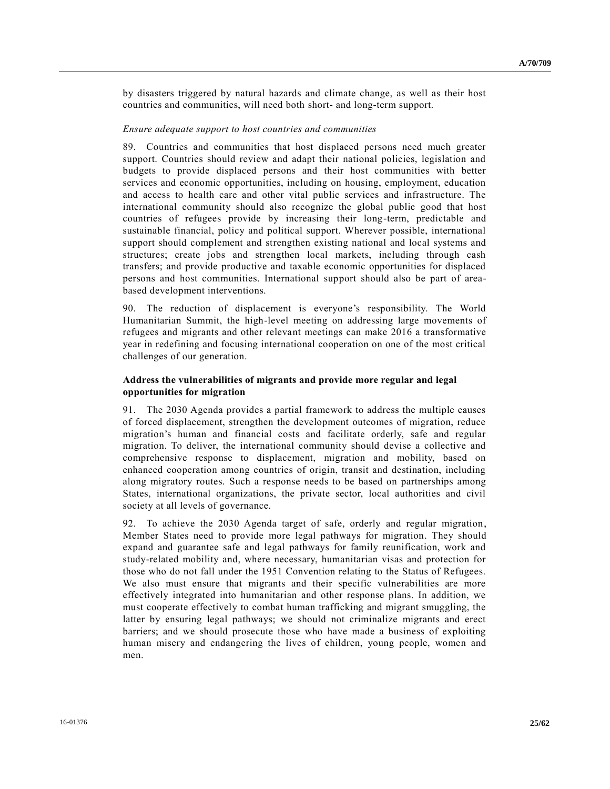by disasters triggered by natural hazards and climate change, as well as their host countries and communities, will need both short- and long-term support.

#### *Ensure adequate support to host countries and communities*

89. Countries and communities that host displaced persons need much greater support. Countries should review and adapt their national policies, legislation and budgets to provide displaced persons and their host communities with better services and economic opportunities, including on housing, employment, education and access to health care and other vital public services and infrastructure. The international community should also recognize the global public good that host countries of refugees provide by increasing their long-term, predictable and sustainable financial, policy and political support. Wherever possible, international support should complement and strengthen existing national and local systems and structures; create jobs and strengthen local markets, including through cash transfers; and provide productive and taxable economic opportunities for displaced persons and host communities. International support should also be part of areabased development interventions.

90. The reduction of displacement is everyone's responsibility. The World Humanitarian Summit, the high-level meeting on addressing large movements of refugees and migrants and other relevant meetings can make 2016 a transformative year in redefining and focusing international cooperation on one of the most critical challenges of our generation.

## **Address the vulnerabilities of migrants and provide more regular and legal opportunities for migration**

91. The 2030 Agenda provides a partial framework to address the multiple causes of forced displacement, strengthen the development outcomes of migration, reduce migration's human and financial costs and facilitate orderly, safe and regular migration. To deliver, the international community should devise a collective and comprehensive response to displacement, migration and mobility, based on enhanced cooperation among countries of origin, transit and destination, including along migratory routes. Such a response needs to be based on partnerships among States, international organizations, the private sector, local authorities and civil society at all levels of governance.

92. To achieve the 2030 Agenda target of safe, orderly and regular migration, Member States need to provide more legal pathways for migration. They should expand and guarantee safe and legal pathways for family reunification, work and study-related mobility and, where necessary, humanitarian visas and protection for those who do not fall under the 1951 Convention relating to the Status of Refugees. We also must ensure that migrants and their specific vulnerabilities are more effectively integrated into humanitarian and other response plans. In addition, we must cooperate effectively to combat human trafficking and migrant smuggling, the latter by ensuring legal pathways; we should not criminalize migrants and erect barriers; and we should prosecute those who have made a business of exploiting human misery and endangering the lives of children, young people, women and men.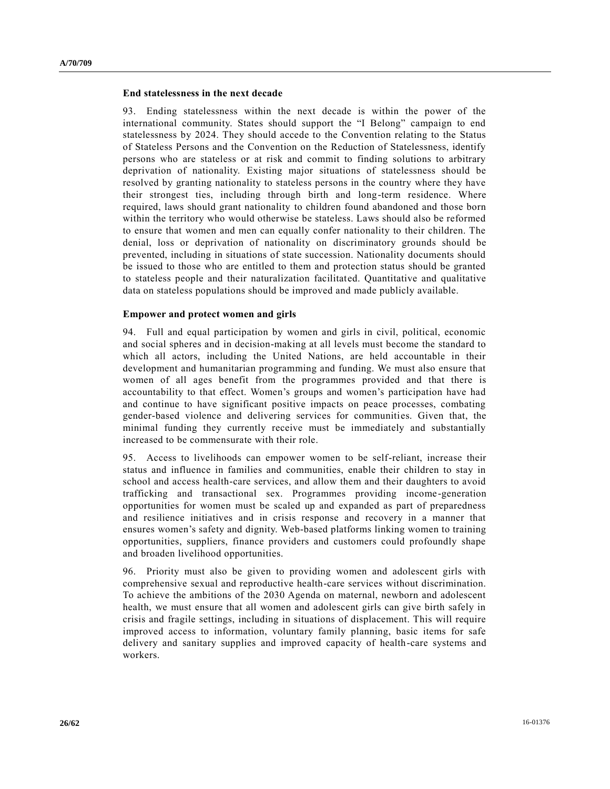## **End statelessness in the next decade**

93. Ending statelessness within the next decade is within the power of the international community. States should support the "I Belong" campaign to end statelessness by 2024. They should accede to the Convention relating to the Status of Stateless Persons and the Convention on the Reduction of Statelessness, identify persons who are stateless or at risk and commit to finding solutions to arbitrary deprivation of nationality. Existing major situations of statelessness should be resolved by granting nationality to stateless persons in the country where they have their strongest ties, including through birth and long-term residence. Where required, laws should grant nationality to children found abandoned and those born within the territory who would otherwise be stateless. Laws should also be reformed to ensure that women and men can equally confer nationality to their children. The denial, loss or deprivation of nationality on discriminatory grounds should be prevented, including in situations of state succession. Nationality documents should be issued to those who are entitled to them and protection status should be granted to stateless people and their naturalization facilitated. Quantitative and qualitative data on stateless populations should be improved and made publicly available.

#### **Empower and protect women and girls**

94. Full and equal participation by women and girls in civil, political, economic and social spheres and in decision-making at all levels must become the standard to which all actors, including the United Nations, are held accountable in their development and humanitarian programming and funding. We must also ensure that women of all ages benefit from the programmes provided and that there is accountability to that effect. Women's groups and women's participation have had and continue to have significant positive impacts on peace processes, combating gender-based violence and delivering services for communities. Given that, the minimal funding they currently receive must be immediately and substantially increased to be commensurate with their role.

95. Access to livelihoods can empower women to be self-reliant, increase their status and influence in families and communities, enable their children to stay in school and access health-care services, and allow them and their daughters to avoid trafficking and transactional sex. Programmes providing income-generation opportunities for women must be scaled up and expanded as part of preparedness and resilience initiatives and in crisis response and recovery in a manner that ensures women's safety and dignity. Web-based platforms linking women to training opportunities, suppliers, finance providers and customers could profoundly shape and broaden livelihood opportunities.

96. Priority must also be given to providing women and adolescent girls with comprehensive sexual and reproductive health-care services without discrimination. To achieve the ambitions of the 2030 Agenda on maternal, newborn and adolescent health, we must ensure that all women and adolescent girls can give birth safely in crisis and fragile settings, including in situations of displacement. This will require improved access to information, voluntary family planning, basic items for safe delivery and sanitary supplies and improved capacity of health-care systems and workers.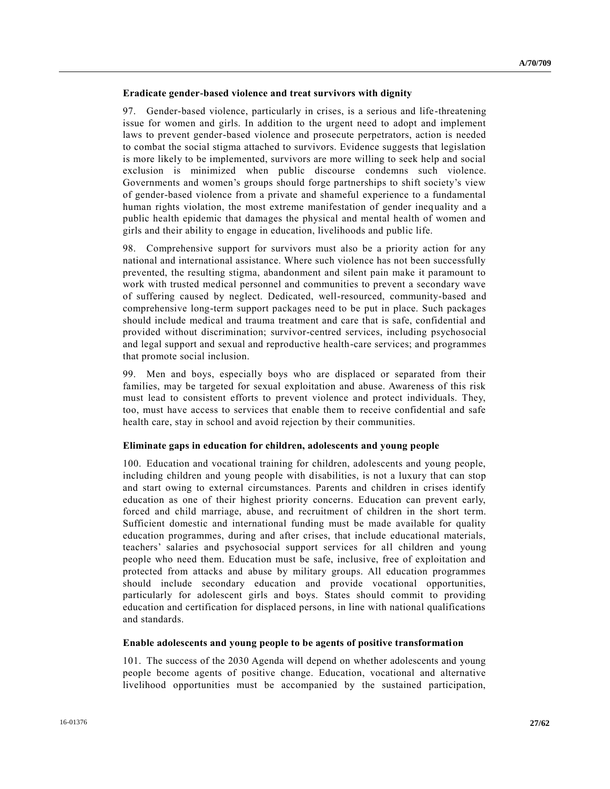## **Eradicate gender-based violence and treat survivors with dignity**

97. Gender-based violence, particularly in crises, is a serious and life -threatening issue for women and girls. In addition to the urgent need to adopt and implement laws to prevent gender-based violence and prosecute perpetrators, action is needed to combat the social stigma attached to survivors. Evidence suggests that legislation is more likely to be implemented, survivors are more willing to seek help and social exclusion is minimized when public discourse condemns such violence. Governments and women's groups should forge partnerships to shift society's view of gender-based violence from a private and shameful experience to a fundamental human rights violation, the most extreme manifestation of gender inequality and a public health epidemic that damages the physical and mental health of women and girls and their ability to engage in education, livelihoods and public life.

98. Comprehensive support for survivors must also be a priority action for any national and international assistance. Where such violence has not been successfully prevented, the resulting stigma, abandonment and silent pain make it paramount to work with trusted medical personnel and communities to prevent a secondary wave of suffering caused by neglect. Dedicated, well-resourced, community-based and comprehensive long-term support packages need to be put in place. Such packages should include medical and trauma treatment and care that is safe, confidential and provided without discrimination; survivor-centred services, including psychosocial and legal support and sexual and reproductive health-care services; and programmes that promote social inclusion.

99. Men and boys, especially boys who are displaced or separated from their families, may be targeted for sexual exploitation and abuse. Awareness of this risk must lead to consistent efforts to prevent violence and protect individuals. They, too, must have access to services that enable them to receive confidential and safe health care, stay in school and avoid rejection by their communities.

## **Eliminate gaps in education for children, adolescents and young people**

100. Education and vocational training for children, adolescents and young people, including children and young people with disabilities, is not a luxury that can stop and start owing to external circumstances. Parents and children in crises identify education as one of their highest priority concerns. Education can prevent early, forced and child marriage, abuse, and recruitment of children in the short term. Sufficient domestic and international funding must be made available for quality education programmes, during and after crises, that include educational materials, teachers' salaries and psychosocial support services for all children and young people who need them. Education must be safe, inclusive, free of exploitation and protected from attacks and abuse by military groups. All education programmes should include secondary education and provide vocational opportunities, particularly for adolescent girls and boys. States should commit to providing education and certification for displaced persons, in line with national qualifications and standards.

## **Enable adolescents and young people to be agents of positive transformation**

101. The success of the 2030 Agenda will depend on whether adolescents and young people become agents of positive change. Education, vocational and alternative livelihood opportunities must be accompanied by the sustained participation,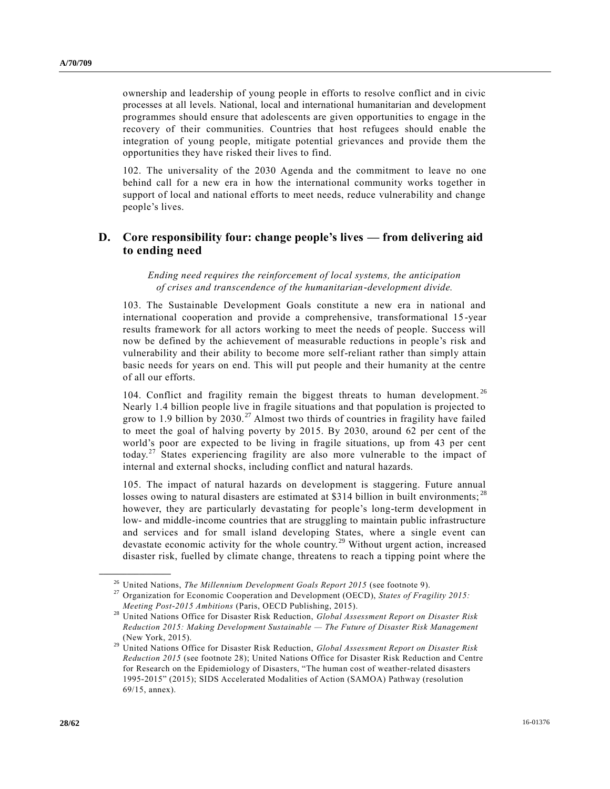ownership and leadership of young people in efforts to resolve conflict and in civic processes at all levels. National, local and international humanitarian and development programmes should ensure that adolescents are given opportunities to engage in the recovery of their communities. Countries that host refugees should enable the integration of young people, mitigate potential grievances and provide them the opportunities they have risked their lives to find.

102. The universality of the 2030 Agenda and the commitment to leave no one behind call for a new era in how the international community works together in support of local and national efforts to meet needs, reduce vulnerability and change people's lives.

# **D. Core responsibility four: change people's lives — from delivering aid to ending need**

*Ending need requires the reinforcement of local systems, the anticipation of crises and transcendence of the humanitarian-development divide.*

103. The Sustainable Development Goals constitute a new era in national and international cooperation and provide a comprehensive, transformational 15 -year results framework for all actors working to meet the needs of people. Success will now be defined by the achievement of measurable reductions in people's risk and vulnerability and their ability to become more self-reliant rather than simply attain basic needs for years on end. This will put people and their humanity at the centre of all our efforts.

104. Conflict and fragility remain the biggest threats to human development.<sup>26</sup> Nearly 1.4 billion people live in fragile situations and that population is projected to grow to 1.9 billion by 2030.<sup>27</sup> Almost two thirds of countries in fragility have failed to meet the goal of halving poverty by 2015. By 2030, around 62 per cent of the world's poor are expected to be living in fragile situations, up from 43 per cent today.<sup>27</sup> States experiencing fragility are also more vulnerable to the impact of internal and external shocks, including conflict and natural hazards.

105. The impact of natural hazards on development is staggering. Future annual losses owing to natural disasters are estimated at \$314 billion in built environments;  $^{28}$ however, they are particularly devastating for people's long-term development in low- and middle-income countries that are struggling to maintain public infrastructure and services and for small island developing States, where a single event can devastate economic activity for the whole country. <sup>29</sup> Without urgent action, increased disaster risk, fuelled by climate change, threatens to reach a tipping point where the

<sup>26</sup> United Nations, *The Millennium Development Goals Report 2015* (see footnote 9).

<sup>27</sup> Organization for Economic Cooperation and Development (OECD), *States of Fragility 2015: Meeting Post-2015 Ambitions* (Paris, OECD Publishing, 2015).

<sup>28</sup> United Nations Office for Disaster Risk Reduction, *Global Assessment Report on Disaster Risk Reduction 2015: Making Development Sustainable — The Future of Disaster Risk Management* (New York, 2015).

<sup>29</sup> United Nations Office for Disaster Risk Reduction, *Global Assessment Report on Disaster Risk Reduction 2015* (see footnote 28); United Nations Office for Disaster Risk Reduction and Centre for Research on the Epidemiology of Disasters, "The human cost of weather-related disasters 1995-2015" (2015); SIDS Accelerated Modalities of Action (SAMOA) Pathway (resolution 69/15, annex).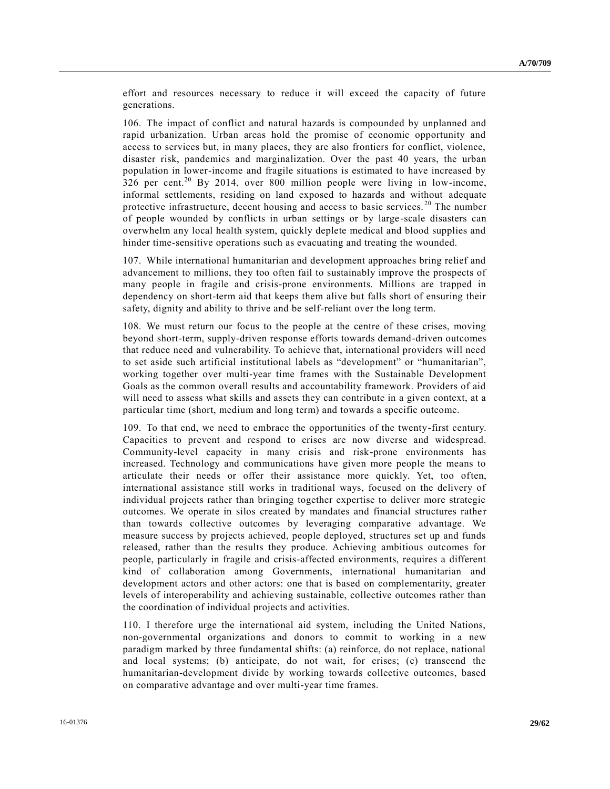effort and resources necessary to reduce it will exceed the capacity of future generations.

106. The impact of conflict and natural hazards is compounded by unplanned and rapid urbanization. Urban areas hold the promise of economic opportunity and access to services but, in many places, they are also frontiers for conflict, violence, disaster risk, pandemics and marginalization. Over the past 40 years, the urban population in lower-income and fragile situations is estimated to have increased by 326 per cent.<sup>20</sup> By 2014, over 800 million people were living in low-income, informal settlements, residing on land exposed to hazards and without adequate protective infrastructure, decent housing and access to basic services.<sup>20</sup> The number of people wounded by conflicts in urban settings or by large-scale disasters can overwhelm any local health system, quickly deplete medical and blood supplies and hinder time-sensitive operations such as evacuating and treating the wounded.

107. While international humanitarian and development approaches bring relief and advancement to millions, they too often fail to sustainably improve the prospects of many people in fragile and crisis-prone environments. Millions are trapped in dependency on short-term aid that keeps them alive but falls short of ensuring their safety, dignity and ability to thrive and be self-reliant over the long term.

108. We must return our focus to the people at the centre of these crises, moving beyond short-term, supply-driven response efforts towards demand-driven outcomes that reduce need and vulnerability. To achieve that, international providers will need to set aside such artificial institutional labels as "development" or "humanitarian", working together over multi-year time frames with the Sustainable Development Goals as the common overall results and accountability framework. Providers of aid will need to assess what skills and assets they can contribute in a given context, at a particular time (short, medium and long term) and towards a specific outcome.

109. To that end, we need to embrace the opportunities of the twenty-first century. Capacities to prevent and respond to crises are now diverse and widespread. Community-level capacity in many crisis and risk-prone environments has increased. Technology and communications have given more people the means to articulate their needs or offer their assistance more quickly. Yet, too often, international assistance still works in traditional ways, focused on the delivery of individual projects rather than bringing together expertise to deliver more strategic outcomes. We operate in silos created by mandates and financial structures rathe r than towards collective outcomes by leveraging comparative advantage. We measure success by projects achieved, people deployed, structures set up and funds released, rather than the results they produce. Achieving ambitious outcomes for people, particularly in fragile and crisis-affected environments, requires a different kind of collaboration among Governments, international humanitarian and development actors and other actors: one that is based on complementarity, greater levels of interoperability and achieving sustainable, collective outcomes rather than the coordination of individual projects and activities.

110. I therefore urge the international aid system, including the United Nations, non-governmental organizations and donors to commit to working in a new paradigm marked by three fundamental shifts: (a) reinforce, do not replace, national and local systems; (b) anticipate, do not wait, for crises; (c) transcend the humanitarian-development divide by working towards collective outcomes, based on comparative advantage and over multi-year time frames.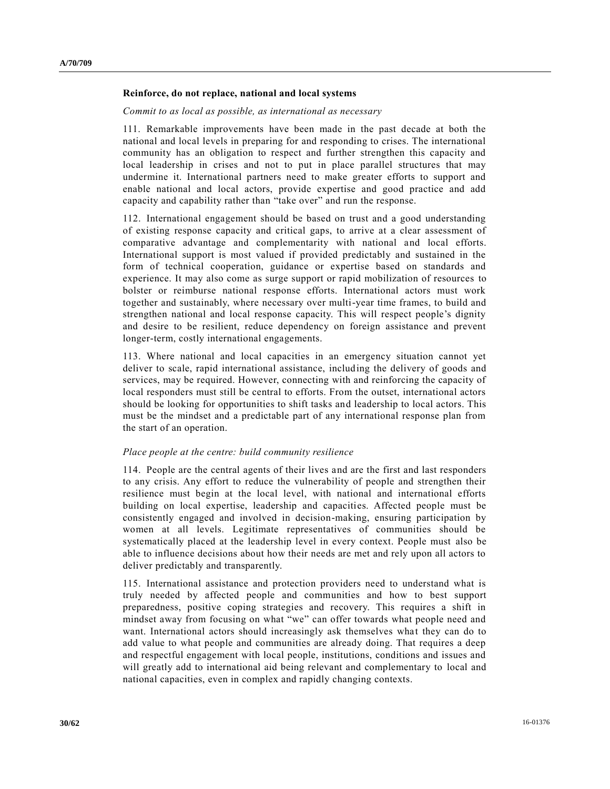## **Reinforce, do not replace, national and local systems**

#### *Commit to as local as possible, as international as necessary*

111. Remarkable improvements have been made in the past decade at both the national and local levels in preparing for and responding to crises. The international community has an obligation to respect and further strengthen this capacity and local leadership in crises and not to put in place parallel structures that may undermine it. International partners need to make greater efforts to support and enable national and local actors, provide expertise and good practice and add capacity and capability rather than "take over" and run the response.

112. International engagement should be based on trust and a good understanding of existing response capacity and critical gaps, to arrive at a clear assessment of comparative advantage and complementarity with national and local efforts. International support is most valued if provided predictably and sustained in the form of technical cooperation, guidance or expertise based on standards and experience. It may also come as surge support or rapid mobilization of resources to bolster or reimburse national response efforts. International actors must work together and sustainably, where necessary over multi-year time frames, to build and strengthen national and local response capacity. This will respect people's dignity and desire to be resilient, reduce dependency on foreign assistance and prevent longer-term, costly international engagements.

113. Where national and local capacities in an emergency situation cannot yet deliver to scale, rapid international assistance, including the delivery of goods and services, may be required. However, connecting with and reinforcing the capacity of local responders must still be central to efforts. From the outset, international actors should be looking for opportunities to shift tasks and leadership to local actors. This must be the mindset and a predictable part of any international response plan from the start of an operation.

## *Place people at the centre: build community resilience*

114. People are the central agents of their lives and are the first and last responders to any crisis. Any effort to reduce the vulnerability of people and strengthen their resilience must begin at the local level, with national and international efforts building on local expertise, leadership and capacities. Affected people must be consistently engaged and involved in decision-making, ensuring participation by women at all levels. Legitimate representatives of communities should be systematically placed at the leadership level in every context. People must also be able to influence decisions about how their needs are met and rely upon all actors to deliver predictably and transparently.

115. International assistance and protection providers need to understand what is truly needed by affected people and communities and how to best support preparedness, positive coping strategies and recovery. This requires a shift in mindset away from focusing on what "we" can offer towards what people need and want. International actors should increasingly ask themselves what they can do to add value to what people and communities are already doing. That requires a deep and respectful engagement with local people, institutions, conditions and issues and will greatly add to international aid being relevant and complementary to local and national capacities, even in complex and rapidly changing contexts.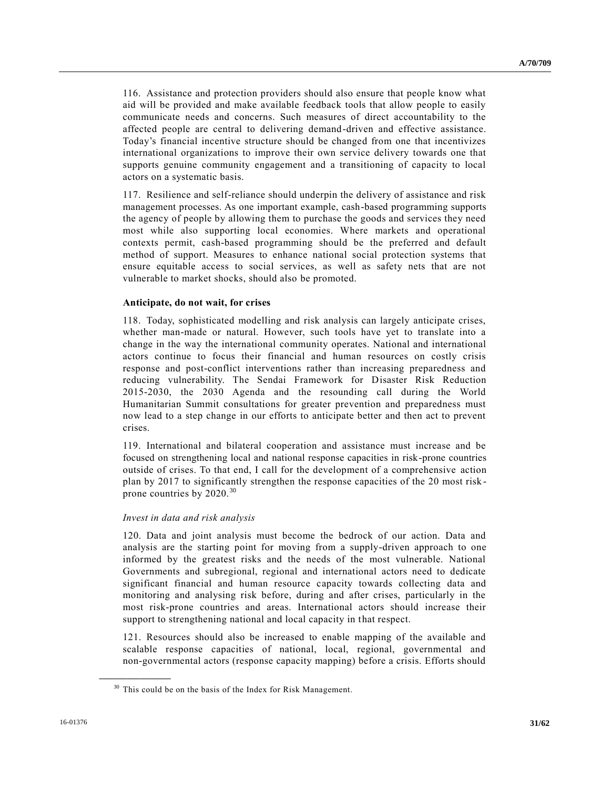116. Assistance and protection providers should also ensure that people know what aid will be provided and make available feedback tools that allow people to easily communicate needs and concerns. Such measures of direct accountability to the affected people are central to delivering demand-driven and effective assistance. Today's financial incentive structure should be changed from one that incentivizes international organizations to improve their own service delivery towards one that supports genuine community engagement and a transitioning of capacity to local actors on a systematic basis.

117. Resilience and self-reliance should underpin the delivery of assistance and risk management processes. As one important example, cash-based programming supports the agency of people by allowing them to purchase the goods and services they need most while also supporting local economies. Where markets and operational contexts permit, cash-based programming should be the preferred and default method of support. Measures to enhance national social protection systems that ensure equitable access to social services, as well as safety nets that are not vulnerable to market shocks, should also be promoted.

## **Anticipate, do not wait, for crises**

118. Today, sophisticated modelling and risk analysis can largely anticipate crises, whether man-made or natural. However, such tools have yet to translate into a change in the way the international community operates. National and international actors continue to focus their financial and human resources on costly crisis response and post-conflict interventions rather than increasing preparedness and reducing vulnerability. The Sendai Framework for Disaster Risk Reduction 2015-2030, the 2030 Agenda and the resounding call during the World Humanitarian Summit consultations for greater prevention and preparedness must now lead to a step change in our efforts to anticipate better and then act to prevent crises.

119. International and bilateral cooperation and assistance must increase and be focused on strengthening local and national response capacities in risk-prone countries outside of crises. To that end, I call for the development of a comprehensive action plan by 2017 to significantly strengthen the response capacities of the 20 most risk prone countries by 2020.<sup>30</sup>

## *Invest in data and risk analysis*

120. Data and joint analysis must become the bedrock of our action. Data and analysis are the starting point for moving from a supply-driven approach to one informed by the greatest risks and the needs of the most vulnerable. National Governments and subregional, regional and international actors need to dedicate significant financial and human resource capacity towards collecting data and monitoring and analysing risk before, during and after crises, particularly in the most risk-prone countries and areas. International actors should increase their support to strengthening national and local capacity in that respect.

121. Resources should also be increased to enable mapping of the available and scalable response capacities of national, local, regional, governmental and non-governmental actors (response capacity mapping) before a crisis. Efforts should

<sup>&</sup>lt;sup>30</sup> This could be on the basis of the Index for Risk Management.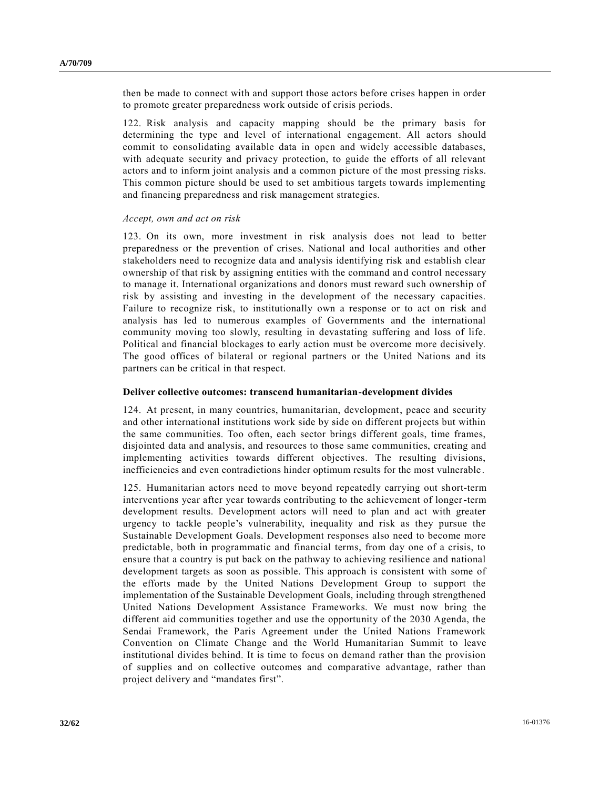then be made to connect with and support those actors before crises happen in order to promote greater preparedness work outside of crisis periods.

122. Risk analysis and capacity mapping should be the primary basis for determining the type and level of international engagement. All actors should commit to consolidating available data in open and widely accessible databases, with adequate security and privacy protection, to guide the efforts of all relevant actors and to inform joint analysis and a common picture of the most pressing risks. This common picture should be used to set ambitious targets towards implementing and financing preparedness and risk management strategies.

#### *Accept, own and act on risk*

123. On its own, more investment in risk analysis does not lead to better preparedness or the prevention of crises. National and local authorities and other stakeholders need to recognize data and analysis identifying risk and establish clear ownership of that risk by assigning entities with the command and control necessary to manage it. International organizations and donors must reward such ownership of risk by assisting and investing in the development of the necessary capacities. Failure to recognize risk, to institutionally own a response or to act on risk and analysis has led to numerous examples of Governments and the international community moving too slowly, resulting in devastating suffering and loss of life. Political and financial blockages to early action must be overcome more decisively. The good offices of bilateral or regional partners or the United Nations and its partners can be critical in that respect.

#### **Deliver collective outcomes: transcend humanitarian-development divides**

124. At present, in many countries, humanitarian, development, peace and security and other international institutions work side by side on different projects but within the same communities. Too often, each sector brings different goals, time frames, disjointed data and analysis, and resources to those same communities, creating and implementing activities towards different objectives. The resulting divisions, inefficiencies and even contradictions hinder optimum results for the most vulnerable .

125. Humanitarian actors need to move beyond repeatedly carrying out short-term interventions year after year towards contributing to the achievement of longer-term development results. Development actors will need to plan and act with greater urgency to tackle people's vulnerability, inequality and risk as they pursue the Sustainable Development Goals. Development responses also need to become more predictable, both in programmatic and financial terms, from day one of a crisis, to ensure that a country is put back on the pathway to achieving resilience and national development targets as soon as possible. This approach is consistent with some of the efforts made by the United Nations Development Group to support the implementation of the Sustainable Development Goals, including through strengthened United Nations Development Assistance Frameworks. We must now bring the different aid communities together and use the opportunity of the 2030 Agenda, the Sendai Framework, the Paris Agreement under the United Nations Framework Convention on Climate Change and the World Humanitarian Summit to leave institutional divides behind. It is time to focus on demand rather than the provision of supplies and on collective outcomes and comparative advantage, rather than project delivery and "mandates first".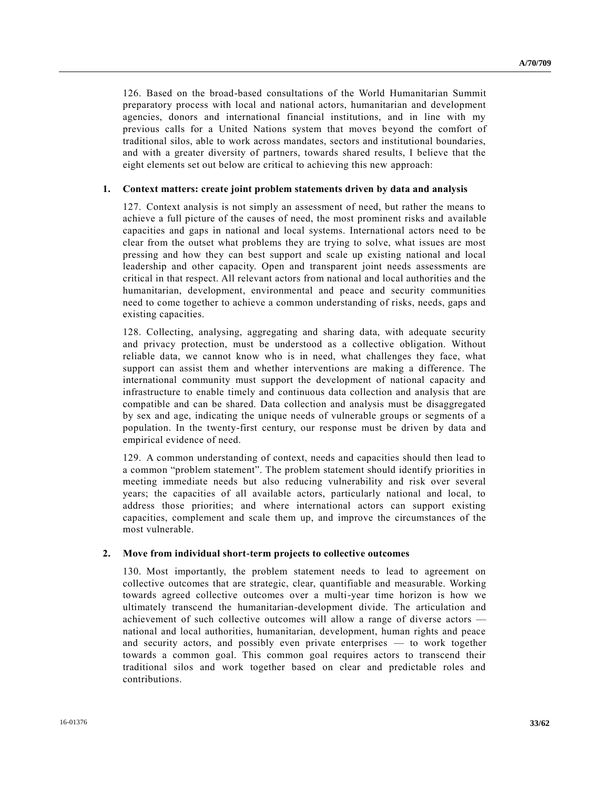126. Based on the broad-based consultations of the World Humanitarian Summit preparatory process with local and national actors, humanitarian and development agencies, donors and international financial institutions, and in line with my previous calls for a United Nations system that moves beyond the comfort of traditional silos, able to work across mandates, sectors and institutional boundaries, and with a greater diversity of partners, towards shared results, I believe that the eight elements set out below are critical to achieving this new approach:

### **1. Context matters: create joint problem statements driven by data and analysis**

127. Context analysis is not simply an assessment of need, but rather the means to achieve a full picture of the causes of need, the most prominent risks and available capacities and gaps in national and local systems. International actors need to be clear from the outset what problems they are trying to solve, what issues are most pressing and how they can best support and scale up existing national and local leadership and other capacity. Open and transparent joint needs assessments are critical in that respect. All relevant actors from national and local authorities and the humanitarian, development, environmental and peace and security communities need to come together to achieve a common understanding of risks, needs, gaps and existing capacities.

128. Collecting, analysing, aggregating and sharing data, with adequate security and privacy protection, must be understood as a collective obligation. Without reliable data, we cannot know who is in need, what challenges they face, what support can assist them and whether interventions are making a difference. The international community must support the development of national capacity and infrastructure to enable timely and continuous data collection and analysis that are compatible and can be shared. Data collection and analysis must be disaggregated by sex and age, indicating the unique needs of vulnerable groups or segments of a population. In the twenty-first century, our response must be driven by data and empirical evidence of need.

129. A common understanding of context, needs and capacities should then lead to a common "problem statement". The problem statement should identify priorities in meeting immediate needs but also reducing vulnerability and risk over several years; the capacities of all available actors, particularly national and local, to address those priorities; and where international actors can support existing capacities, complement and scale them up, and improve the circumstances of the most vulnerable.

#### **2. Move from individual short-term projects to collective outcomes**

130. Most importantly, the problem statement needs to lead to agreement on collective outcomes that are strategic, clear, quantifiable and measurable. Working towards agreed collective outcomes over a multi-year time horizon is how we ultimately transcend the humanitarian-development divide. The articulation and achievement of such collective outcomes will allow a range of diverse actors national and local authorities, humanitarian, development, human rights and peace and security actors, and possibly even private enterprises — to work together towards a common goal. This common goal requires actors to transcend their traditional silos and work together based on clear and predictable roles and contributions.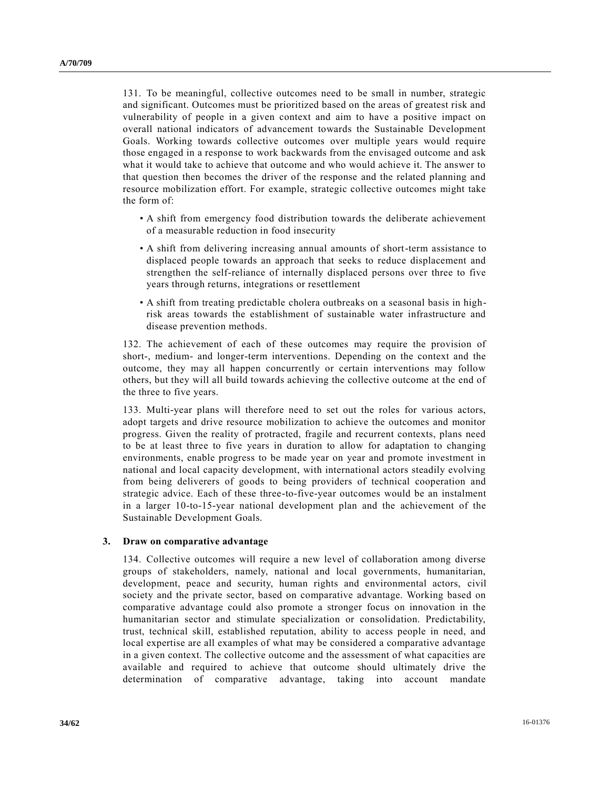131. To be meaningful, collective outcomes need to be small in number, strategic and significant. Outcomes must be prioritized based on the areas of greatest risk and vulnerability of people in a given context and aim to have a positive impact on overall national indicators of advancement towards the Sustainable Development Goals. Working towards collective outcomes over multiple years would require those engaged in a response to work backwards from the envisaged outcome and ask what it would take to achieve that outcome and who would achieve it. The answer to that question then becomes the driver of the response and the related planning and resource mobilization effort. For example, strategic collective outcomes might take the form of:

- A shift from emergency food distribution towards the deliberate achievement of a measurable reduction in food insecurity
- A shift from delivering increasing annual amounts of short-term assistance to displaced people towards an approach that seeks to reduce displacement and strengthen the self-reliance of internally displaced persons over three to five years through returns, integrations or resettlement
- A shift from treating predictable cholera outbreaks on a seasonal basis in highrisk areas towards the establishment of sustainable water infrastructure and disease prevention methods.

132. The achievement of each of these outcomes may require the provision of short-, medium- and longer-term interventions. Depending on the context and the outcome, they may all happen concurrently or certain interventions may follow others, but they will all build towards achieving the collective outcome at the end of the three to five years.

133. Multi-year plans will therefore need to set out the roles for various actors, adopt targets and drive resource mobilization to achieve the outcomes and monitor progress. Given the reality of protracted, fragile and recurrent contexts, plans need to be at least three to five years in duration to allow for adaptation to changing environments, enable progress to be made year on year and promote investment in national and local capacity development, with international actors steadily evolving from being deliverers of goods to being providers of technical cooperation and strategic advice. Each of these three-to-five-year outcomes would be an instalment in a larger 10-to-15-year national development plan and the achievement of the Sustainable Development Goals.

#### **3. Draw on comparative advantage**

134. Collective outcomes will require a new level of collaboration among diverse groups of stakeholders, namely, national and local governments, humanitarian, development, peace and security, human rights and environmental actors, civil society and the private sector, based on comparative advantage. Working based on comparative advantage could also promote a stronger focus on innovation in the humanitarian sector and stimulate specialization or consolidation. Predictability, trust, technical skill, established reputation, ability to access people in need, and local expertise are all examples of what may be considered a comparative advantage in a given context. The collective outcome and the assessment of what capacities are available and required to achieve that outcome should ultimately drive the determination of comparative advantage, taking into account mandate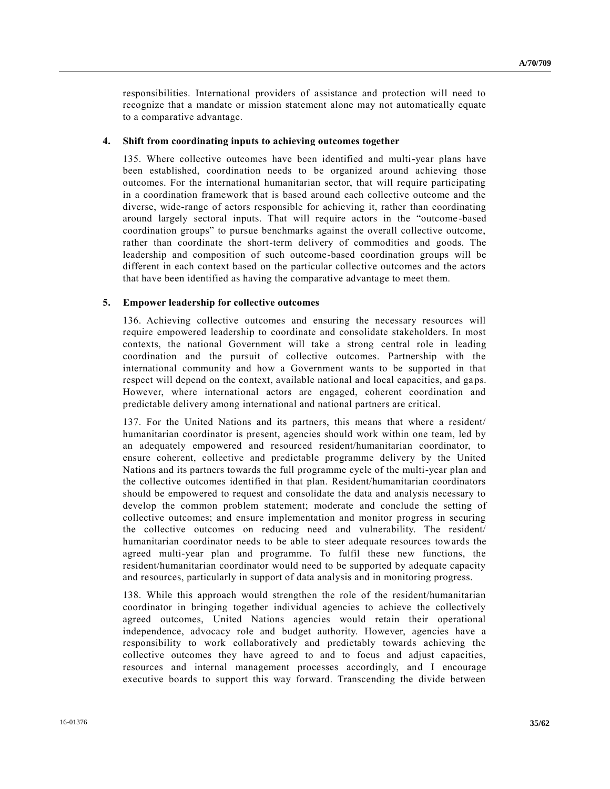responsibilities. International providers of assistance and protection will need to recognize that a mandate or mission statement alone may not automatically equate to a comparative advantage.

#### **4. Shift from coordinating inputs to achieving outcomes together**

135. Where collective outcomes have been identified and multi-year plans have been established, coordination needs to be organized around achieving those outcomes. For the international humanitarian sector, that will require participating in a coordination framework that is based around each collective outcome and the diverse, wide-range of actors responsible for achieving it, rather than coordinating around largely sectoral inputs. That will require actors in the "outcome -based coordination groups" to pursue benchmarks against the overall collective outcome, rather than coordinate the short-term delivery of commodities and goods. The leadership and composition of such outcome-based coordination groups will be different in each context based on the particular collective outcomes and the actors that have been identified as having the comparative advantage to meet them.

#### **5. Empower leadership for collective outcomes**

136. Achieving collective outcomes and ensuring the necessary resources will require empowered leadership to coordinate and consolidate stakeholders. In most contexts, the national Government will take a strong central role in leading coordination and the pursuit of collective outcomes. Partnership with the international community and how a Government wants to be supported in that respect will depend on the context, available national and local capacities, and gaps. However, where international actors are engaged, coherent coordination and predictable delivery among international and national partners are critical.

137. For the United Nations and its partners, this means that where a resident/ humanitarian coordinator is present, agencies should work within one team, led by an adequately empowered and resourced resident/humanitarian coordinator, to ensure coherent, collective and predictable programme delivery by the United Nations and its partners towards the full programme cycle of the multi-year plan and the collective outcomes identified in that plan. Resident/humanitarian coordinators should be empowered to request and consolidate the data and analysis necessary to develop the common problem statement; moderate and conclude the setting of collective outcomes; and ensure implementation and monitor progress in securing the collective outcomes on reducing need and vulnerability. The resident/ humanitarian coordinator needs to be able to steer adequate resources towards the agreed multi-year plan and programme. To fulfil these new functions, the resident/humanitarian coordinator would need to be supported by adequate capacity and resources, particularly in support of data analysis and in monitoring progress.

138. While this approach would strengthen the role of the resident/humanitarian coordinator in bringing together individual agencies to achieve the collectively agreed outcomes, United Nations agencies would retain their operational independence, advocacy role and budget authority. However, agencies have a responsibility to work collaboratively and predictably towards achieving the collective outcomes they have agreed to and to focus and adjust capacities, resources and internal management processes accordingly, and I encourage executive boards to support this way forward. Transcending the divide between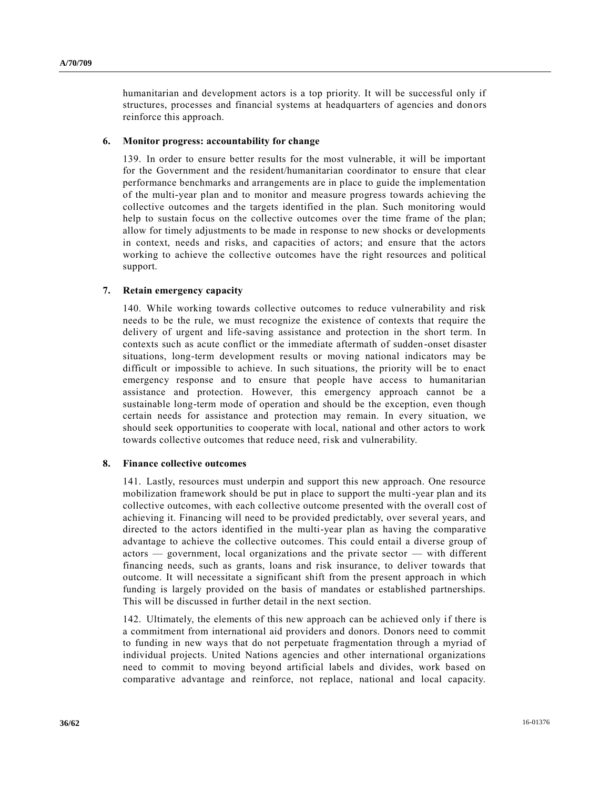humanitarian and development actors is a top priority. It will be successful only if structures, processes and financial systems at headquarters of agencies and donors reinforce this approach.

#### **6. Monitor progress: accountability for change**

139. In order to ensure better results for the most vulnerable, it will be important for the Government and the resident/humanitarian coordinator to ensure that clear performance benchmarks and arrangements are in place to guide the implementation of the multi-year plan and to monitor and measure progress towards achieving the collective outcomes and the targets identified in the plan. Such monitoring would help to sustain focus on the collective outcomes over the time frame of the plan; allow for timely adjustments to be made in response to new shocks or developments in context, needs and risks, and capacities of actors; and ensure that the actors working to achieve the collective outcomes have the right resources and political support.

## **7. Retain emergency capacity**

140. While working towards collective outcomes to reduce vulnerability and risk needs to be the rule, we must recognize the existence of contexts that require the delivery of urgent and life-saving assistance and protection in the short term. In contexts such as acute conflict or the immediate aftermath of sudden-onset disaster situations, long-term development results or moving national indicators may be difficult or impossible to achieve. In such situations, the priority will be to enact emergency response and to ensure that people have access to humanitarian assistance and protection. However, this emergency approach cannot be a sustainable long-term mode of operation and should be the exception, even though certain needs for assistance and protection may remain. In every situation, we should seek opportunities to cooperate with local, national and other actors to work towards collective outcomes that reduce need, risk and vulnerability.

### **8. Finance collective outcomes**

141. Lastly, resources must underpin and support this new approach. One resource mobilization framework should be put in place to support the multi-year plan and its collective outcomes, with each collective outcome presented with the overall cost of achieving it. Financing will need to be provided predictably, over several years, and directed to the actors identified in the multi-year plan as having the comparative advantage to achieve the collective outcomes. This could entail a diverse group of actors — government, local organizations and the private sector — with different financing needs, such as grants, loans and risk insurance, to deliver towards that outcome. It will necessitate a significant shift from the present approach in which funding is largely provided on the basis of mandates or established partnerships. This will be discussed in further detail in the next section.

142. Ultimately, the elements of this new approach can be achieved only if there is a commitment from international aid providers and donors. Donors need to commit to funding in new ways that do not perpetuate fragmentation through a myriad of individual projects. United Nations agencies and other international organizations need to commit to moving beyond artificial labels and divides, work based on comparative advantage and reinforce, not replace, national and local capacity.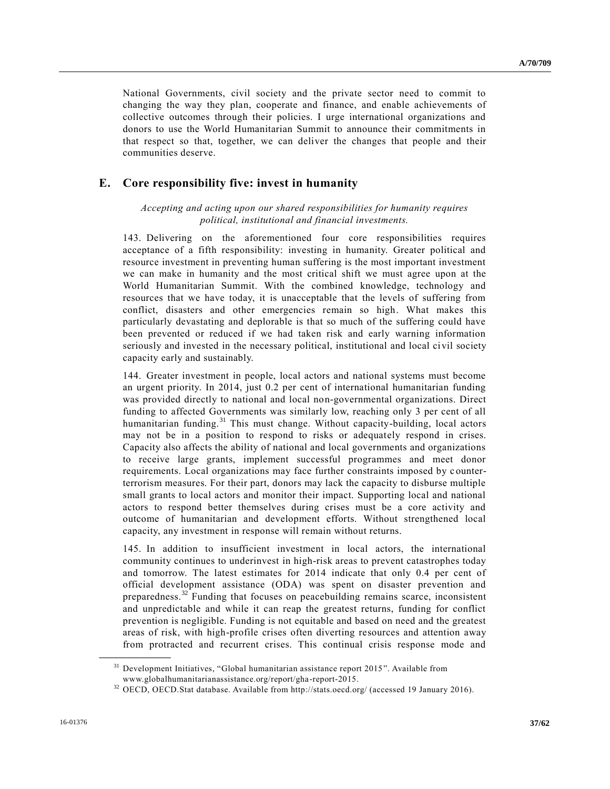National Governments, civil society and the private sector need to commit to changing the way they plan, cooperate and finance, and enable achievements of collective outcomes through their policies. I urge international organizations and donors to use the World Humanitarian Summit to announce their commitments in that respect so that, together, we can deliver the changes that people and their communities deserve.

# **E. Core responsibility five: invest in humanity**

*Accepting and acting upon our shared responsibilities for humanity requires political, institutional and financial investments.*

143. Delivering on the aforementioned four core responsibilities requires acceptance of a fifth responsibility: investing in humanity. Greater political and resource investment in preventing human suffering is the most important investment we can make in humanity and the most critical shift we must agree upon at the World Humanitarian Summit. With the combined knowledge, technology and resources that we have today, it is unacceptable that the levels of suffering from conflict, disasters and other emergencies remain so high. What makes this particularly devastating and deplorable is that so much of the suffering could have been prevented or reduced if we had taken risk and early warning information seriously and invested in the necessary political, institutional and local civil society capacity early and sustainably.

144. Greater investment in people, local actors and national systems must become an urgent priority. In 2014, just 0.2 per cent of international humanitarian funding was provided directly to national and local non-governmental organizations. Direct funding to affected Governments was similarly low, reaching only 3 per cent of all humanitarian funding.<sup>31</sup> This must change. Without capacity-building, local actors may not be in a position to respond to risks or adequately respond in crises. Capacity also affects the ability of national and local governments and organizations to receive large grants, implement successful programmes and meet donor requirements. Local organizations may face further constraints imposed by c ounterterrorism measures. For their part, donors may lack the capacity to disburse multiple small grants to local actors and monitor their impact. Supporting local and national actors to respond better themselves during crises must be a core activity and outcome of humanitarian and development efforts. Without strengthened local capacity, any investment in response will remain without returns.

145. In addition to insufficient investment in local actors, the international community continues to underinvest in high-risk areas to prevent catastrophes today and tomorrow. The latest estimates for 2014 indicate that only 0.4 per cent of official development assistance (ODA) was spent on disaster prevention and preparedness.<sup>32</sup> Funding that focuses on peacebuilding remains scarce, inconsistent and unpredictable and while it can reap the greatest returns, funding for conflict prevention is negligible. Funding is not equitable and based on need and the greatest areas of risk, with high-profile crises often diverting resources and attention away from protracted and recurrent crises. This continual crisis response mode and

<sup>&</sup>lt;sup>31</sup> Development Initiatives, "Global humanitarian assistance report 2015". Available from www.globalhumanitarianassistance.org/report/gha -report-2015.

<sup>&</sup>lt;sup>32</sup> OECD, OECD.Stat database. Available from http://stats.oecd.org/ (accessed 19 January 2016).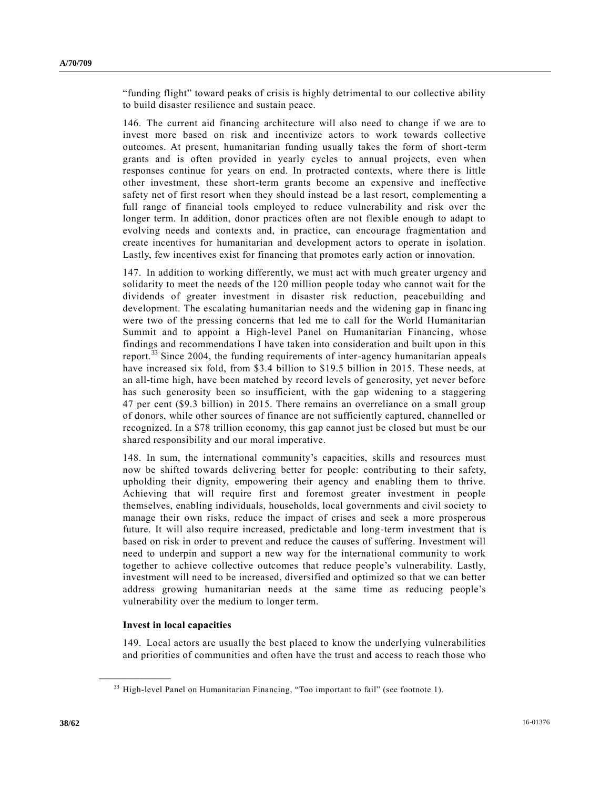"funding flight" toward peaks of crisis is highly detrimental to our collective ability to build disaster resilience and sustain peace.

146. The current aid financing architecture will also need to change if we are to invest more based on risk and incentivize actors to work towards collective outcomes. At present, humanitarian funding usually takes the form of short-term grants and is often provided in yearly cycles to annual projects, even when responses continue for years on end. In protracted contexts, where there is little other investment, these short-term grants become an expensive and ineffective safety net of first resort when they should instead be a last resort, complementing a full range of financial tools employed to reduce vulnerability and risk over the longer term. In addition, donor practices often are not flexible enough to adapt to evolving needs and contexts and, in practice, can encourage fragmentation and create incentives for humanitarian and development actors to operate in isolation. Lastly, few incentives exist for financing that promotes early action or innovation.

147. In addition to working differently, we must act with much grea ter urgency and solidarity to meet the needs of the 120 million people today who cannot wait for the dividends of greater investment in disaster risk reduction, peacebuilding and development. The escalating humanitarian needs and the widening gap in financ ing were two of the pressing concerns that led me to call for the World Humanitarian Summit and to appoint a High-level Panel on Humanitarian Financing, whose findings and recommendations I have taken into consideration and built upon in this report.<sup>33</sup> Since 2004, the funding requirements of inter-agency humanitarian appeals have increased six fold, from \$3.4 billion to \$19.5 billion in 2015. These needs, at an all-time high, have been matched by record levels of generosity, yet never before has such generosity been so insufficient, with the gap widening to a staggering 47 per cent (\$9.3 billion) in 2015. There remains an overreliance on a small group of donors, while other sources of finance are not sufficiently captured, channelled or recognized. In a \$78 trillion economy, this gap cannot just be closed but must be our shared responsibility and our moral imperative.

148. In sum, the international community's capacities, skills and resources must now be shifted towards delivering better for people: contributing to their safety, upholding their dignity, empowering their agency and enabling them to thrive. Achieving that will require first and foremost greater investment in people themselves, enabling individuals, households, local governments and civil society to manage their own risks, reduce the impact of crises and seek a more prosperous future. It will also require increased, predictable and long-term investment that is based on risk in order to prevent and reduce the causes of suffering. Investment will need to underpin and support a new way for the international community to work together to achieve collective outcomes that reduce people's vulnerability. Lastly, investment will need to be increased, diversified and optimized so that we can better address growing humanitarian needs at the same time as reducing people's vulnerability over the medium to longer term.

## **Invest in local capacities**

**\_\_\_\_\_\_\_\_\_\_\_\_\_\_\_\_\_\_**

149. Local actors are usually the best placed to know the underlying vulnerabilities and priorities of communities and often have the trust and access to reach those who

<sup>&</sup>lt;sup>33</sup> High-level Panel on Humanitarian Financing, "Too important to fail" (see footnote 1).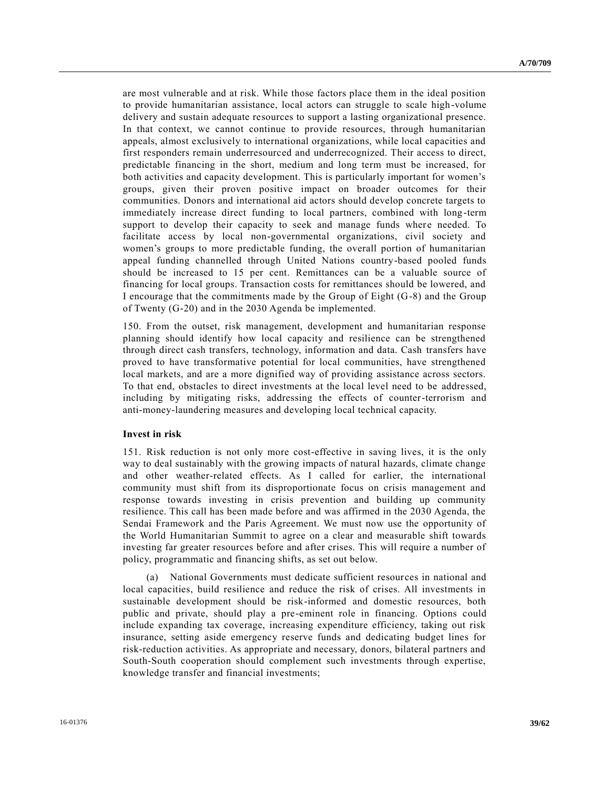are most vulnerable and at risk. While those factors place them in the ideal position to provide humanitarian assistance, local actors can struggle to scale high-volume delivery and sustain adequate resources to support a lasting organizational presence. In that context, we cannot continue to provide resources, through humanitarian appeals, almost exclusively to international organizations, while local capacities and first responders remain underresourced and underrecognized. Their access to direct, predictable financing in the short, medium and long term must be increased, for both activities and capacity development. This is particularly important for women's groups, given their proven positive impact on broader outcomes for their communities. Donors and international aid actors should develop concrete targets to immediately increase direct funding to local partners, combined with long -term support to develop their capacity to seek and manage funds where needed. To facilitate access by local non-governmental organizations, civil society and women's groups to more predictable funding, the overall portion of humanitarian appeal funding channelled through United Nations country-based pooled funds should be increased to 15 per cent. Remittances can be a valuable source of financing for local groups. Transaction costs for remittances should be lowered, and I encourage that the commitments made by the Group of Eight (G-8) and the Group of Twenty (G-20) and in the 2030 Agenda be implemented.

150. From the outset, risk management, development and humanitarian response planning should identify how local capacity and resilience can be strengthened through direct cash transfers, technology, information and data. Cash transfers have proved to have transformative potential for local communities, have strengthened local markets, and are a more dignified way of providing assistance across sectors. To that end, obstacles to direct investments at the local level need to be addressed, including by mitigating risks, addressing the effects of counter-terrorism and anti-money-laundering measures and developing local technical capacity.

#### **Invest in risk**

151. Risk reduction is not only more cost-effective in saving lives, it is the only way to deal sustainably with the growing impacts of natural hazards, climate change and other weather-related effects. As I called for earlier, the international community must shift from its disproportionate focus on crisis management and response towards investing in crisis prevention and building up community resilience. This call has been made before and was affirmed in the 2030 Agenda, the Sendai Framework and the Paris Agreement. We must now use the opportunity of the World Humanitarian Summit to agree on a clear and measurable shift towards investing far greater resources before and after crises. This will require a number of policy, programmatic and financing shifts, as set out below.

(a) National Governments must dedicate sufficient resources in national and local capacities, build resilience and reduce the risk of crises. All investments in sustainable development should be risk-informed and domestic resources, both public and private, should play a pre-eminent role in financing. Options could include expanding tax coverage, increasing expenditure efficiency, taking out risk insurance, setting aside emergency reserve funds and dedicating budget lines for risk-reduction activities. As appropriate and necessary, donors, bilateral partners and South-South cooperation should complement such investments through expertise, knowledge transfer and financial investments;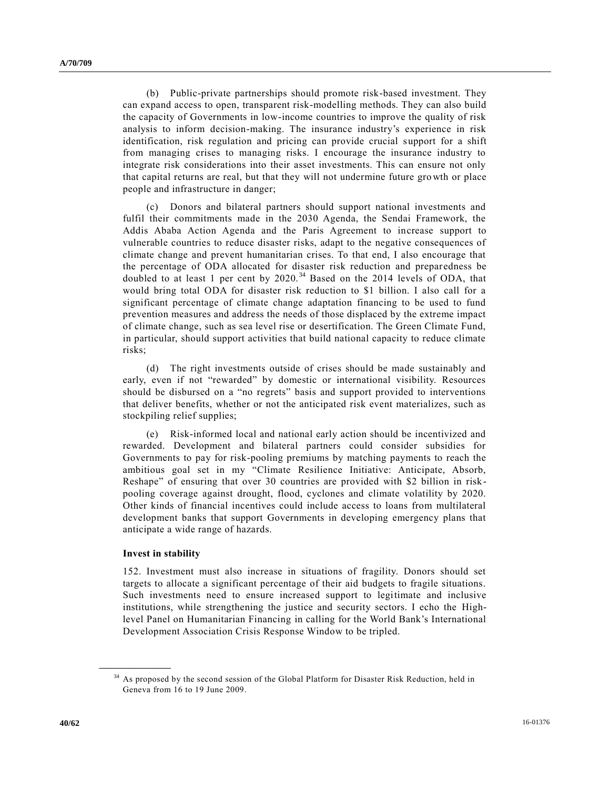(b) Public-private partnerships should promote risk-based investment. They can expand access to open, transparent risk-modelling methods. They can also build the capacity of Governments in low-income countries to improve the quality of risk analysis to inform decision-making. The insurance industry's experience in risk identification, risk regulation and pricing can provide crucial support for a shift from managing crises to managing risks. I encourage the insurance industry to integrate risk considerations into their asset investments. This can ensure not only that capital returns are real, but that they will not undermine future growth or place people and infrastructure in danger;

(c) Donors and bilateral partners should support national investments and fulfil their commitments made in the 2030 Agenda, the Sendai Framework, the Addis Ababa Action Agenda and the Paris Agreement to increase support to vulnerable countries to reduce disaster risks, adapt to the negative consequences of climate change and prevent humanitarian crises. To that end, I also encourage that the percentage of ODA allocated for disaster risk reduction and preparedness be doubled to at least 1 per cent by 2020.<sup>34</sup> Based on the 2014 levels of ODA, that would bring total ODA for disaster risk reduction to \$1 billion. I also call for a significant percentage of climate change adaptation financing to be used to fund prevention measures and address the needs of those displaced by the extreme impact of climate change, such as sea level rise or desertification. The Green Climate Fund, in particular, should support activities that build national capacity to reduce climate risks;

(d) The right investments outside of crises should be made sustainably and early, even if not "rewarded" by domestic or international visibility. Resources should be disbursed on a "no regrets" basis and support provided to interventions that deliver benefits, whether or not the anticipated risk event materializes, such as stockpiling relief supplies;

(e) Risk-informed local and national early action should be incentivized and rewarded. Development and bilateral partners could consider subsidies for Governments to pay for risk-pooling premiums by matching payments to reach the ambitious goal set in my "Climate Resilience Initiative: Anticipate, Absorb, Reshape" of ensuring that over 30 countries are provided with \$2 billion in riskpooling coverage against drought, flood, cyclones and climate volatility by 2020. Other kinds of financial incentives could include access to loans from multilateral development banks that support Governments in developing emergency plans that anticipate a wide range of hazards.

### **Invest in stability**

**\_\_\_\_\_\_\_\_\_\_\_\_\_\_\_\_\_\_**

152. Investment must also increase in situations of fragility. Donors should set targets to allocate a significant percentage of their aid budgets to fragile situations. Such investments need to ensure increased support to legitimate and inclusive institutions, while strengthening the justice and security sectors. I echo the Highlevel Panel on Humanitarian Financing in calling for the World Bank's International Development Association Crisis Response Window to be tripled.

<sup>&</sup>lt;sup>34</sup> As proposed by the second session of the Global Platform for Disaster Risk Reduction, held in Geneva from 16 to 19 June 2009.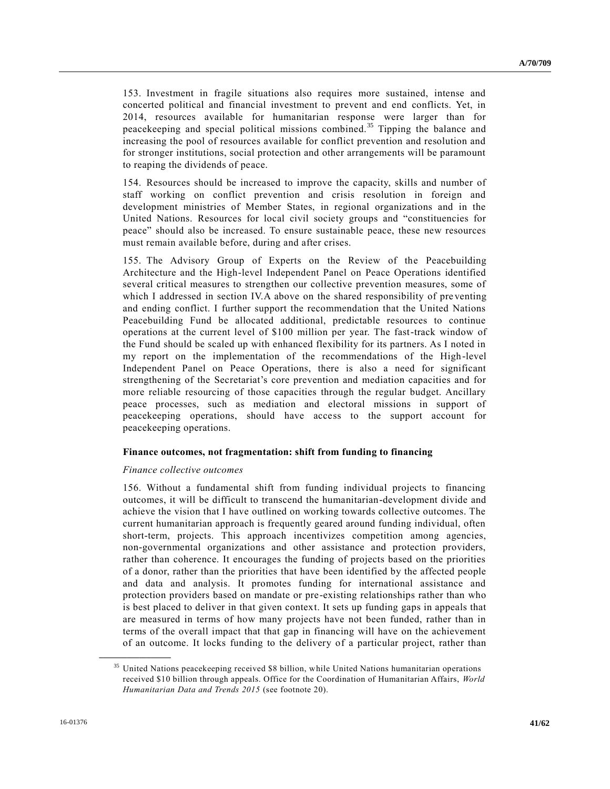153. Investment in fragile situations also requires more sustained, intense and concerted political and financial investment to prevent and end conflicts. Yet, in 2014, resources available for humanitarian response were larger than for peacekeeping and special political missions combined.<sup>35</sup> Tipping the balance and increasing the pool of resources available for conflict prevention and resolution and for stronger institutions, social protection and other arrangements will be paramount to reaping the dividends of peace.

154. Resources should be increased to improve the capacity, skills and number of staff working on conflict prevention and crisis resolution in foreign and development ministries of Member States, in regional organizations and in the United Nations. Resources for local civil society groups and "constituencies for peace" should also be increased. To ensure sustainable peace, these new resources must remain available before, during and after crises.

155. The Advisory Group of Experts on the Review of the Peacebuilding Architecture and the High-level Independent Panel on Peace Operations identified several critical measures to strengthen our collective prevention measures, some of which I addressed in section IV.A above on the shared responsibility of preventing and ending conflict. I further support the recommendation that the United Nations Peacebuilding Fund be allocated additional, predictable resources to continue operations at the current level of \$100 million per year. The fast-track window of the Fund should be scaled up with enhanced flexibility for its partners. As I noted in my report on the implementation of the recommendations of the High-level Independent Panel on Peace Operations, there is also a need for significant strengthening of the Secretariat's core prevention and mediation capacities and for more reliable resourcing of those capacities through the regular budget. Ancillary peace processes, such as mediation and electoral missions in support of peacekeeping operations, should have access to the support account for peacekeeping operations.

#### **Finance outcomes, not fragmentation: shift from funding to financing**

#### *Finance collective outcomes*

156. Without a fundamental shift from funding individual projects to financing outcomes, it will be difficult to transcend the humanitarian-development divide and achieve the vision that I have outlined on working towards collective outcomes. The current humanitarian approach is frequently geared around funding individual, often short-term, projects. This approach incentivizes competition among agencies, non-governmental organizations and other assistance and protection providers, rather than coherence. It encourages the funding of projects based on the priorities of a donor, rather than the priorities that have been identified by the affected people and data and analysis. It promotes funding for international assistance and protection providers based on mandate or pre-existing relationships rather than who is best placed to deliver in that given context. It sets up funding gaps in appeals that are measured in terms of how many projects have not been funded, rather than in terms of the overall impact that that gap in financing will have on the achievement of an outcome. It locks funding to the delivery of a particular project, rather than

<sup>&</sup>lt;sup>35</sup> United Nations peacekeeping received \$8 billion, while United Nations humanitarian operations received \$10 billion through appeals. Office for the Coordination of Humanitarian Affairs, *World Humanitarian Data and Trends 2015* (see footnote 20).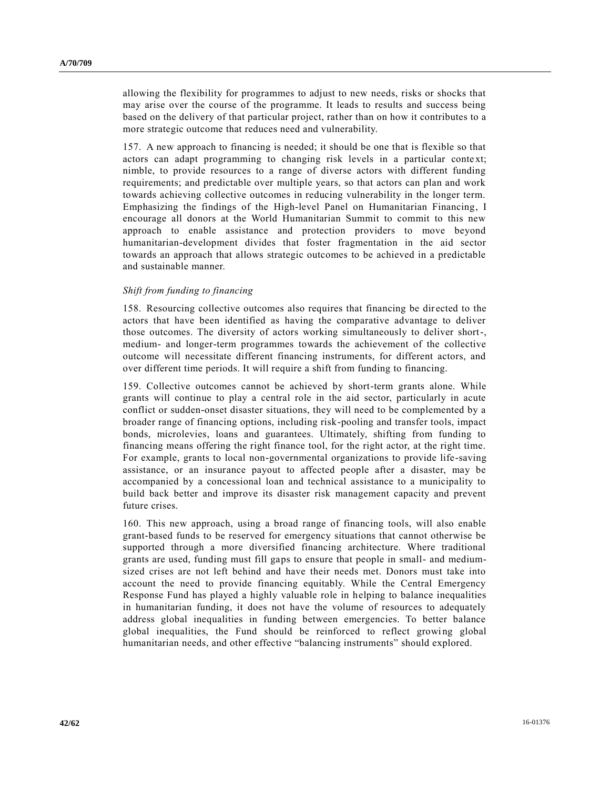allowing the flexibility for programmes to adjust to new needs, risks or shocks that may arise over the course of the programme. It leads to results and success being based on the delivery of that particular project, rather than on how it contributes to a more strategic outcome that reduces need and vulnerability.

157. A new approach to financing is needed; it should be one that is flexible so that actors can adapt programming to changing risk levels in a particular conte xt; nimble, to provide resources to a range of diverse actors with different funding requirements; and predictable over multiple years, so that actors can plan and work towards achieving collective outcomes in reducing vulnerability in the longer term. Emphasizing the findings of the High-level Panel on Humanitarian Financing, I encourage all donors at the World Humanitarian Summit to commit to this new approach to enable assistance and protection providers to move beyond humanitarian-development divides that foster fragmentation in the aid sector towards an approach that allows strategic outcomes to be achieved in a predictable and sustainable manner.

## *Shift from funding to financing*

158. Resourcing collective outcomes also requires that financing be dir ected to the actors that have been identified as having the comparative advantage to deliver those outcomes. The diversity of actors working simultaneously to deliver short-, medium- and longer-term programmes towards the achievement of the collective outcome will necessitate different financing instruments, for different actors, and over different time periods. It will require a shift from funding to financing.

159. Collective outcomes cannot be achieved by short-term grants alone. While grants will continue to play a central role in the aid sector, particularly in acute conflict or sudden-onset disaster situations, they will need to be complemented by a broader range of financing options, including risk-pooling and transfer tools, impact bonds, microlevies, loans and guarantees. Ultimately, shifting from funding to financing means offering the right finance tool, for the right actor, at the right time. For example, grants to local non-governmental organizations to provide life-saving assistance, or an insurance payout to affected people after a disaster, may be accompanied by a concessional loan and technical assistance to a municipality to build back better and improve its disaster risk management capacity and prevent future crises.

160. This new approach, using a broad range of financing tools, will also enable grant-based funds to be reserved for emergency situations that cannot otherwise be supported through a more diversified financing architecture. Where traditional grants are used, funding must fill gaps to ensure that people in small- and mediumsized crises are not left behind and have their needs met. Donors must take into account the need to provide financing equitably. While the Central Emergency Response Fund has played a highly valuable role in helping to balance inequalities in humanitarian funding, it does not have the volume of resources to adequately address global inequalities in funding between emergencies. To better balance global inequalities, the Fund should be reinforced to reflect growing global humanitarian needs, and other effective "balancing instruments" should explored.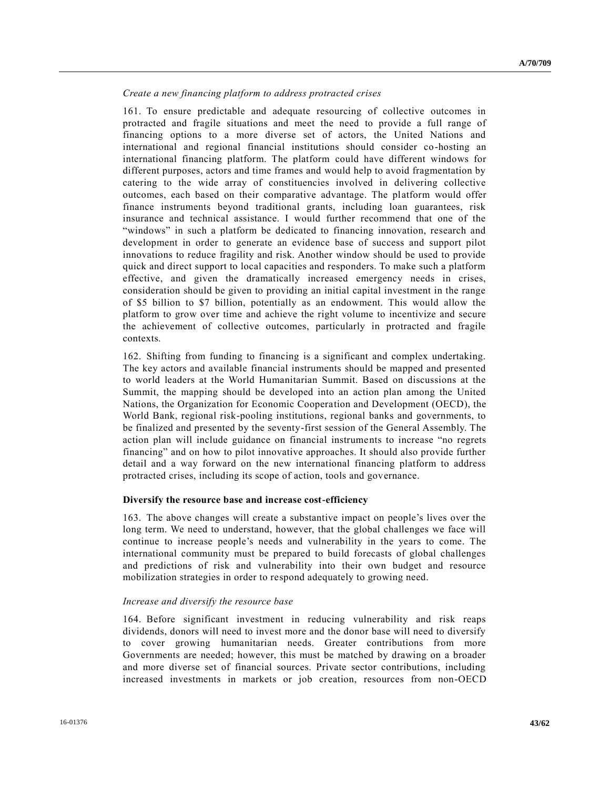## *Create a new financing platform to address protracted crises*

161. To ensure predictable and adequate resourcing of collective outcomes in protracted and fragile situations and meet the need to provide a full range of financing options to a more diverse set of actors, the United Nations and international and regional financial institutions should consider co-hosting an international financing platform. The platform could have different windows for different purposes, actors and time frames and would help to avoid fragmentation by catering to the wide array of constituencies involved in delivering collective outcomes, each based on their comparative advantage. The platform would offer finance instruments beyond traditional grants, including loan guarantees, risk insurance and technical assistance. I would further recommend that one of the "windows" in such a platform be dedicated to financing innovation, research and development in order to generate an evidence base of success and support pilot innovations to reduce fragility and risk. Another window should be used to provide quick and direct support to local capacities and responders. To make such a platform effective, and given the dramatically increased emergency needs in crises, consideration should be given to providing an initial capital investment in the range of \$5 billion to \$7 billion, potentially as an endowment. This would allow the platform to grow over time and achieve the right volume to incentivize and secure the achievement of collective outcomes, particularly in protracted and fragile contexts.

162. Shifting from funding to financing is a significant and complex undertaking. The key actors and available financial instruments should be mapped and presented to world leaders at the World Humanitarian Summit. Based on discussions at the Summit, the mapping should be developed into an action plan among the United Nations, the Organization for Economic Cooperation and Development (OECD), the World Bank, regional risk-pooling institutions, regional banks and governments, to be finalized and presented by the seventy-first session of the General Assembly. The action plan will include guidance on financial instruments to increase "no regrets financing" and on how to pilot innovative approaches. It should also provide further detail and a way forward on the new international financing platform to address protracted crises, including its scope of action, tools and governance.

## **Diversify the resource base and increase cost-efficiency**

163. The above changes will create a substantive impact on people's lives over the long term. We need to understand, however, that the global challenges we face will continue to increase people's needs and vulnerability in the years to come. The international community must be prepared to build forecasts of global challenges and predictions of risk and vulnerability into their own budget and resource mobilization strategies in order to respond adequately to growing need.

## *Increase and diversify the resource base*

164. Before significant investment in reducing vulnerability and risk reaps dividends, donors will need to invest more and the donor base will need to diversify to cover growing humanitarian needs. Greater contributions from more Governments are needed; however, this must be matched by drawing on a broader and more diverse set of financial sources. Private sector contributions, including increased investments in markets or job creation, resources from non-OECD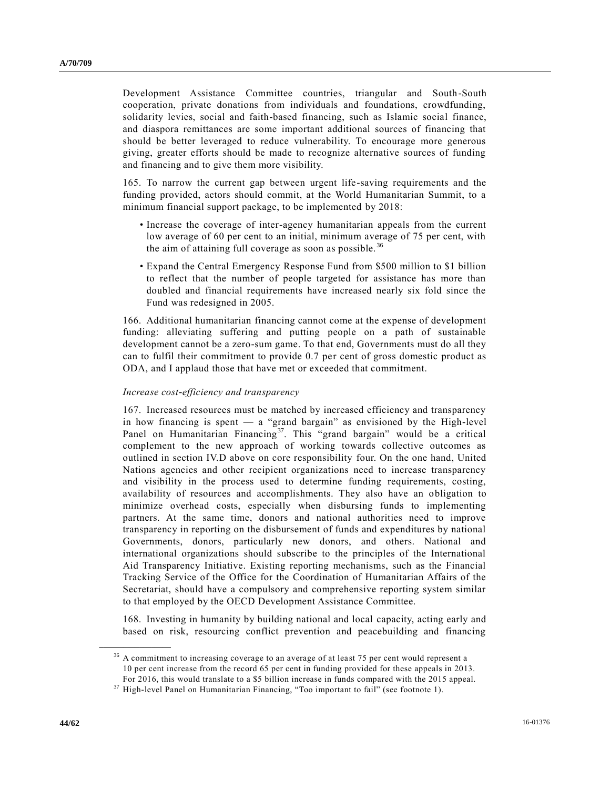Development Assistance Committee countries, triangular and South-South cooperation, private donations from individuals and foundations, crowdfunding, solidarity levies, social and faith-based financing, such as Islamic social finance, and diaspora remittances are some important additional sources of financing that should be better leveraged to reduce vulnerability. To encourage more generous giving, greater efforts should be made to recognize alternative sources of funding and financing and to give them more visibility.

165. To narrow the current gap between urgent life-saving requirements and the funding provided, actors should commit, at the World Humanitarian Summit, to a minimum financial support package, to be implemented by 2018:

- Increase the coverage of inter-agency humanitarian appeals from the current low average of 60 per cent to an initial, minimum average of 75 per cent, with the aim of attaining full coverage as soon as possible.<sup>36</sup>
- Expand the Central Emergency Response Fund from \$500 million to \$1 billion to reflect that the number of people targeted for assistance has more than doubled and financial requirements have increased nearly six fold since the Fund was redesigned in 2005.

166. Additional humanitarian financing cannot come at the expense of development funding: alleviating suffering and putting people on a path of sustainable development cannot be a zero-sum game. To that end, Governments must do all they can to fulfil their commitment to provide 0.7 per cent of gross domestic product as ODA, and I applaud those that have met or exceeded that commitment.

## *Increase cost-efficiency and transparency*

167. Increased resources must be matched by increased efficiency and transparency in how financing is spent — a "grand bargain" as envisioned by the High-level Panel on Humanitarian Financing<sup>37</sup>. This "grand bargain" would be a critical complement to the new approach of working towards collective outcomes as outlined in section IV.D above on core responsibility four. On the one hand, United Nations agencies and other recipient organizations need to increase transparency and visibility in the process used to determine funding requirements, costing, availability of resources and accomplishments. They also have an obligation to minimize overhead costs, especially when disbursing funds to implementing partners. At the same time, donors and national authorities need to improve transparency in reporting on the disbursement of funds and expenditures by national Governments, donors, particularly new donors, and others. National and international organizations should subscribe to the principles of the International Aid Transparency Initiative. Existing reporting mechanisms, such as the Financial Tracking Service of the Office for the Coordination of Humanitarian Affairs of the Secretariat, should have a compulsory and comprehensive reporting system similar to that employed by the OECD Development Assistance Committee.

168. Investing in humanity by building national and local capacity, acting early and based on risk, resourcing conflict prevention and peacebuilding and financing

<sup>&</sup>lt;sup>36</sup> A commitment to increasing coverage to an average of at least 75 per cent would represent a 10 per cent increase from the record 65 per cent in funding provided for these appeals in 2013. For 2016, this would translate to a \$5 billion increase in funds compared with the 2015 appeal.

<sup>&</sup>lt;sup>37</sup> High-level Panel on Humanitarian Financing, "Too important to fail" (see footnote 1).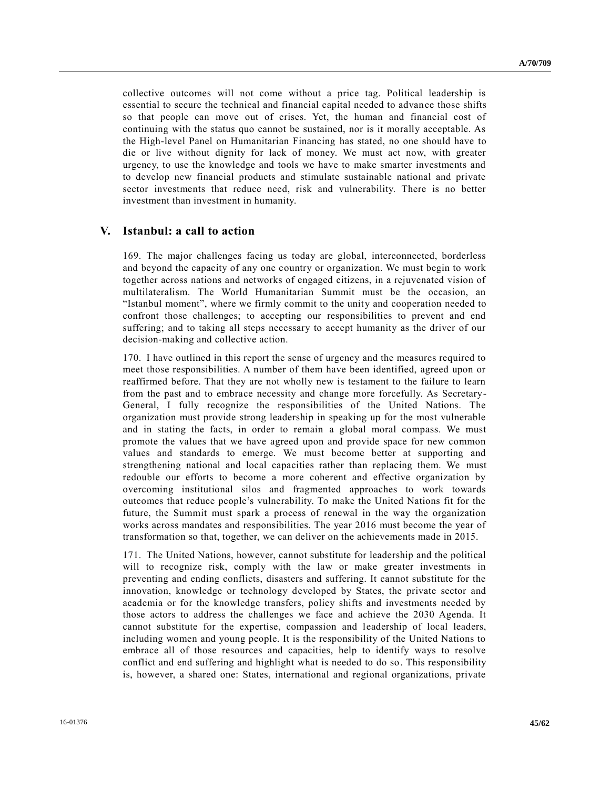collective outcomes will not come without a price tag. Political leadership is essential to secure the technical and financial capital needed to advance those shifts so that people can move out of crises. Yet, the human and financial cost of continuing with the status quo cannot be sustained, nor is it morally acceptable. As the High-level Panel on Humanitarian Financing has stated, no one should have to die or live without dignity for lack of money. We must act now, with greater urgency, to use the knowledge and tools we have to make smarter investments and to develop new financial products and stimulate sustainable national and private sector investments that reduce need, risk and vulnerability. There is no better investment than investment in humanity.

## **V. Istanbul: a call to action**

169. The major challenges facing us today are global, interconnected, borderless and beyond the capacity of any one country or organization. We must begin to work together across nations and networks of engaged citizens, in a rejuvenated vision of multilateralism. The World Humanitarian Summit must be the occasion, an "Istanbul moment", where we firmly commit to the unity and cooperation needed to confront those challenges; to accepting our responsibilities to prevent and end suffering; and to taking all steps necessary to accept humanity as the driver of our decision-making and collective action.

170. I have outlined in this report the sense of urgency and the measures required to meet those responsibilities. A number of them have been identified, agreed upon or reaffirmed before. That they are not wholly new is testament to the failure to learn from the past and to embrace necessity and change more forcefully. As Secretary-General, I fully recognize the responsibilities of the United Nations. The organization must provide strong leadership in speaking up for the most vulnerable and in stating the facts, in order to remain a global moral compass. We must promote the values that we have agreed upon and provide space for new common values and standards to emerge. We must become better at supporting and strengthening national and local capacities rather than replacing them. We must redouble our efforts to become a more coherent and effective organization by overcoming institutional silos and fragmented approaches to work towards outcomes that reduce people's vulnerability. To make the United Nations fit for the future, the Summit must spark a process of renewal in the way the organization works across mandates and responsibilities. The year 2016 must become the year of transformation so that, together, we can deliver on the achievements made in 2015.

171. The United Nations, however, cannot substitute for leadership and the political will to recognize risk, comply with the law or make greater investments in preventing and ending conflicts, disasters and suffering. It cannot substitute for the innovation, knowledge or technology developed by States, the private sector and academia or for the knowledge transfers, policy shifts and investments needed by those actors to address the challenges we face and achieve the 2030 Agenda. It cannot substitute for the expertise, compassion and leadership of local leaders, including women and young people. It is the responsibility of the United Nations to embrace all of those resources and capacities, help to identify ways to resolve conflict and end suffering and highlight what is needed to do so. This responsibility is, however, a shared one: States, international and regional organizations, private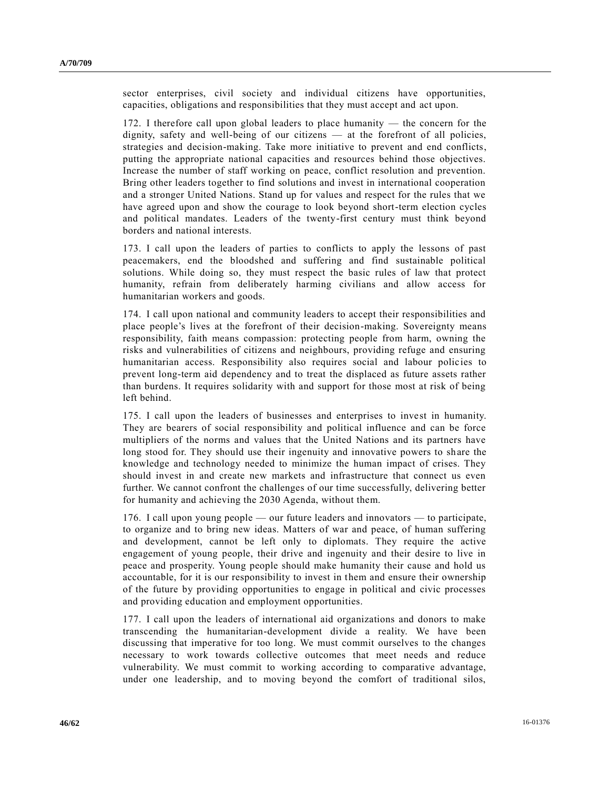sector enterprises, civil society and individual citizens have opportunities, capacities, obligations and responsibilities that they must accept and act upon.

172. I therefore call upon global leaders to place humanity — the concern for the dignity, safety and well-being of our citizens — at the forefront of all policies, strategies and decision-making. Take more initiative to prevent and end conflicts, putting the appropriate national capacities and resources behind those objectives. Increase the number of staff working on peace, conflict resolution and prevention. Bring other leaders together to find solutions and invest in international cooperation and a stronger United Nations. Stand up for values and respect for the rules that we have agreed upon and show the courage to look beyond short-term election cycles and political mandates. Leaders of the twenty-first century must think beyond borders and national interests.

173. I call upon the leaders of parties to conflicts to apply the lessons of past peacemakers, end the bloodshed and suffering and find sustainable political solutions. While doing so, they must respect the basic rules of law that protect humanity, refrain from deliberately harming civilians and allow access for humanitarian workers and goods.

174. I call upon national and community leaders to accept their responsibilities and place people's lives at the forefront of their decision-making. Sovereignty means responsibility, faith means compassion: protecting people from harm, owning the risks and vulnerabilities of citizens and neighbours, providing refuge and ensuring humanitarian access. Responsibility also requires social and labour policies to prevent long-term aid dependency and to treat the displaced as future assets rather than burdens. It requires solidarity with and support for those most at risk of being left behind.

175. I call upon the leaders of businesses and enterprises to invest in humanity. They are bearers of social responsibility and political influence and can be force multipliers of the norms and values that the United Nations and its partners have long stood for. They should use their ingenuity and innovative powers to share the knowledge and technology needed to minimize the human impact of crises. They should invest in and create new markets and infrastructure that connect us even further. We cannot confront the challenges of our time successfully, delivering better for humanity and achieving the 2030 Agenda, without them.

176. I call upon young people — our future leaders and innovators — to participate, to organize and to bring new ideas. Matters of war and peace, of human suffering and development, cannot be left only to diplomats. They require the active engagement of young people, their drive and ingenuity and their desire to live in peace and prosperity. Young people should make humanity their cause and hold us accountable, for it is our responsibility to invest in them and ensure their ownership of the future by providing opportunities to engage in political and civic processes and providing education and employment opportunities.

177. I call upon the leaders of international aid organizations and donors to make transcending the humanitarian-development divide a reality. We have been discussing that imperative for too long. We must commit ourselves to the changes necessary to work towards collective outcomes that meet needs and reduce vulnerability. We must commit to working according to comparative advantage, under one leadership, and to moving beyond the comfort of traditional silos,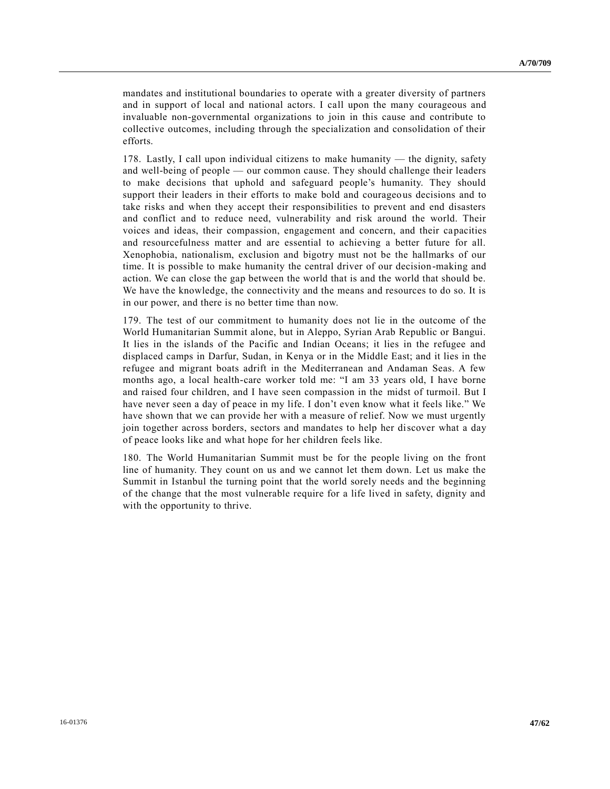mandates and institutional boundaries to operate with a greater diversity of partners and in support of local and national actors. I call upon the many courageous and invaluable non-governmental organizations to join in this cause and contribute to collective outcomes, including through the specialization and consolidation of their efforts.

178. Lastly, I call upon individual citizens to make humanity — the dignity, safety and well-being of people — our common cause. They should challenge their leaders to make decisions that uphold and safeguard people's humanity. They should support their leaders in their efforts to make bold and courageous decisions and to take risks and when they accept their responsibilities to prevent and end disasters and conflict and to reduce need, vulnerability and risk around the world. Their voices and ideas, their compassion, engagement and concern, and their capacities and resourcefulness matter and are essential to achieving a better future for all. Xenophobia, nationalism, exclusion and bigotry must not be the hallmarks of our time. It is possible to make humanity the central driver of our decision -making and action. We can close the gap between the world that is and the world that should be. We have the knowledge, the connectivity and the means and resources to do so. It is in our power, and there is no better time than now.

179. The test of our commitment to humanity does not lie in the outcome of the World Humanitarian Summit alone, but in Aleppo, Syrian Arab Republic or Bangui. It lies in the islands of the Pacific and Indian Oceans; it lies in the refugee and displaced camps in Darfur, Sudan, in Kenya or in the Middle East; and it lies in the refugee and migrant boats adrift in the Mediterranean and Andaman Seas. A few months ago, a local health-care worker told me: "I am 33 years old, I have borne and raised four children, and I have seen compassion in the midst of turmoil. But I have never seen a day of peace in my life. I don't even know what it feels like." We have shown that we can provide her with a measure of relief. Now we must urgently join together across borders, sectors and mandates to help her discover what a day of peace looks like and what hope for her children feels like.

180. The World Humanitarian Summit must be for the people living on the front line of humanity. They count on us and we cannot let them down. Let us make the Summit in Istanbul the turning point that the world sorely needs and the beginning of the change that the most vulnerable require for a life lived in safety, dignity and with the opportunity to thrive.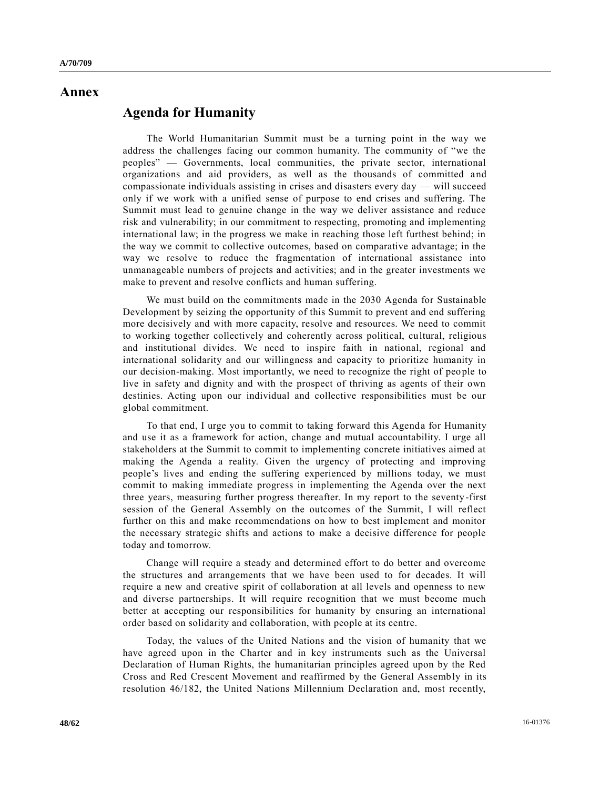# **Annex**

# **Agenda for Humanity**

The World Humanitarian Summit must be a turning point in the way we address the challenges facing our common humanity. The community of "we the peoples" — Governments, local communities, the private sector, international organizations and aid providers, as well as the thousands of committed and compassionate individuals assisting in crises and disasters every day — will succeed only if we work with a unified sense of purpose to end crises and suffering. The Summit must lead to genuine change in the way we deliver assistance and reduce risk and vulnerability; in our commitment to respecting, promoting and implementing international law; in the progress we make in reaching those left furthest behind; in the way we commit to collective outcomes, based on comparative advantage; in the way we resolve to reduce the fragmentation of international assistance into unmanageable numbers of projects and activities; and in the greater investments we make to prevent and resolve conflicts and human suffering.

We must build on the commitments made in the 2030 Agenda for Sustainable Development by seizing the opportunity of this Summit to prevent and end suffering more decisively and with more capacity, resolve and resources. We need to commit to working together collectively and coherently across political, cultural, religious and institutional divides. We need to inspire faith in national, regional and international solidarity and our willingness and capacity to prioritize humanity in our decision-making. Most importantly, we need to recognize the right of people to live in safety and dignity and with the prospect of thriving as agents of their own destinies. Acting upon our individual and collective responsibilities must be our global commitment.

To that end, I urge you to commit to taking forward this Agenda for Humanity and use it as a framework for action, change and mutual accountability. I urge all stakeholders at the Summit to commit to implementing concrete initiatives aimed at making the Agenda a reality. Given the urgency of protecting and improving people's lives and ending the suffering experienced by millions today, we must commit to making immediate progress in implementing the Agenda over the next three years, measuring further progress thereafter. In my report to the seventy -first session of the General Assembly on the outcomes of the Summit, I will reflect further on this and make recommendations on how to best implement and monitor the necessary strategic shifts and actions to make a decisive difference for people today and tomorrow.

Change will require a steady and determined effort to do better and overcome the structures and arrangements that we have been used to for decades. It will require a new and creative spirit of collaboration at all levels and openness to new and diverse partnerships. It will require recognition that we must become much better at accepting our responsibilities for humanity by ensuring an international order based on solidarity and collaboration, with people at its centre.

Today, the values of the United Nations and the vision of humanity that we have agreed upon in the Charter and in key instruments such as the Universal Declaration of Human Rights, the humanitarian principles agreed upon by the Red Cross and Red Crescent Movement and reaffirmed by the General Assembly in its resolution 46/182, the United Nations Millennium Declaration and, most recently,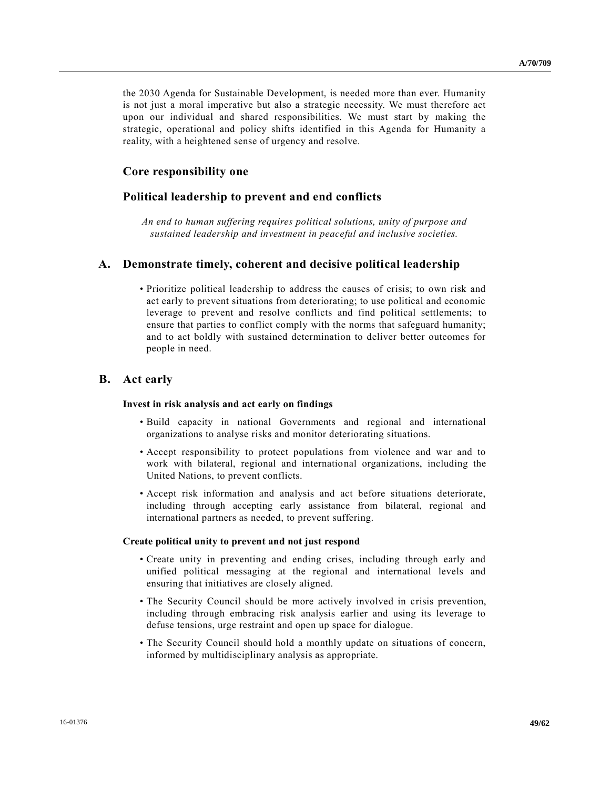the 2030 Agenda for Sustainable Development, is needed more than ever. Humanity is not just a moral imperative but also a strategic necessity. We must therefore act upon our individual and shared responsibilities. We must start by making the strategic, operational and policy shifts identified in this Agenda for Humanity a reality, with a heightened sense of urgency and resolve.

# **Core responsibility one**

# **Political leadership to prevent and end conflicts**

*An end to human suffering requires political solutions, unity of purpose and sustained leadership and investment in peaceful and inclusive societies.*

## **A. Demonstrate timely, coherent and decisive political leadership**

• Prioritize political leadership to address the causes of crisis; to own risk and act early to prevent situations from deteriorating; to use political and economic leverage to prevent and resolve conflicts and find political settlements; to ensure that parties to conflict comply with the norms that safeguard humanity; and to act boldly with sustained determination to deliver better outcomes for people in need.

## **B. Act early**

#### **Invest in risk analysis and act early on findings**

- Build capacity in national Governments and regional and international organizations to analyse risks and monitor deteriorating situations.
- Accept responsibility to protect populations from violence and war and to work with bilateral, regional and international organizations, including the United Nations, to prevent conflicts.
- Accept risk information and analysis and act before situations deteriorate, including through accepting early assistance from bilateral, regional and international partners as needed, to prevent suffering.

#### **Create political unity to prevent and not just respond**

- Create unity in preventing and ending crises, including through early and unified political messaging at the regional and international levels and ensuring that initiatives are closely aligned.
- The Security Council should be more actively involved in crisis prevention, including through embracing risk analysis earlier and using its leverage to defuse tensions, urge restraint and open up space for dialogue.
- The Security Council should hold a monthly update on situations of concern, informed by multidisciplinary analysis as appropriate.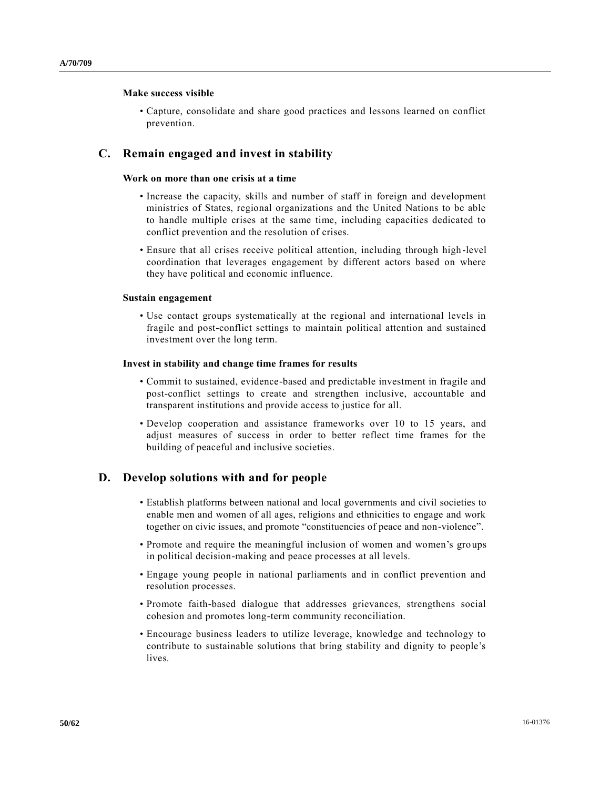## **Make success visible**

• Capture, consolidate and share good practices and lessons learned on conflict prevention.

# **C. Remain engaged and invest in stability**

## **Work on more than one crisis at a time**

- Increase the capacity, skills and number of staff in foreign and development ministries of States, regional organizations and the United Nations to be able to handle multiple crises at the same time, including capacities dedicated to conflict prevention and the resolution of crises.
- Ensure that all crises receive political attention, including through high -level coordination that leverages engagement by different actors based on where they have political and economic influence.

### **Sustain engagement**

• Use contact groups systematically at the regional and international levels in fragile and post-conflict settings to maintain political attention and sustained investment over the long term.

#### **Invest in stability and change time frames for results**

- Commit to sustained, evidence-based and predictable investment in fragile and post-conflict settings to create and strengthen inclusive, accountable and transparent institutions and provide access to justice for all.
- Develop cooperation and assistance frameworks over 10 to 15 years, and adjust measures of success in order to better reflect time frames for the building of peaceful and inclusive societies.

## **D. Develop solutions with and for people**

- Establish platforms between national and local governments and civil societies to enable men and women of all ages, religions and ethnicities to engage and work together on civic issues, and promote "constituencies of peace and non-violence".
- Promote and require the meaningful inclusion of women and women's groups in political decision-making and peace processes at all levels.
- Engage young people in national parliaments and in conflict prevention and resolution processes.
- Promote faith-based dialogue that addresses grievances, strengthens social cohesion and promotes long-term community reconciliation.
- Encourage business leaders to utilize leverage, knowledge and technology to contribute to sustainable solutions that bring stability and dignity to people's lives.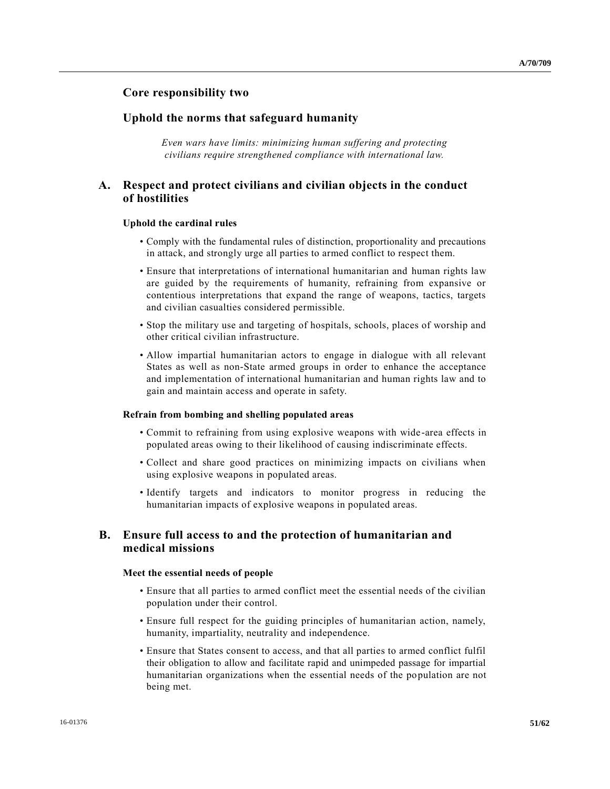# **Core responsibility two**

# **Uphold the norms that safeguard humanity**

*Even wars have limits: minimizing human suffering and protecting civilians require strengthened compliance with international law.*

# **A. Respect and protect civilians and civilian objects in the conduct of hostilities**

#### **Uphold the cardinal rules**

- Comply with the fundamental rules of distinction, proportionality and precautions in attack, and strongly urge all parties to armed conflict to respect them.
- Ensure that interpretations of international humanitarian and human rights law are guided by the requirements of humanity, refraining from expansive or contentious interpretations that expand the range of weapons, tactics, targets and civilian casualties considered permissible.
- Stop the military use and targeting of hospitals, schools, places of worship and other critical civilian infrastructure.
- Allow impartial humanitarian actors to engage in dialogue with all relevant States as well as non-State armed groups in order to enhance the acceptance and implementation of international humanitarian and human rights law and to gain and maintain access and operate in safety.

## **Refrain from bombing and shelling populated areas**

- Commit to refraining from using explosive weapons with wide -area effects in populated areas owing to their likelihood of causing indiscriminate effects.
- Collect and share good practices on minimizing impacts on civilians when using explosive weapons in populated areas.
- Identify targets and indicators to monitor progress in reducing the humanitarian impacts of explosive weapons in populated areas.

# **B. Ensure full access to and the protection of humanitarian and medical missions**

#### **Meet the essential needs of people**

- Ensure that all parties to armed conflict meet the essential needs of the civilian population under their control.
- Ensure full respect for the guiding principles of humanitarian action, namely, humanity, impartiality, neutrality and independence.
- Ensure that States consent to access, and that all parties to armed conflict fulfil their obligation to allow and facilitate rapid and unimpeded passage for impartial humanitarian organizations when the essential needs of the population are not being met.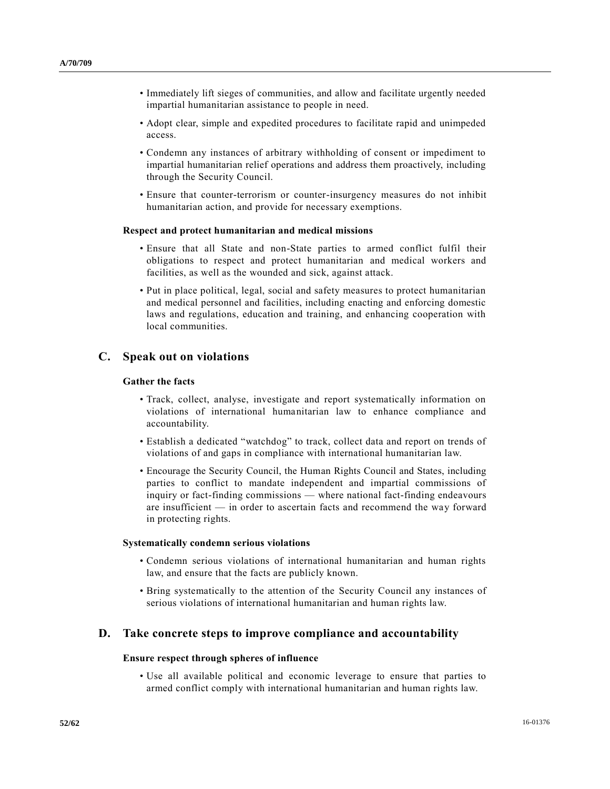- Immediately lift sieges of communities, and allow and facilitate urgently needed impartial humanitarian assistance to people in need.
- Adopt clear, simple and expedited procedures to facilitate rapid and unimpeded access.
- Condemn any instances of arbitrary withholding of consent or impediment to impartial humanitarian relief operations and address them proactively, including through the Security Council.
- Ensure that counter-terrorism or counter-insurgency measures do not inhibit humanitarian action, and provide for necessary exemptions.

#### **Respect and protect humanitarian and medical missions**

- Ensure that all State and non-State parties to armed conflict fulfil their obligations to respect and protect humanitarian and medical workers and facilities, as well as the wounded and sick, against attack.
- Put in place political, legal, social and safety measures to protect humanitarian and medical personnel and facilities, including enacting and enforcing domestic laws and regulations, education and training, and enhancing cooperation with local communities.

## **C. Speak out on violations**

#### **Gather the facts**

- Track, collect, analyse, investigate and report systematically information on violations of international humanitarian law to enhance compliance and accountability.
- Establish a dedicated "watchdog" to track, collect data and report on trends of violations of and gaps in compliance with international humanitarian law.
- Encourage the Security Council, the Human Rights Council and States, including parties to conflict to mandate independent and impartial commissions of inquiry or fact-finding commissions — where national fact-finding endeavours are insufficient — in order to ascertain facts and recommend the way forward in protecting rights.

#### **Systematically condemn serious violations**

- Condemn serious violations of international humanitarian and human rights law, and ensure that the facts are publicly known.
- Bring systematically to the attention of the Security Council any instances of serious violations of international humanitarian and human rights law.

## **D. Take concrete steps to improve compliance and accountability**

#### **Ensure respect through spheres of influence**

• Use all available political and economic leverage to ensure that parties to armed conflict comply with international humanitarian and human rights law.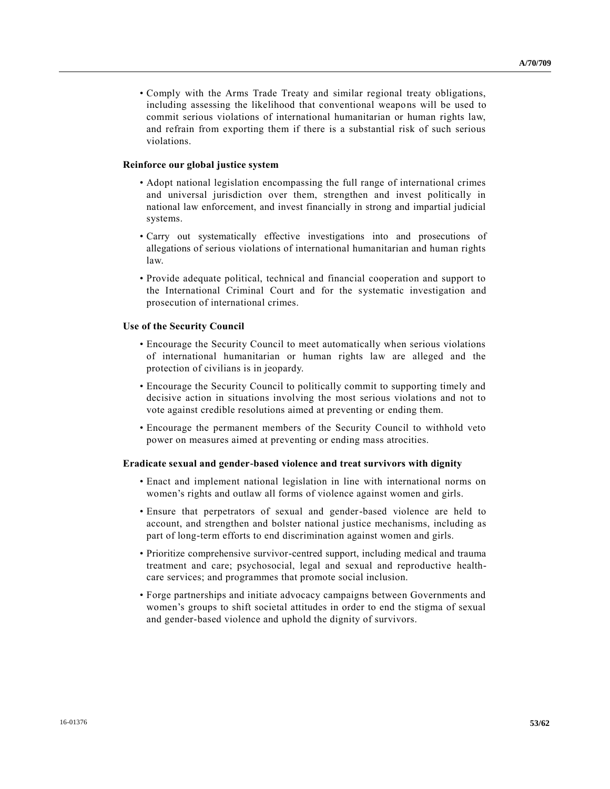• Comply with the Arms Trade Treaty and similar regional treaty obligations, including assessing the likelihood that conventional weapons will be used to commit serious violations of international humanitarian or human rights law, and refrain from exporting them if there is a substantial risk of such serious violations.

### **Reinforce our global justice system**

- Adopt national legislation encompassing the full range of international crimes and universal jurisdiction over them, strengthen and invest politically in national law enforcement, and invest financially in strong and impartial judicial systems.
- Carry out systematically effective investigations into and prosecutions of allegations of serious violations of international humanitarian and human rights law.
- Provide adequate political, technical and financial cooperation and support to the International Criminal Court and for the systematic investigation and prosecution of international crimes.

#### **Use of the Security Council**

- Encourage the Security Council to meet automatically when serious violations of international humanitarian or human rights law are alleged and the protection of civilians is in jeopardy.
- Encourage the Security Council to politically commit to supporting timely and decisive action in situations involving the most serious violations and not to vote against credible resolutions aimed at preventing or ending them.
- Encourage the permanent members of the Security Council to withhold veto power on measures aimed at preventing or ending mass atrocities.

#### **Eradicate sexual and gender-based violence and treat survivors with dignity**

- Enact and implement national legislation in line with international norms on women's rights and outlaw all forms of violence against women and girls.
- Ensure that perpetrators of sexual and gender-based violence are held to account, and strengthen and bolster national justice mechanisms, including as part of long-term efforts to end discrimination against women and girls.
- Prioritize comprehensive survivor-centred support, including medical and trauma treatment and care; psychosocial, legal and sexual and reproductive healthcare services; and programmes that promote social inclusion.
- Forge partnerships and initiate advocacy campaigns between Governments and women's groups to shift societal attitudes in order to end the stigma of sexual and gender-based violence and uphold the dignity of survivors.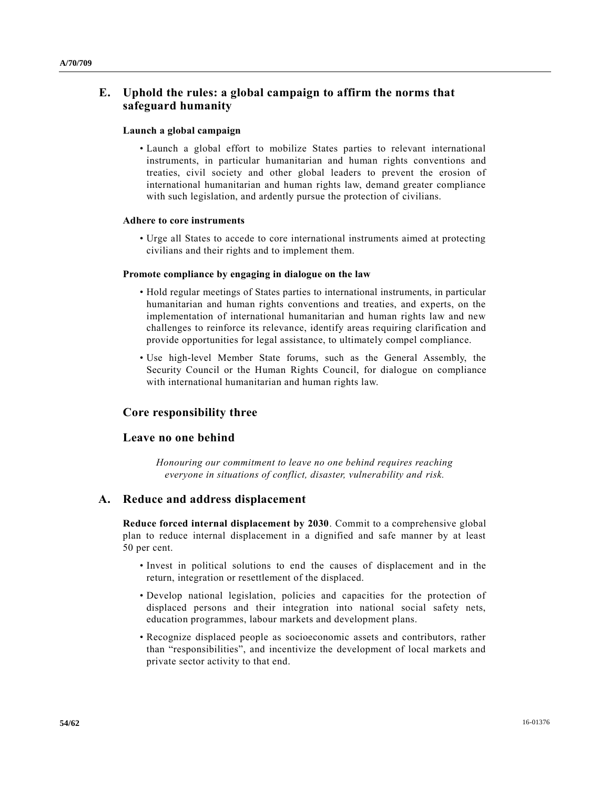# **E. Uphold the rules: a global campaign to affirm the norms that safeguard humanity**

## **Launch a global campaign**

• Launch a global effort to mobilize States parties to relevant international instruments, in particular humanitarian and human rights conventions and treaties, civil society and other global leaders to prevent the erosion of international humanitarian and human rights law, demand greater compliance with such legislation, and ardently pursue the protection of civilians.

#### **Adhere to core instruments**

• Urge all States to accede to core international instruments aimed at protecting civilians and their rights and to implement them.

### **Promote compliance by engaging in dialogue on the law**

- Hold regular meetings of States parties to international instruments, in particular humanitarian and human rights conventions and treaties, and experts, on the implementation of international humanitarian and human rights law and new challenges to reinforce its relevance, identify areas requiring clarification and provide opportunities for legal assistance, to ultimately compel compliance.
- Use high-level Member State forums, such as the General Assembly, the Security Council or the Human Rights Council, for dialogue on compliance with international humanitarian and human rights law.

## **Core responsibility three**

## **Leave no one behind**

*Honouring our commitment to leave no one behind requires reaching everyone in situations of conflict, disaster, vulnerability and risk.*

## **A. Reduce and address displacement**

**Reduce forced internal displacement by 2030**. Commit to a comprehensive global plan to reduce internal displacement in a dignified and safe manner by at least 50 per cent.

- Invest in political solutions to end the causes of displacement and in the return, integration or resettlement of the displaced.
- Develop national legislation, policies and capacities for the protection of displaced persons and their integration into national social safety nets, education programmes, labour markets and development plans.
- Recognize displaced people as socioeconomic assets and contributors, rather than "responsibilities", and incentivize the development of local markets and private sector activity to that end.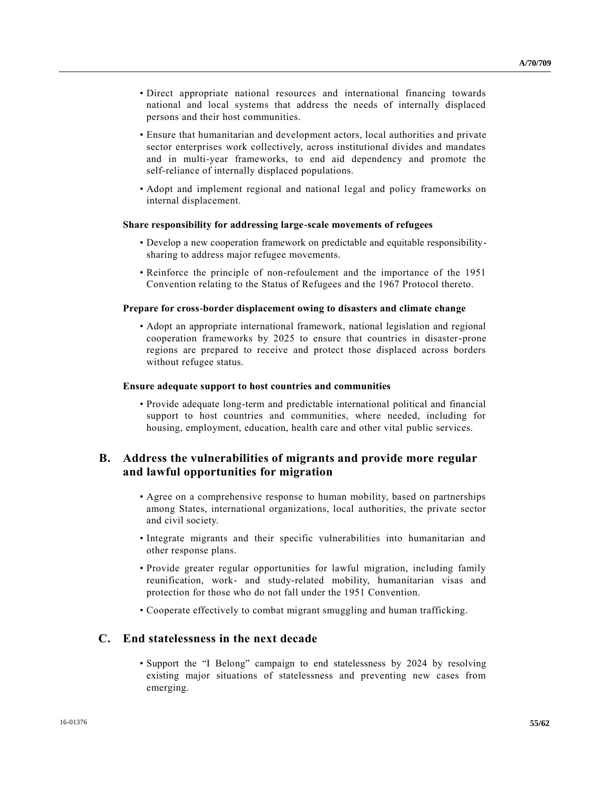- Direct appropriate national resources and international financing towards national and local systems that address the needs of internally displaced persons and their host communities.
- Ensure that humanitarian and development actors, local authorities and private sector enterprises work collectively, across institutional divides and mandates and in multi-year frameworks, to end aid dependency and promote the self-reliance of internally displaced populations.
- Adopt and implement regional and national legal and policy frameworks on internal displacement.

#### **Share responsibility for addressing large-scale movements of refugees**

- Develop a new cooperation framework on predictable and equitable responsibilitysharing to address major refugee movements.
- Reinforce the principle of non-refoulement and the importance of the 1951 Convention relating to the Status of Refugees and the 1967 Protocol thereto.

#### **Prepare for cross-border displacement owing to disasters and climate change**

• Adopt an appropriate international framework, national legislation and regional cooperation frameworks by 2025 to ensure that countries in disaster-prone regions are prepared to receive and protect those displaced across borders without refugee status.

#### **Ensure adequate support to host countries and communities**

• Provide adequate long-term and predictable international political and financial support to host countries and communities, where needed, including for housing, employment, education, health care and other vital public services.

# **B. Address the vulnerabilities of migrants and provide more regular and lawful opportunities for migration**

- Agree on a comprehensive response to human mobility, based on partnerships among States, international organizations, local authorities, the private sector and civil society.
- Integrate migrants and their specific vulnerabilities into humanitarian and other response plans.
- Provide greater regular opportunities for lawful migration, including family reunification, work- and study-related mobility, humanitarian visas and protection for those who do not fall under the 1951 Convention.
- Cooperate effectively to combat migrant smuggling and human trafficking.

# **C. End statelessness in the next decade**

• Support the "I Belong" campaign to end statelessness by 2024 by resolving existing major situations of statelessness and preventing new cases from emerging.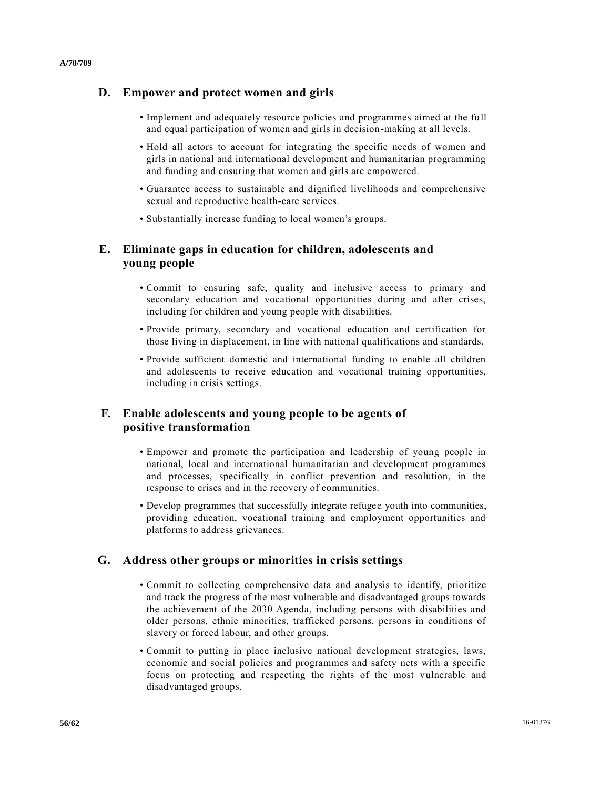# **D. Empower and protect women and girls**

- Implement and adequately resource policies and programmes aimed at the full and equal participation of women and girls in decision-making at all levels.
- Hold all actors to account for integrating the specific needs of women and girls in national and international development and humanitarian programming and funding and ensuring that women and girls are empowered.
- Guarantee access to sustainable and dignified livelihoods and comprehensive sexual and reproductive health-care services.
- Substantially increase funding to local women's groups.

# **E. Eliminate gaps in education for children, adolescents and young people**

- Commit to ensuring safe, quality and inclusive access to primary and secondary education and vocational opportunities during and after crises, including for children and young people with disabilities.
- Provide primary, secondary and vocational education and certification for those living in displacement, in line with national qualifications and standards.
- Provide sufficient domestic and international funding to enable all children and adolescents to receive education and vocational training opportunities, including in crisis settings.

# **F. Enable adolescents and young people to be agents of positive transformation**

- Empower and promote the participation and leadership of young people in national, local and international humanitarian and development programmes and processes, specifically in conflict prevention and resolution, in the response to crises and in the recovery of communities.
- Develop programmes that successfully integrate refugee youth into communities, providing education, vocational training and employment opportunities and platforms to address grievances.

## **G. Address other groups or minorities in crisis settings**

- Commit to collecting comprehensive data and analysis to identify, prioritize and track the progress of the most vulnerable and disadvantaged groups towards the achievement of the 2030 Agenda, including persons with disabilities and older persons, ethnic minorities, trafficked persons, persons in conditions of slavery or forced labour, and other groups.
- Commit to putting in place inclusive national development strategies, laws, economic and social policies and programmes and safety nets with a specific focus on protecting and respecting the rights of the most vulnerable and disadvantaged groups.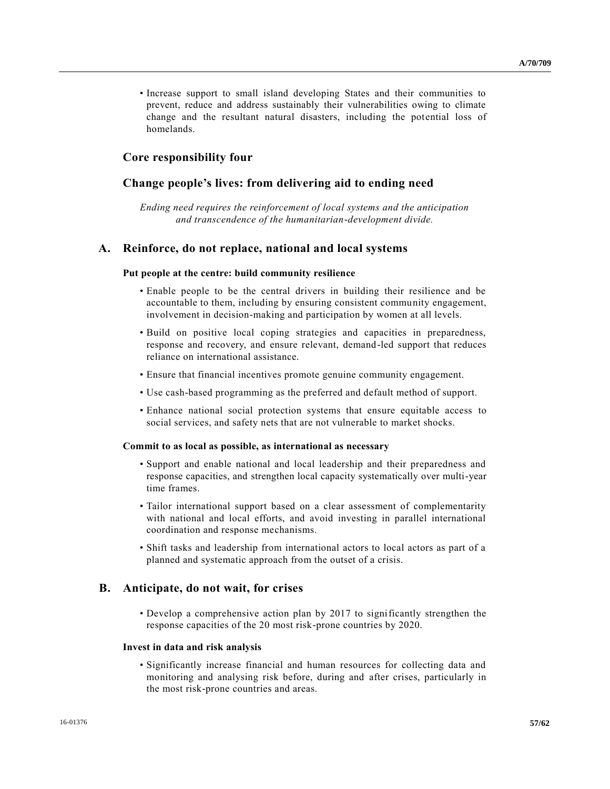• Increase support to small island developing States and their communities to prevent, reduce and address sustainably their vulnerabilities owing to climate change and the resultant natural disasters, including the potential loss of homelands.

# **Core responsibility four**

# **Change people's lives: from delivering aid to ending need**

*Ending need requires the reinforcement of local systems and the anticipation and transcendence of the humanitarian-development divide.*

## **A. Reinforce, do not replace, national and local systems**

#### **Put people at the centre: build community resilience**

- Enable people to be the central drivers in building their resilience and be accountable to them, including by ensuring consistent community engagement, involvement in decision-making and participation by women at all levels.
- Build on positive local coping strategies and capacities in preparedness, response and recovery, and ensure relevant, demand-led support that reduces reliance on international assistance.
- Ensure that financial incentives promote genuine community engagement.
- Use cash-based programming as the preferred and default method of support.
- Enhance national social protection systems that ensure equitable access to social services, and safety nets that are not vulnerable to market shocks.

#### **Commit to as local as possible, as international as necessary**

- Support and enable national and local leadership and their preparedness and response capacities, and strengthen local capacity systematically over multi-year time frames.
- Tailor international support based on a clear assessment of complementarity with national and local efforts, and avoid investing in parallel international coordination and response mechanisms.
- Shift tasks and leadership from international actors to local actors as part of a planned and systematic approach from the outset of a crisis.

# **B. Anticipate, do not wait, for crises**

• Develop a comprehensive action plan by 2017 to significantly strengthen the response capacities of the 20 most risk-prone countries by 2020.

#### **Invest in data and risk analysis**

• Significantly increase financial and human resources for collecting data and monitoring and analysing risk before, during and after crises, particularly in the most risk-prone countries and areas.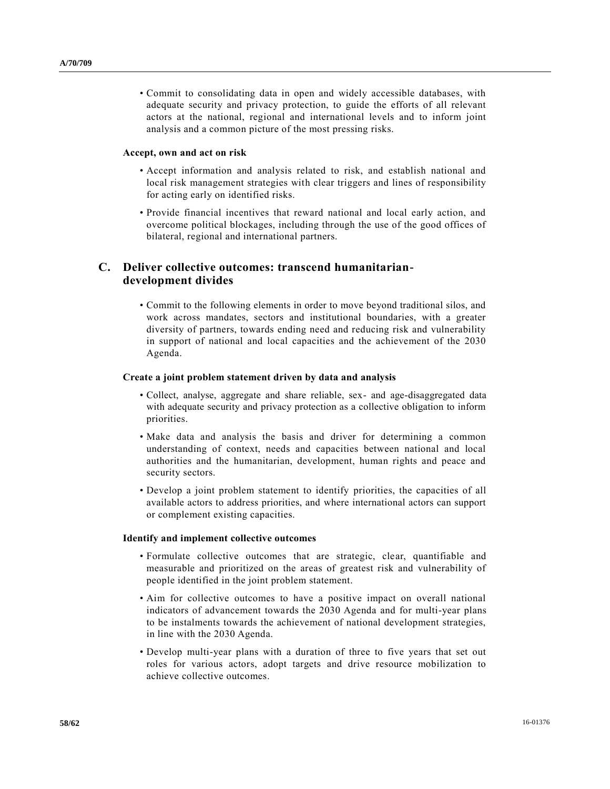• Commit to consolidating data in open and widely accessible databases, with adequate security and privacy protection, to guide the efforts of all relevant actors at the national, regional and international levels and to inform joint analysis and a common picture of the most pressing risks.

#### **Accept, own and act on risk**

- Accept information and analysis related to risk, and establish national and local risk management strategies with clear triggers and lines of responsibility for acting early on identified risks.
- Provide financial incentives that reward national and local early action, and overcome political blockages, including through the use of the good offices of bilateral, regional and international partners.

# **C. Deliver collective outcomes: transcend humanitariandevelopment divides**

• Commit to the following elements in order to move beyond traditional silos, and work across mandates, sectors and institutional boundaries, with a greater diversity of partners, towards ending need and reducing risk and vulnerability in support of national and local capacities and the achievement of the 2030 Agenda.

#### **Create a joint problem statement driven by data and analysis**

- Collect, analyse, aggregate and share reliable, sex- and age-disaggregated data with adequate security and privacy protection as a collective obligation to inform priorities.
- Make data and analysis the basis and driver for determining a common understanding of context, needs and capacities between national and local authorities and the humanitarian, development, human rights and peace and security sectors.
- Develop a joint problem statement to identify priorities, the capacities of all available actors to address priorities, and where international actors can support or complement existing capacities.

#### **Identify and implement collective outcomes**

- Formulate collective outcomes that are strategic, clear, quantifiable and measurable and prioritized on the areas of greatest risk and vulnerability of people identified in the joint problem statement.
- Aim for collective outcomes to have a positive impact on overall national indicators of advancement towards the 2030 Agenda and for multi-year plans to be instalments towards the achievement of national development strategies, in line with the 2030 Agenda.
- Develop multi-year plans with a duration of three to five years that set out roles for various actors, adopt targets and drive resource mobilization to achieve collective outcomes.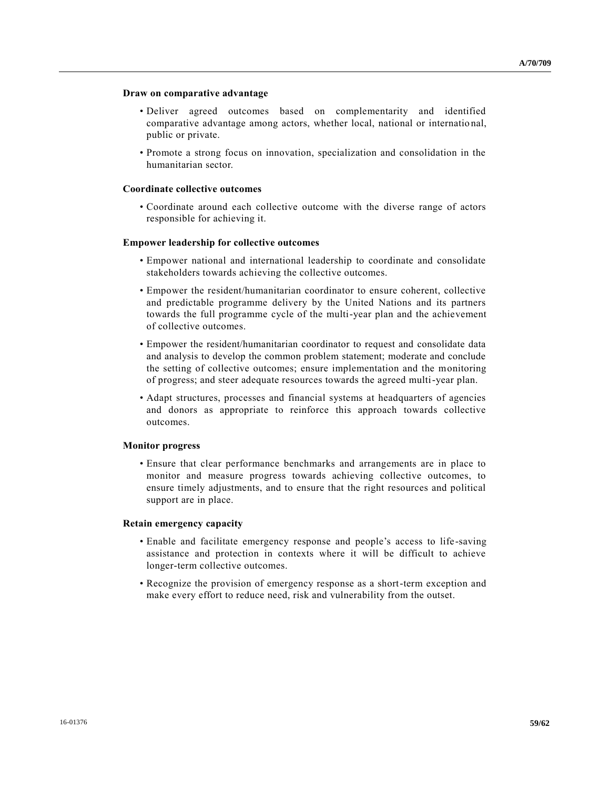### **Draw on comparative advantage**

- Deliver agreed outcomes based on complementarity and identified comparative advantage among actors, whether local, national or internatio nal, public or private.
- Promote a strong focus on innovation, specialization and consolidation in the humanitarian sector.

#### **Coordinate collective outcomes**

• Coordinate around each collective outcome with the diverse range of actors responsible for achieving it.

#### **Empower leadership for collective outcomes**

- Empower national and international leadership to coordinate and consolidate stakeholders towards achieving the collective outcomes.
- Empower the resident/humanitarian coordinator to ensure coherent, collective and predictable programme delivery by the United Nations and its partners towards the full programme cycle of the multi-year plan and the achievement of collective outcomes.
- Empower the resident/humanitarian coordinator to request and consolidate data and analysis to develop the common problem statement; moderate and conclude the setting of collective outcomes; ensure implementation and the monitoring of progress; and steer adequate resources towards the agreed multi-year plan.
- Adapt structures, processes and financial systems at headquarters of agencies and donors as appropriate to reinforce this approach towards collective outcomes.

## **Monitor progress**

• Ensure that clear performance benchmarks and arrangements are in place to monitor and measure progress towards achieving collective outcomes, to ensure timely adjustments, and to ensure that the right resources and political support are in place.

#### **Retain emergency capacity**

- Enable and facilitate emergency response and people's access to life -saving assistance and protection in contexts where it will be difficult to achieve longer-term collective outcomes.
- Recognize the provision of emergency response as a short-term exception and make every effort to reduce need, risk and vulnerability from the outset.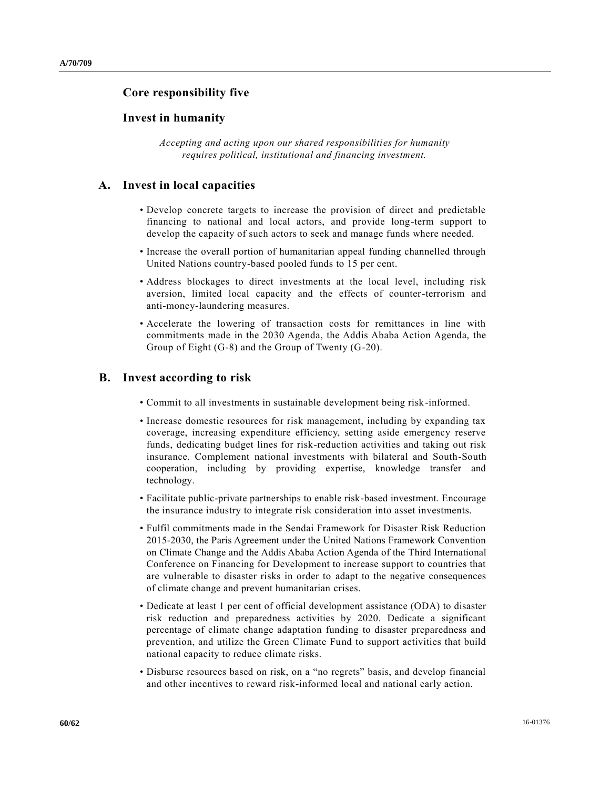# **Core responsibility five**

## **Invest in humanity**

*Accepting and acting upon our shared responsibilities for humanity requires political, institutional and financing investment.*

# **A. Invest in local capacities**

- Develop concrete targets to increase the provision of direct and predictable financing to national and local actors, and provide long-term support to develop the capacity of such actors to seek and manage funds where needed.
- Increase the overall portion of humanitarian appeal funding channelled through United Nations country-based pooled funds to 15 per cent.
- Address blockages to direct investments at the local level, including risk aversion, limited local capacity and the effects of counter-terrorism and anti-money-laundering measures.
- Accelerate the lowering of transaction costs for remittances in line with commitments made in the 2030 Agenda, the Addis Ababa Action Agenda, the Group of Eight (G-8) and the Group of Twenty (G-20).

# **B. Invest according to risk**

- Commit to all investments in sustainable development being risk-informed.
- Increase domestic resources for risk management, including by expanding tax coverage, increasing expenditure efficiency, setting aside emergency reserve funds, dedicating budget lines for risk-reduction activities and taking out risk insurance. Complement national investments with bilateral and South-South cooperation, including by providing expertise, knowledge transfer and technology.
- Facilitate public-private partnerships to enable risk-based investment. Encourage the insurance industry to integrate risk consideration into asset investments.
- Fulfil commitments made in the Sendai Framework for Disaster Risk Reduction 2015-2030, the Paris Agreement under the United Nations Framework Convention on Climate Change and the Addis Ababa Action Agenda of the Third International Conference on Financing for Development to increase support to countries that are vulnerable to disaster risks in order to adapt to the negative consequences of climate change and prevent humanitarian crises.
- Dedicate at least 1 per cent of official development assistance (ODA) to disaster risk reduction and preparedness activities by 2020. Dedicate a significant percentage of climate change adaptation funding to disaster preparedness and prevention, and utilize the Green Climate Fund to support activities that build national capacity to reduce climate risks.
- Disburse resources based on risk, on a "no regrets" basis, and develop financial and other incentives to reward risk-informed local and national early action.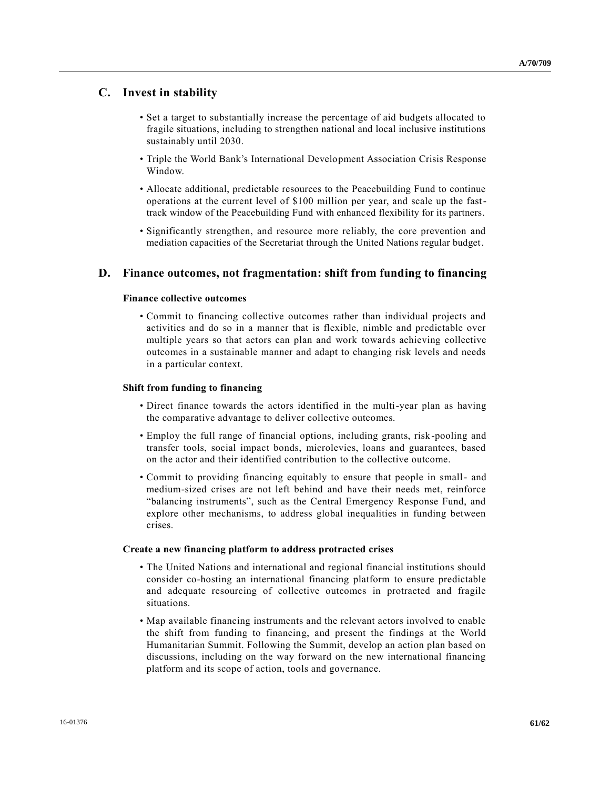# **C. Invest in stability**

- Set a target to substantially increase the percentage of aid budgets allocated to fragile situations, including to strengthen national and local inclusive institutions sustainably until 2030.
- Triple the World Bank's International Development Association Crisis Response Window.
- Allocate additional, predictable resources to the Peacebuilding Fund to continue operations at the current level of \$100 million per year, and scale up the fasttrack window of the Peacebuilding Fund with enhanced flexibility for its partners.
- Significantly strengthen, and resource more reliably, the core prevention and mediation capacities of the Secretariat through the United Nations regular budget.

# **D. Finance outcomes, not fragmentation: shift from funding to financing**

#### **Finance collective outcomes**

• Commit to financing collective outcomes rather than individual projects and activities and do so in a manner that is flexible, nimble and predictable over multiple years so that actors can plan and work towards achieving collective outcomes in a sustainable manner and adapt to changing risk levels and needs in a particular context.

#### **Shift from funding to financing**

- Direct finance towards the actors identified in the multi-year plan as having the comparative advantage to deliver collective outcomes.
- Employ the full range of financial options, including grants, risk-pooling and transfer tools, social impact bonds, microlevies, loans and guarantees, based on the actor and their identified contribution to the collective outcome.
- Commit to providing financing equitably to ensure that people in small- and medium-sized crises are not left behind and have their needs met, reinforce "balancing instruments", such as the Central Emergency Response Fund, and explore other mechanisms, to address global inequalities in funding between crises.

#### **Create a new financing platform to address protracted crises**

- The United Nations and international and regional financial institutions should consider co-hosting an international financing platform to ensure predictable and adequate resourcing of collective outcomes in protracted and fragile situations.
- Map available financing instruments and the relevant actors involved to enable the shift from funding to financing, and present the findings at the World Humanitarian Summit. Following the Summit, develop an action plan based on discussions, including on the way forward on the new international financing platform and its scope of action, tools and governance.